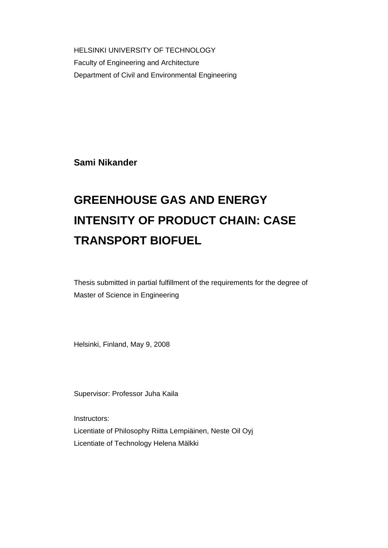HELSINKI UNIVERSITY OF TECHNOLOGY Faculty of Engineering and Architecture Department of Civil and Environmental Engineering

**Sami Nikander** 

# **GREENHOUSE GAS AND ENERGY INTENSITY OF PRODUCT CHAIN: CASE TRANSPORT BIOFUEL**

Thesis submitted in partial fulfillment of the requirements for the degree of Master of Science in Engineering

Helsinki, Finland, May 9, 2008

Supervisor: Professor Juha Kaila

Instructors:

Licentiate of Philosophy Riitta Lempiäinen, Neste Oil Oyj Licentiate of Technology Helena Mälkki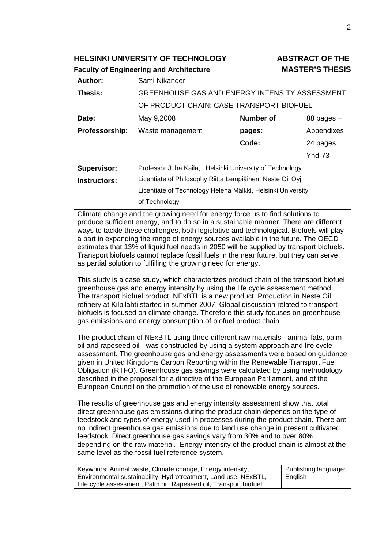**HELSINKI UNIVERSITY OF TECHNOLOGY ABSTRACT OF THE** 

# **Faculty of Engineering and Architecture MASTER'S THESIS**

|                                                                                                                                                                                                                                                                                                                                                                                                                                                                                                                                                                                                                                                                                                                                                                                                                                                                                                                                                                                                                                           | raculty of Engineering and Architecture                                                                                                                                                          |                  | טוט∟ווו ט \ו∟וטחוו              |
|-------------------------------------------------------------------------------------------------------------------------------------------------------------------------------------------------------------------------------------------------------------------------------------------------------------------------------------------------------------------------------------------------------------------------------------------------------------------------------------------------------------------------------------------------------------------------------------------------------------------------------------------------------------------------------------------------------------------------------------------------------------------------------------------------------------------------------------------------------------------------------------------------------------------------------------------------------------------------------------------------------------------------------------------|--------------------------------------------------------------------------------------------------------------------------------------------------------------------------------------------------|------------------|---------------------------------|
| Author:                                                                                                                                                                                                                                                                                                                                                                                                                                                                                                                                                                                                                                                                                                                                                                                                                                                                                                                                                                                                                                   | Sami Nikander                                                                                                                                                                                    |                  |                                 |
| Thesis:                                                                                                                                                                                                                                                                                                                                                                                                                                                                                                                                                                                                                                                                                                                                                                                                                                                                                                                                                                                                                                   | GREENHOUSE GAS AND ENERGY INTENSITY ASSESSMENT                                                                                                                                                   |                  |                                 |
|                                                                                                                                                                                                                                                                                                                                                                                                                                                                                                                                                                                                                                                                                                                                                                                                                                                                                                                                                                                                                                           | OF PRODUCT CHAIN: CASE TRANSPORT BIOFUEL                                                                                                                                                         |                  |                                 |
| Date:                                                                                                                                                                                                                                                                                                                                                                                                                                                                                                                                                                                                                                                                                                                                                                                                                                                                                                                                                                                                                                     | May 9,2008                                                                                                                                                                                       | <b>Number of</b> | 88 pages +                      |
| Professorship:                                                                                                                                                                                                                                                                                                                                                                                                                                                                                                                                                                                                                                                                                                                                                                                                                                                                                                                                                                                                                            | Waste management                                                                                                                                                                                 | pages:           | Appendixes                      |
|                                                                                                                                                                                                                                                                                                                                                                                                                                                                                                                                                                                                                                                                                                                                                                                                                                                                                                                                                                                                                                           |                                                                                                                                                                                                  | Code:            | 24 pages                        |
|                                                                                                                                                                                                                                                                                                                                                                                                                                                                                                                                                                                                                                                                                                                                                                                                                                                                                                                                                                                                                                           |                                                                                                                                                                                                  |                  | <b>Yhd-73</b>                   |
| Supervisor:                                                                                                                                                                                                                                                                                                                                                                                                                                                                                                                                                                                                                                                                                                                                                                                                                                                                                                                                                                                                                               | Professor Juha Kaila, , Helsinki University of Technology                                                                                                                                        |                  |                                 |
| <b>Instructors:</b>                                                                                                                                                                                                                                                                                                                                                                                                                                                                                                                                                                                                                                                                                                                                                                                                                                                                                                                                                                                                                       | Licentiate of Philosophy Riitta Lempiäinen, Neste Oil Oyj                                                                                                                                        |                  |                                 |
|                                                                                                                                                                                                                                                                                                                                                                                                                                                                                                                                                                                                                                                                                                                                                                                                                                                                                                                                                                                                                                           | Licentiate of Technology Helena Mälkki, Helsinki University                                                                                                                                      |                  |                                 |
|                                                                                                                                                                                                                                                                                                                                                                                                                                                                                                                                                                                                                                                                                                                                                                                                                                                                                                                                                                                                                                           | of Technology                                                                                                                                                                                    |                  |                                 |
| produce sufficient energy, and to do so in a sustainable manner. There are different<br>ways to tackle these challenges, both legislative and technological. Biofuels will play<br>a part in expanding the range of energy sources available in the future. The OECD<br>estimates that 13% of liquid fuel needs in 2050 will be supplied by transport biofuels.<br>Transport biofuels cannot replace fossil fuels in the near future, but they can serve<br>as partial solution to fulfilling the growing need for energy.<br>This study is a case study, which characterizes product chain of the transport biofuel<br>greenhouse gas and energy intensity by using the life cycle assessment method.<br>The transport biofuel product, NExBTL is a new product. Production in Neste Oil<br>refinery at Kilpilahti started in summer 2007. Global discussion related to transport<br>biofuels is focused on climate change. Therefore this study focuses on greenhouse<br>gas emissions and energy consumption of biofuel product chain. |                                                                                                                                                                                                  |                  |                                 |
| The product chain of NExBTL using three different raw materials - animal fats, palm<br>oil and rapeseed oil - was constructed by using a system approach and life cycle<br>assessment. The greenhouse gas and energy assessments were based on guidance<br>given in United Kingdoms Carbon Reporting within the Renewable Transport Fuel<br>Obligation (RTFO). Greenhouse gas savings were calculated by using methodology<br>described in the proposal for a directive of the European Parliament, and of the<br>European Council on the promotion of the use of renewable energy sources.<br>The results of greenhouse gas and energy intensity assessment show that total<br>direct greenhouse gas emissions during the product chain depends on the type of                                                                                                                                                                                                                                                                           |                                                                                                                                                                                                  |                  |                                 |
| feedstock and types of energy used in processes during the product chain. There are<br>no indirect greenhouse gas emissions due to land use change in present cultivated<br>feedstock. Direct greenhouse gas savings vary from 30% and to over 80%<br>depending on the raw material. Energy intensity of the product chain is almost at the<br>same level as the fossil fuel reference system.                                                                                                                                                                                                                                                                                                                                                                                                                                                                                                                                                                                                                                            |                                                                                                                                                                                                  |                  |                                 |
|                                                                                                                                                                                                                                                                                                                                                                                                                                                                                                                                                                                                                                                                                                                                                                                                                                                                                                                                                                                                                                           | Keywords: Animal waste, Climate change, Energy intensity,<br>Environmental sustainability, Hydrotreatment, Land use, NExBTL,<br>Life cycle assessment, Palm oil, Rapeseed oil, Transport biofuel |                  | Publishing language:<br>English |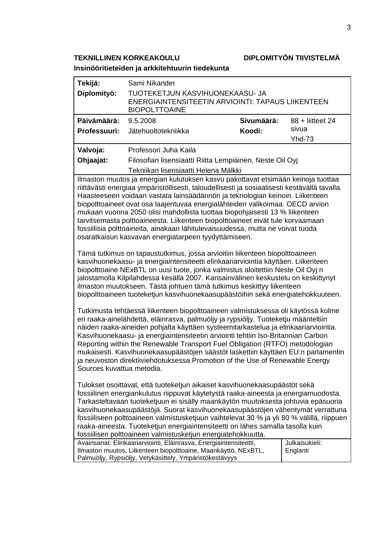**TEKNILLINEN KORKEAKOULU DIPLOMITYÖN TIIVISTELMÄ** 

**Insinööritieteiden ja arkkitehtuurin tiedekunta**

| Tekijä:                                                                                                                                                                                                                                                                                                                                                                                                                                                                                                                                                                                                                                                                                                                                                                                                                                                                                                                                                                                                                                                                                                                                                                                                                                                                                                                                                                                                                                                                                                                                                                                                                                                                                                                                                                                                                                                                                                                                                                                                                                                                                                                                                                                                                                                                                                                                   | Sami Nikander                                                                                                                                                                                  |            |                            |
|-------------------------------------------------------------------------------------------------------------------------------------------------------------------------------------------------------------------------------------------------------------------------------------------------------------------------------------------------------------------------------------------------------------------------------------------------------------------------------------------------------------------------------------------------------------------------------------------------------------------------------------------------------------------------------------------------------------------------------------------------------------------------------------------------------------------------------------------------------------------------------------------------------------------------------------------------------------------------------------------------------------------------------------------------------------------------------------------------------------------------------------------------------------------------------------------------------------------------------------------------------------------------------------------------------------------------------------------------------------------------------------------------------------------------------------------------------------------------------------------------------------------------------------------------------------------------------------------------------------------------------------------------------------------------------------------------------------------------------------------------------------------------------------------------------------------------------------------------------------------------------------------------------------------------------------------------------------------------------------------------------------------------------------------------------------------------------------------------------------------------------------------------------------------------------------------------------------------------------------------------------------------------------------------------------------------------------------------|------------------------------------------------------------------------------------------------------------------------------------------------------------------------------------------------|------------|----------------------------|
| Diplomityö:                                                                                                                                                                                                                                                                                                                                                                                                                                                                                                                                                                                                                                                                                                                                                                                                                                                                                                                                                                                                                                                                                                                                                                                                                                                                                                                                                                                                                                                                                                                                                                                                                                                                                                                                                                                                                                                                                                                                                                                                                                                                                                                                                                                                                                                                                                                               | TUOTEKETJUN KASVIHUONEKAASU- JA<br><b>ENERGIAINTENSITEETIN ARVIOINTI: TAPAUS LIIKENTEEN</b><br><b>BIOPOLTTOAINE</b>                                                                            |            |                            |
| Päivämäärä:                                                                                                                                                                                                                                                                                                                                                                                                                                                                                                                                                                                                                                                                                                                                                                                                                                                                                                                                                                                                                                                                                                                                                                                                                                                                                                                                                                                                                                                                                                                                                                                                                                                                                                                                                                                                                                                                                                                                                                                                                                                                                                                                                                                                                                                                                                                               | 9.5.2008                                                                                                                                                                                       | Sivumäärä: | 88 + liitteet 24           |
| Professuuri:                                                                                                                                                                                                                                                                                                                                                                                                                                                                                                                                                                                                                                                                                                                                                                                                                                                                                                                                                                                                                                                                                                                                                                                                                                                                                                                                                                                                                                                                                                                                                                                                                                                                                                                                                                                                                                                                                                                                                                                                                                                                                                                                                                                                                                                                                                                              | Jätehuoltotekniikka                                                                                                                                                                            | Koodi:     | sivua<br><b>Yhd-73</b>     |
| Valvoja:                                                                                                                                                                                                                                                                                                                                                                                                                                                                                                                                                                                                                                                                                                                                                                                                                                                                                                                                                                                                                                                                                                                                                                                                                                                                                                                                                                                                                                                                                                                                                                                                                                                                                                                                                                                                                                                                                                                                                                                                                                                                                                                                                                                                                                                                                                                                  | Professori Juha Kaila                                                                                                                                                                          |            |                            |
| Ohjaajat:                                                                                                                                                                                                                                                                                                                                                                                                                                                                                                                                                                                                                                                                                                                                                                                                                                                                                                                                                                                                                                                                                                                                                                                                                                                                                                                                                                                                                                                                                                                                                                                                                                                                                                                                                                                                                                                                                                                                                                                                                                                                                                                                                                                                                                                                                                                                 | Filosofian lisensiaatti Riitta Lempiäinen, Neste Oil Oyj                                                                                                                                       |            |                            |
|                                                                                                                                                                                                                                                                                                                                                                                                                                                                                                                                                                                                                                                                                                                                                                                                                                                                                                                                                                                                                                                                                                                                                                                                                                                                                                                                                                                                                                                                                                                                                                                                                                                                                                                                                                                                                                                                                                                                                                                                                                                                                                                                                                                                                                                                                                                                           | Tekniikan lisensiaatti Helena Mälkki                                                                                                                                                           |            |                            |
| Ilmaston muutos ja energian kulutuksen kasvu pakottavat etsimään keinoja tuottaa<br>riittävästi energiaa ympäristöllisesti, taloudellisesti ja sosiaalisesti kestävällä tavalla.<br>Haasteeseen voidaan vastata lainsäädännön ja teknologian keinoin. Liikenteen<br>biopolttoaineet ovat osa laajentuvaa energialähteiden valikoimaa. OECD arvion<br>mukaan vuonna 2050 olisi mahdollista tuottaa biopohjaisesti 13 % liikenteen<br>tarvitsemasta polttoaineesta. Liikenteen biopolttoaineet eivät tule korvaamaan<br>fossiilisia polttoaineita, ainakaan lähitulevaisuudessa, mutta ne voivat tuoda<br>osaratkaisun kasvavan energiatarpeen tyydyttämiseen.<br>Tämä tutkimus on tapaustutkimus, jossa arvioitiin liikenteen biopolttoaineen<br>kasvihuonekaasu- ja energiaintensiteetti elinkaariarviointia käyttäen. Liikenteen<br>biopolttoaine NExBTL on uusi tuote, jonka valmistus aloitettiin Neste Oil Oyj:n<br>jalostamolla Kilpilahdessa kesällä 2007. Kansainvälinen keskustelu on keskittynyt<br>ilmaston muutokseen. Tästä johtuen tämä tutkimus keskittyy liikenteen<br>biopolttoaineen tuoteketjun kasvihuonekaasupäästöihin sekä energiatehokkuuteen.<br>Tutkimusta tehtäessä liikenteen biopolttoaineen valmistuksessa oli käytössä kolme<br>eri raaka-ainelähdettä, eläinrasva, palmuöljy ja rypsiöljy. Tuoteketju määriteltiin<br>näiden raaka-aineiden pohjalta käyttäen systeemitarkastelua ja elinkaariarviointia.<br>Kasvihuonekaasu- ja energiaintensiteetin arviointi tehtiin Iso-Britannian Carbon<br>Reporting within the Renewable Transport Fuel Obligation (RTFO) metodologian<br>mukaisesti. Kasvihuonekaasupäästöjen säästöt laskettiin käyttäen EU:n parlamentin<br>ja neuvoston direktiiviehdotuksessa Promotion of the Use of Renewable Energy<br>Sources kuvattua metodia.<br>Tulokset osoittavat, että tuoteketjun aikaiset kasvihuonekaasupäästöt sekä<br>fossiilinen energiankulutus riippuvat käytetystä raaka-aineesta ja energiamuodosta.<br>Tarkasteltavaan tuoteketjuun ei sisälly maankäytön muutoksesta johtuvia epäsuoria<br>kasvihuonekaasupäästöjä. Suorat kasvihuonekaasupäästöjen vähentymät verrattuna<br>fossiiliseen polttoaineen valmistusketjuun vaihtelevat 30 % ja yli 80 % välillä, riippuen<br>raaka-aineesta. Tuoteketjun energiaintensiteetti on lähes samalla tasolla kuin |                                                                                                                                                                                                |            |                            |
|                                                                                                                                                                                                                                                                                                                                                                                                                                                                                                                                                                                                                                                                                                                                                                                                                                                                                                                                                                                                                                                                                                                                                                                                                                                                                                                                                                                                                                                                                                                                                                                                                                                                                                                                                                                                                                                                                                                                                                                                                                                                                                                                                                                                                                                                                                                                           | Avainsanat: Elinkaariarviointi, Eläinrasva, Energiaintensiteetti,<br>Ilmaston muutos, Liikenteen biopolttoaine, Maankäyttö, NExBTL,<br>Palmuöljy, Rypsiöljy, Vetykäsittely, Ympäristökestävyys |            | Julkaisukieli:<br>Englanti |
|                                                                                                                                                                                                                                                                                                                                                                                                                                                                                                                                                                                                                                                                                                                                                                                                                                                                                                                                                                                                                                                                                                                                                                                                                                                                                                                                                                                                                                                                                                                                                                                                                                                                                                                                                                                                                                                                                                                                                                                                                                                                                                                                                                                                                                                                                                                                           |                                                                                                                                                                                                |            |                            |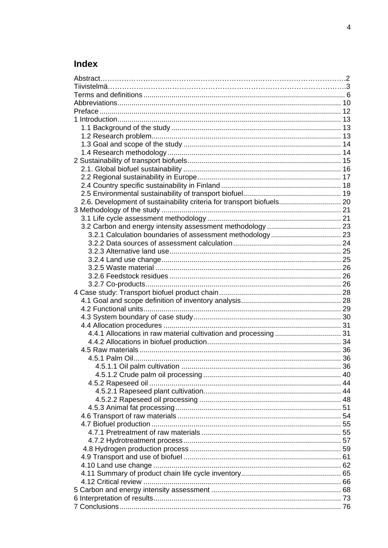# Index

| 2.6. Development of sustainability criteria for transport biofuels 20 |  |
|-----------------------------------------------------------------------|--|
|                                                                       |  |
|                                                                       |  |
|                                                                       |  |
|                                                                       |  |
|                                                                       |  |
|                                                                       |  |
|                                                                       |  |
|                                                                       |  |
|                                                                       |  |
|                                                                       |  |
|                                                                       |  |
|                                                                       |  |
|                                                                       |  |
|                                                                       |  |
|                                                                       |  |
|                                                                       |  |
|                                                                       |  |
|                                                                       |  |
|                                                                       |  |
|                                                                       |  |
|                                                                       |  |
|                                                                       |  |
|                                                                       |  |
|                                                                       |  |
|                                                                       |  |
|                                                                       |  |
|                                                                       |  |
|                                                                       |  |
|                                                                       |  |
|                                                                       |  |
|                                                                       |  |
|                                                                       |  |
|                                                                       |  |
|                                                                       |  |
|                                                                       |  |
|                                                                       |  |
|                                                                       |  |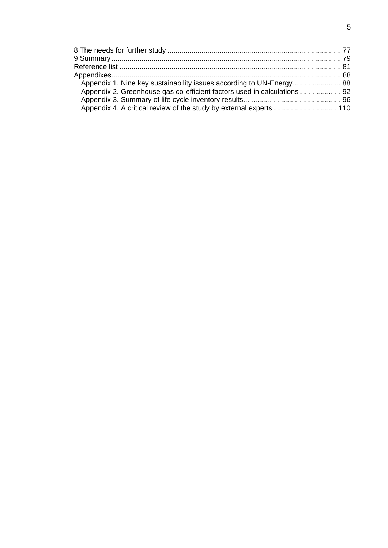| Appendix 1. Nine key sustainability issues according to UN-Energy 88    |  |
|-------------------------------------------------------------------------|--|
| Appendix 2. Greenhouse gas co-efficient factors used in calculations 92 |  |
|                                                                         |  |
|                                                                         |  |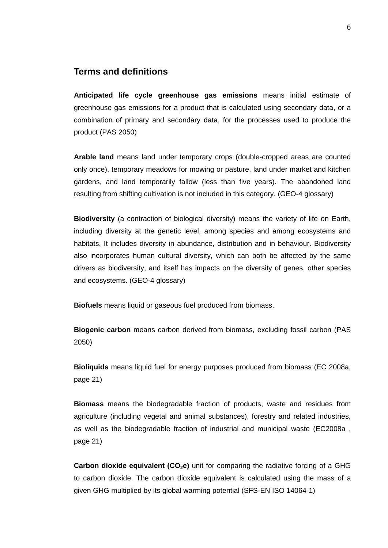# **Terms and definitions**

**Anticipated life cycle greenhouse gas emissions** means initial estimate of greenhouse gas emissions for a product that is calculated using secondary data, or a combination of primary and secondary data, for the processes used to produce the product (PAS 2050)

**Arable land** means land under temporary crops (double-cropped areas are counted only once), temporary meadows for mowing or pasture, land under market and kitchen gardens, and land temporarily fallow (less than five years). The abandoned land resulting from shifting cultivation is not included in this category. (GEO-4 glossary)

**Biodiversity** (a contraction of biological diversity) means the variety of life on Earth, including diversity at the genetic level, among species and among ecosystems and habitats. It includes diversity in abundance, distribution and in behaviour. Biodiversity also incorporates human cultural diversity, which can both be affected by the same drivers as biodiversity, and itself has impacts on the diversity of genes, other species and ecosystems. (GEO-4 glossary)

**Biofuels** means liquid or gaseous fuel produced from biomass.

**Biogenic carbon** means carbon derived from biomass, excluding fossil carbon (PAS 2050)

**Bioliquids** means liquid fuel for energy purposes produced from biomass (EC 2008a, page 21)

**Biomass** means the biodegradable fraction of products, waste and residues from agriculture (including vegetal and animal substances), forestry and related industries, as well as the biodegradable fraction of industrial and municipal waste (EC2008a , page 21)

**Carbon dioxide equivalent (CO<sub>2</sub>e)** unit for comparing the radiative forcing of a GHG to carbon dioxide. The carbon dioxide equivalent is calculated using the mass of a given GHG multiplied by its global warming potential (SFS-EN ISO 14064-1)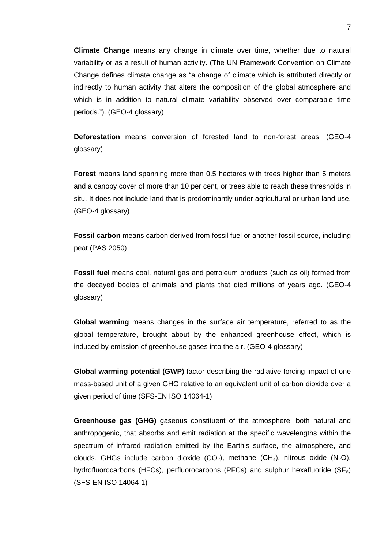**Climate Change** means any change in climate over time, whether due to natural variability or as a result of human activity. (The UN Framework Convention on Climate Change defines climate change as "a change of climate which is attributed directly or indirectly to human activity that alters the composition of the global atmosphere and which is in addition to natural climate variability observed over comparable time periods."). (GEO-4 glossary)

**Deforestation** means conversion of forested land to non-forest areas. (GEO-4 glossary)

**Forest** means land spanning more than 0.5 hectares with trees higher than 5 meters and a canopy cover of more than 10 per cent, or trees able to reach these thresholds in situ. It does not include land that is predominantly under agricultural or urban land use. (GEO-4 glossary)

**Fossil carbon** means carbon derived from fossil fuel or another fossil source, including peat (PAS 2050)

**Fossil fuel** means coal, natural gas and petroleum products (such as oil) formed from the decayed bodies of animals and plants that died millions of years ago. (GEO-4 glossary)

**Global warming** means changes in the surface air temperature, referred to as the global temperature, brought about by the enhanced greenhouse effect, which is induced by emission of greenhouse gases into the air. (GEO-4 glossary)

**Global warming potential (GWP)** factor describing the radiative forcing impact of one mass-based unit of a given GHG relative to an equivalent unit of carbon dioxide over a given period of time (SFS-EN ISO 14064-1)

**Greenhouse gas (GHG)** gaseous constituent of the atmosphere, both natural and anthropogenic, that absorbs and emit radiation at the specific wavelengths within the spectrum of infrared radiation emitted by the Earth's surface, the atmosphere, and clouds. GHGs include carbon dioxide (CO<sub>2</sub>), methane (CH<sub>4</sub>), nitrous oxide (N<sub>2</sub>O), hydrofluorocarbons (HFCs), perfluorocarbons (PFCs) and sulphur hexafluoride (SF $_6$ ) (SFS-EN ISO 14064-1)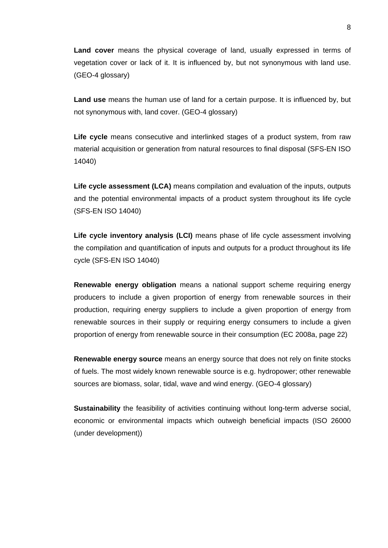**Land cover** means the physical coverage of land, usually expressed in terms of vegetation cover or lack of it. It is influenced by, but not synonymous with land use. (GEO-4 glossary)

**Land use** means the human use of land for a certain purpose. It is influenced by, but not synonymous with, land cover. (GEO-4 glossary)

**Life cycle** means consecutive and interlinked stages of a product system, from raw material acquisition or generation from natural resources to final disposal (SFS-EN ISO 14040)

**Life cycle assessment (LCA)** means compilation and evaluation of the inputs, outputs and the potential environmental impacts of a product system throughout its life cycle (SFS-EN ISO 14040)

**Life cycle inventory analysis (LCI)** means phase of life cycle assessment involving the compilation and quantification of inputs and outputs for a product throughout its life cycle (SFS-EN ISO 14040)

**Renewable energy obligation** means a national support scheme requiring energy producers to include a given proportion of energy from renewable sources in their production, requiring energy suppliers to include a given proportion of energy from renewable sources in their supply or requiring energy consumers to include a given proportion of energy from renewable source in their consumption (EC 2008a, page 22)

**Renewable energy source** means an energy source that does not rely on finite stocks of fuels. The most widely known renewable source is e.g. hydropower; other renewable sources are biomass, solar, tidal, wave and wind energy. (GEO-4 glossary)

**Sustainability** the feasibility of activities continuing without long-term adverse social, economic or environmental impacts which outweigh beneficial impacts (ISO 26000 (under development))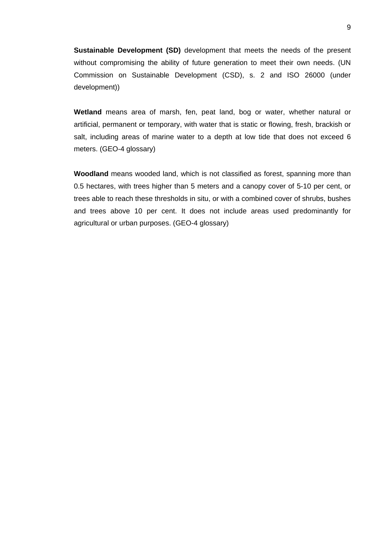**Sustainable Development (SD)** development that meets the needs of the present without compromising the ability of future generation to meet their own needs. (UN Commission on Sustainable Development (CSD), s. 2 and ISO 26000 (under development))

**Wetland** means area of marsh, fen, peat land, bog or water, whether natural or artificial, permanent or temporary, with water that is static or flowing, fresh, brackish or salt, including areas of marine water to a depth at low tide that does not exceed 6 meters. (GEO-4 glossary)

**Woodland** means wooded land, which is not classified as forest, spanning more than 0.5 hectares, with trees higher than 5 meters and a canopy cover of 5-10 per cent, or trees able to reach these thresholds in situ, or with a combined cover of shrubs, bushes and trees above 10 per cent. It does not include areas used predominantly for agricultural or urban purposes. (GEO-4 glossary)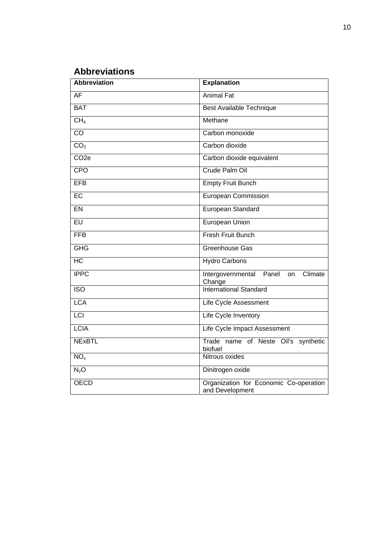# **Abbreviations**

| <b>Abbreviation</b> | <b>Explanation</b>                                           |
|---------------------|--------------------------------------------------------------|
| AF                  | <b>Animal Fat</b>                                            |
| <b>BAT</b>          | <b>Best Available Technique</b>                              |
| CH <sub>4</sub>     | Methane                                                      |
| $\overline{co}$     | Carbon monoxide                                              |
| CO <sub>2</sub>     | Carbon dioxide                                               |
| CO <sub>2e</sub>    | Carbon dioxide equivalent                                    |
| <b>CPO</b>          | Crude Palm Oil                                               |
| <b>EFB</b>          | <b>Empty Fruit Bunch</b>                                     |
| $E$ C               | European Commission                                          |
| <b>EN</b>           | European Standard                                            |
| $E$ U               | <b>European Union</b>                                        |
| <b>FFB</b>          | Fresh Fruit Bunch                                            |
| <b>GHG</b>          | Greenhouse Gas                                               |
| $\overline{HC}$     | <b>Hydro Carbons</b>                                         |
| <b>IPPC</b>         | Intergovernmental<br>Climate<br>Panel<br><b>on</b><br>Change |
| $\overline{ISO}$    | <b>International Standard</b>                                |
| <b>LCA</b>          | Life Cycle Assessment                                        |
| <b>LCI</b>          | Life Cycle Inventory                                         |
| <b>LCIA</b>         | Life Cycle Impact Assessment                                 |
| <b>NExBTL</b>       | Trade name of Neste Oil's synthetic<br>biofuel               |
| NO <sub>x</sub>     | Nitrous oxides                                               |
| $N_2$ O             | Dinitrogen oxide                                             |
| <b>OECD</b>         | Organization for Economic Co-operation<br>and Development    |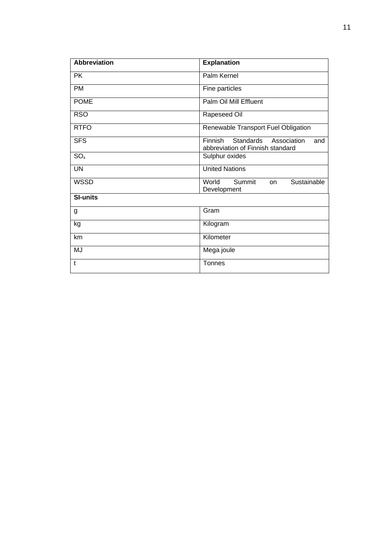| <b>Abbreviation</b> | <b>Explanation</b>                                                             |
|---------------------|--------------------------------------------------------------------------------|
| <b>PK</b>           | Palm Kernel                                                                    |
| <b>PM</b>           | Fine particles                                                                 |
| <b>POME</b>         | Palm Oil Mill Effluent                                                         |
| <b>RSO</b>          | Rapeseed Oil                                                                   |
| <b>RTFO</b>         | Renewable Transport Fuel Obligation                                            |
| <b>SFS</b>          | Finnish<br>Standards<br>Association<br>and<br>abbreviation of Finnish standard |
| $SO_{x}$            | Sulphur oxides                                                                 |
| <b>UN</b>           | <b>United Nations</b>                                                          |
| <b>WSSD</b>         | Summit<br>Sustainable<br>World<br><b>on</b><br>Development                     |
| <b>SI-units</b>     |                                                                                |
| g                   | Gram                                                                           |
| kg                  | Kilogram                                                                       |
| km                  | Kilometer                                                                      |
| MJ                  | Mega joule                                                                     |
| t                   | Tonnes                                                                         |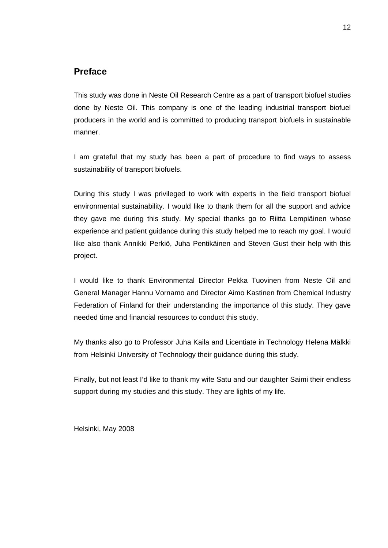# **Preface**

This study was done in Neste Oil Research Centre as a part of transport biofuel studies done by Neste Oil. This company is one of the leading industrial transport biofuel producers in the world and is committed to producing transport biofuels in sustainable manner.

I am grateful that my study has been a part of procedure to find ways to assess sustainability of transport biofuels.

During this study I was privileged to work with experts in the field transport biofuel environmental sustainability. I would like to thank them for all the support and advice they gave me during this study. My special thanks go to Riitta Lempiäinen whose experience and patient guidance during this study helped me to reach my goal. I would like also thank Annikki Perkiö, Juha Pentikäinen and Steven Gust their help with this project.

I would like to thank Environmental Director Pekka Tuovinen from Neste Oil and General Manager Hannu Vornamo and Director Aimo Kastinen from Chemical Industry Federation of Finland for their understanding the importance of this study. They gave needed time and financial resources to conduct this study.

My thanks also go to Professor Juha Kaila and Licentiate in Technology Helena Mälkki from Helsinki University of Technology their guidance during this study.

Finally, but not least I'd like to thank my wife Satu and our daughter Saimi their endless support during my studies and this study. They are lights of my life.

Helsinki, May 2008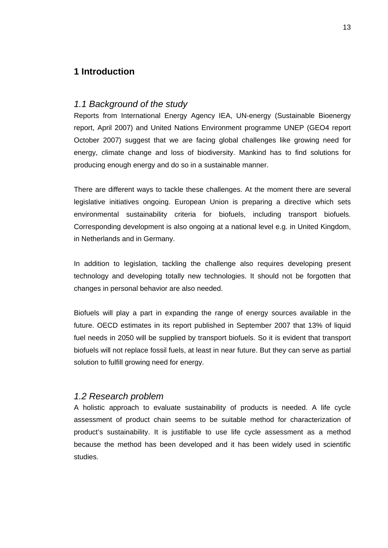# **1 Introduction**

#### *1.1 Background of the study*

Reports from International Energy Agency IEA, UN-energy (Sustainable Bioenergy report, April 2007) and United Nations Environment programme UNEP (GEO4 report October 2007) suggest that we are facing global challenges like growing need for energy, climate change and loss of biodiversity. Mankind has to find solutions for producing enough energy and do so in a sustainable manner.

There are different ways to tackle these challenges. At the moment there are several legislative initiatives ongoing. European Union is preparing a directive which sets environmental sustainability criteria for biofuels, including transport biofuels. Corresponding development is also ongoing at a national level e.g. in United Kingdom, in Netherlands and in Germany.

In addition to legislation, tackling the challenge also requires developing present technology and developing totally new technologies. It should not be forgotten that changes in personal behavior are also needed.

Biofuels will play a part in expanding the range of energy sources available in the future. OECD estimates in its report published in September 2007 that 13% of liquid fuel needs in 2050 will be supplied by transport biofuels. So it is evident that transport biofuels will not replace fossil fuels, at least in near future. But they can serve as partial solution to fulfill growing need for energy.

#### *1.2 Research problem*

A holistic approach to evaluate sustainability of products is needed. A life cycle assessment of product chain seems to be suitable method for characterization of product's sustainability. It is justifiable to use life cycle assessment as a method because the method has been developed and it has been widely used in scientific studies.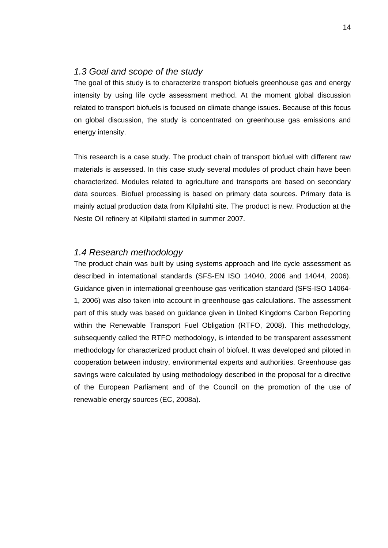# *1.3 Goal and scope of the study*

The goal of this study is to characterize transport biofuels greenhouse gas and energy intensity by using life cycle assessment method. At the moment global discussion related to transport biofuels is focused on climate change issues. Because of this focus on global discussion, the study is concentrated on greenhouse gas emissions and energy intensity.

This research is a case study. The product chain of transport biofuel with different raw materials is assessed. In this case study several modules of product chain have been characterized. Modules related to agriculture and transports are based on secondary data sources. Biofuel processing is based on primary data sources. Primary data is mainly actual production data from Kilpilahti site. The product is new. Production at the Neste Oil refinery at Kilpilahti started in summer 2007.

# *1.4 Research methodology*

The product chain was built by using systems approach and life cycle assessment as described in international standards (SFS-EN ISO 14040, 2006 and 14044, 2006). Guidance given in international greenhouse gas verification standard (SFS-ISO 14064- 1, 2006) was also taken into account in greenhouse gas calculations. The assessment part of this study was based on guidance given in United Kingdoms Carbon Reporting within the Renewable Transport Fuel Obligation (RTFO, 2008). This methodology, subsequently called the RTFO methodology, is intended to be transparent assessment methodology for characterized product chain of biofuel. It was developed and piloted in cooperation between industry, environmental experts and authorities. Greenhouse gas savings were calculated by using methodology described in the proposal for a directive of the European Parliament and of the Council on the promotion of the use of renewable energy sources (EC, 2008a).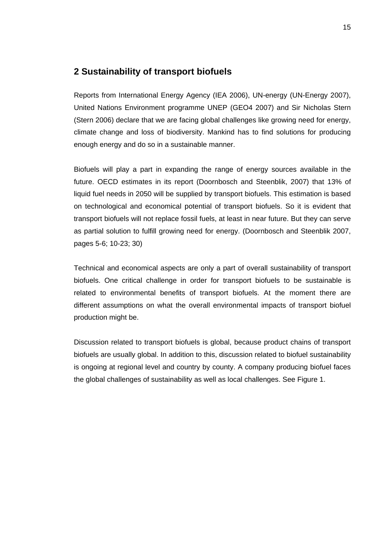# **2 Sustainability of transport biofuels**

Reports from International Energy Agency (IEA 2006), UN-energy (UN-Energy 2007), United Nations Environment programme UNEP (GEO4 2007) and Sir Nicholas Stern (Stern 2006) declare that we are facing global challenges like growing need for energy, climate change and loss of biodiversity. Mankind has to find solutions for producing enough energy and do so in a sustainable manner.

Biofuels will play a part in expanding the range of energy sources available in the future. OECD estimates in its report (Doornbosch and Steenblik, 2007) that 13% of liquid fuel needs in 2050 will be supplied by transport biofuels. This estimation is based on technological and economical potential of transport biofuels. So it is evident that transport biofuels will not replace fossil fuels, at least in near future. But they can serve as partial solution to fulfill growing need for energy. (Doornbosch and Steenblik 2007, pages 5-6; 10-23; 30)

Technical and economical aspects are only a part of overall sustainability of transport biofuels. One critical challenge in order for transport biofuels to be sustainable is related to environmental benefits of transport biofuels. At the moment there are different assumptions on what the overall environmental impacts of transport biofuel production might be.

Discussion related to transport biofuels is global, because product chains of transport biofuels are usually global. In addition to this, discussion related to biofuel sustainability is ongoing at regional level and country by county. A company producing biofuel faces the global challenges of sustainability as well as local challenges. See Figure 1.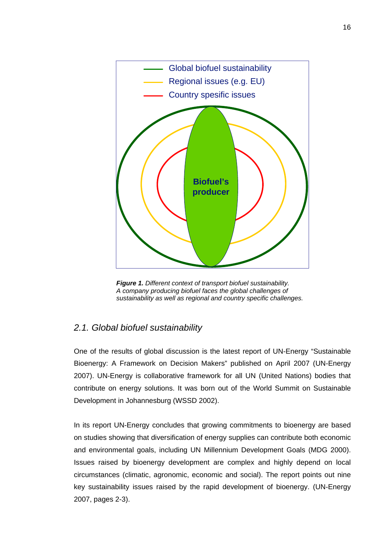

*Figure 1. Different context of transport biofuel sustainability. A company producing biofuel faces the global challenges of sustainability as well as regional and country specific challenges.* 

# *2.1. Global biofuel sustainability*

One of the results of global discussion is the latest report of UN-Energy "Sustainable Bioenergy: A Framework on Decision Makers" published on April 2007 (UN-Energy 2007). UN-Energy is collaborative framework for all UN (United Nations) bodies that contribute on energy solutions. It was born out of the World Summit on Sustainable Development in Johannesburg (WSSD 2002).

In its report UN-Energy concludes that growing commitments to bioenergy are based on studies showing that diversification of energy supplies can contribute both economic and environmental goals, including UN Millennium Development Goals (MDG 2000). Issues raised by bioenergy development are complex and highly depend on local circumstances (climatic, agronomic, economic and social). The report points out nine key sustainability issues raised by the rapid development of bioenergy. (UN-Energy 2007, pages 2-3).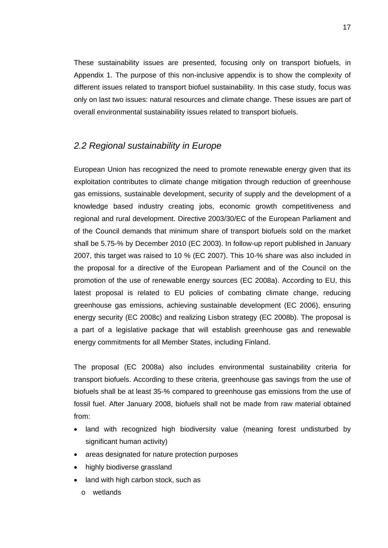These sustainability issues are presented, focusing only on transport biofuels, in Appendix 1. The purpose of this non-inclusive appendix is to show the complexity of different issues related to transport biofuel sustainability. In this case study, focus was only on last two issues: natural resources and climate change. These issues are part of overall environmental sustainability issues related to transport biofuels.

# *2.2 Regional sustainability in Europe*

European Union has recognized the need to promote renewable energy given that its exploitation contributes to climate change mitigation through reduction of greenhouse gas emissions, sustainable development, security of supply and the development of a knowledge based industry creating jobs, economic growth competitiveness and regional and rural development. Directive 2003/30/EC of the European Parliament and of the Council demands that minimum share of transport biofuels sold on the market shall be 5.75-% by December 2010 (EC 2003). In follow-up report published in January 2007, this target was raised to 10 % (EC 2007). This 10-% share was also included in the proposal for a directive of the European Parliament and of the Council on the promotion of the use of renewable energy sources (EC 2008a). According to EU, this latest proposal is related to EU policies of combating climate change, reducing greenhouse gas emissions, achieving sustainable development (EC 2006), ensuring energy security (EC 2008c) and realizing Lisbon strategy (EC 2008b). The proposal is a part of a legislative package that will establish greenhouse gas and renewable energy commitments for all Member States, including Finland.

The proposal (EC 2008a) also includes environmental sustainability criteria for transport biofuels. According to these criteria, greenhouse gas savings from the use of biofuels shall be at least 35-% compared to greenhouse gas emissions from the use of fossil fuel. After January 2008, biofuels shall not be made from raw material obtained from:

- land with recognized high biodiversity value (meaning forest undisturbed by significant human activity)
- areas designated for nature protection purposes
- highly biodiverse grassland
- land with high carbon stock, such as
	- o wetlands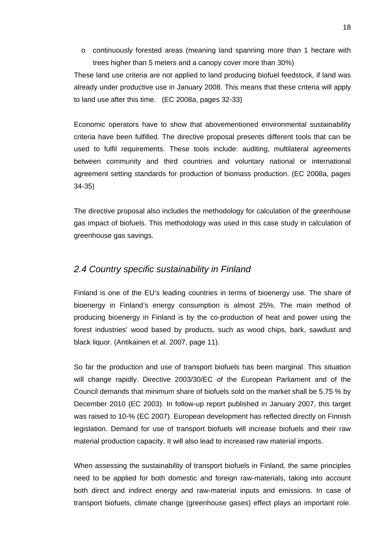o continuously forested areas (meaning land spanning more than 1 hectare with trees higher than 5 meters and a canopy cover more than 30%)

These land use criteria are not applied to land producing biofuel feedstock, if land was already under productive use in January 2008. This means that these criteria will apply to land use after this time. (EC 2008a, pages 32-33)

Economic operators have to show that abovementioned environmental sustainability criteria have been fulfilled. The directive proposal presents different tools that can be used to fulfil requirements. These tools include: auditing, multilateral agreements between community and third countries and voluntary national or international agreement setting standards for production of biomass production. (EC 2008a, pages 34-35)

The directive proposal also includes the methodology for calculation of the greenhouse gas impact of biofuels. This methodology was used in this case study in calculation of greenhouse gas savings.

# *2.4 Country specific sustainability in Finland*

Finland is one of the EU's leading countries in terms of bioenergy use. The share of bioenergy in Finland's energy consumption is almost 25%. The main method of producing bioenergy in Finland is by the co-production of heat and power using the forest industries' wood based by products, such as wood chips, bark, sawdust and black liquor. (Antikainen et al. 2007, page 11).

So far the production and use of transport biofuels has been marginal. This situation will change rapidly. Directive 2003/30/EC of the European Parliament and of the Council demands that minimum share of biofuels sold on the market shall be 5.75 % by December 2010 (EC 2003). In follow-up report published in January 2007, this target was raised to 10-% (EC 2007). European development has reflected directly on Finnish legislation. Demand for use of transport biofuels will increase biofuels and their raw material production capacity. It will also lead to increased raw material imports.

When assessing the sustainability of transport biofuels in Finland, the same principles need to be applied for both domestic and foreign raw-materials, taking into account both direct and indirect energy and raw-material inputs and emissions. In case of transport biofuels, climate change (greenhouse gases) effect plays an important role.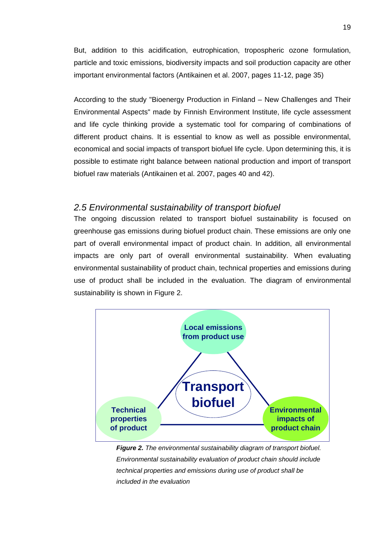But, addition to this acidification, eutrophication, tropospheric ozone formulation, particle and toxic emissions, biodiversity impacts and soil production capacity are other important environmental factors (Antikainen et al. 2007, pages 11-12, page 35)

According to the study "Bioenergy Production in Finland – New Challenges and Their Environmental Aspects" made by Finnish Environment Institute, life cycle assessment and life cycle thinking provide a systematic tool for comparing of combinations of different product chains. It is essential to know as well as possible environmental, economical and social impacts of transport biofuel life cycle. Upon determining this, it is possible to estimate right balance between national production and import of transport biofuel raw materials (Antikainen et al. 2007, pages 40 and 42).

# *2.5 Environmental sustainability of transport biofuel*

The ongoing discussion related to transport biofuel sustainability is focused on greenhouse gas emissions during biofuel product chain. These emissions are only one part of overall environmental impact of product chain. In addition, all environmental impacts are only part of overall environmental sustainability. When evaluating environmental sustainability of product chain, technical properties and emissions during use of product shall be included in the evaluation. The diagram of environmental sustainability is shown in Figure 2.



*Figure 2. The environmental sustainability diagram of transport biofuel. Environmental sustainability evaluation of product chain should include technical properties and emissions during use of product shall be included in the evaluation*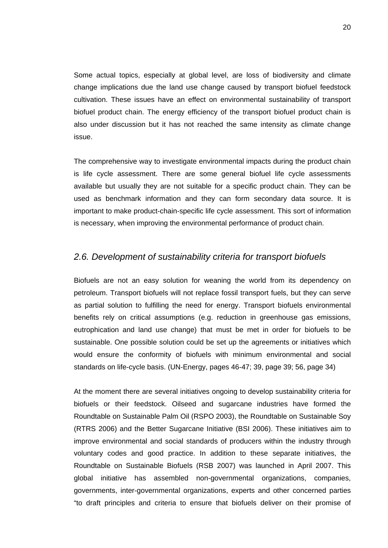Some actual topics, especially at global level, are loss of biodiversity and climate change implications due the land use change caused by transport biofuel feedstock cultivation. These issues have an effect on environmental sustainability of transport biofuel product chain. The energy efficiency of the transport biofuel product chain is also under discussion but it has not reached the same intensity as climate change issue.

The comprehensive way to investigate environmental impacts during the product chain is life cycle assessment. There are some general biofuel life cycle assessments available but usually they are not suitable for a specific product chain. They can be used as benchmark information and they can form secondary data source. It is important to make product-chain-specific life cycle assessment. This sort of information is necessary, when improving the environmental performance of product chain.

# *2.6. Development of sustainability criteria for transport biofuels*

Biofuels are not an easy solution for weaning the world from its dependency on petroleum. Transport biofuels will not replace fossil transport fuels, but they can serve as partial solution to fulfilling the need for energy. Transport biofuels environmental benefits rely on critical assumptions (e.g. reduction in greenhouse gas emissions, eutrophication and land use change) that must be met in order for biofuels to be sustainable. One possible solution could be set up the agreements or initiatives which would ensure the conformity of biofuels with minimum environmental and social standards on life-cycle basis. (UN-Energy, pages 46-47; 39, page 39; 56, page 34)

At the moment there are several initiatives ongoing to develop sustainability criteria for biofuels or their feedstock. Oilseed and sugarcane industries have formed the Roundtable on Sustainable Palm Oil (RSPO 2003), the Roundtable on Sustainable Soy (RTRS 2006) and the Better Sugarcane Initiative (BSI 2006). These initiatives aim to improve environmental and social standards of producers within the industry through voluntary codes and good practice. In addition to these separate initiatives, the Roundtable on Sustainable Biofuels (RSB 2007) was launched in April 2007. This global initiative has assembled non-governmental organizations, companies, governments, inter-governmental organizations, experts and other concerned parties "to draft principles and criteria to ensure that biofuels deliver on their promise of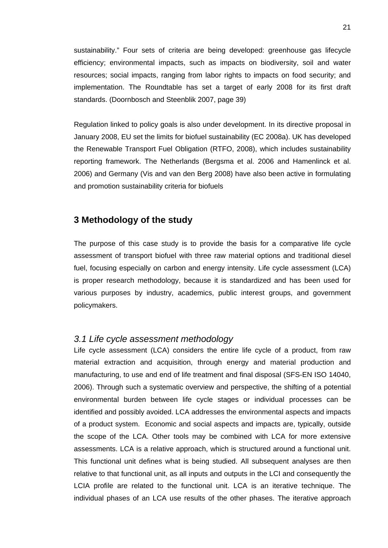sustainability." Four sets of criteria are being developed: greenhouse gas lifecycle efficiency; environmental impacts, such as impacts on biodiversity, soil and water resources; social impacts, ranging from labor rights to impacts on food security; and implementation. The Roundtable has set a target of early 2008 for its first draft standards. (Doornbosch and Steenblik 2007, page 39)

Regulation linked to policy goals is also under development. In its directive proposal in January 2008, EU set the limits for biofuel sustainability (EC 2008a). UK has developed the Renewable Transport Fuel Obligation (RTFO, 2008), which includes sustainability reporting framework. The Netherlands (Bergsma et al. 2006 and Hamenlinck et al. 2006) and Germany (Vis and van den Berg 2008) have also been active in formulating and promotion sustainability criteria for biofuels

# **3 Methodology of the study**

The purpose of this case study is to provide the basis for a comparative life cycle assessment of transport biofuel with three raw material options and traditional diesel fuel, focusing especially on carbon and energy intensity. Life cycle assessment (LCA) is proper research methodology, because it is standardized and has been used for various purposes by industry, academics, public interest groups, and government policymakers.

# *3.1 Life cycle assessment methodology*

Life cycle assessment (LCA) considers the entire life cycle of a product, from raw material extraction and acquisition, through energy and material production and manufacturing, to use and end of life treatment and final disposal (SFS-EN ISO 14040, 2006). Through such a systematic overview and perspective, the shifting of a potential environmental burden between life cycle stages or individual processes can be identified and possibly avoided. LCA addresses the environmental aspects and impacts of a product system. Economic and social aspects and impacts are, typically, outside the scope of the LCA. Other tools may be combined with LCA for more extensive assessments. LCA is a relative approach, which is structured around a functional unit. This functional unit defines what is being studied. All subsequent analyses are then relative to that functional unit, as all inputs and outputs in the LCI and consequently the LCIA profile are related to the functional unit. LCA is an iterative technique. The individual phases of an LCA use results of the other phases. The iterative approach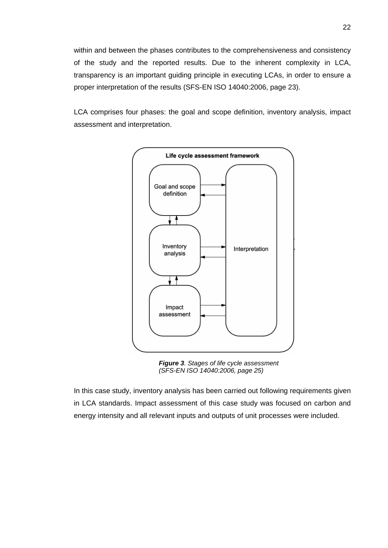within and between the phases contributes to the comprehensiveness and consistency of the study and the reported results. Due to the inherent complexity in LCA, transparency is an important guiding principle in executing LCAs, in order to ensure a proper interpretation of the results (SFS-EN ISO 14040:2006, page 23).

LCA comprises four phases: the goal and scope definition, inventory analysis, impact assessment and interpretation.



*Figure 3. Stages of life cycle assessment (SFS-EN ISO 14040:2006, page 25)* 

In this case study, inventory analysis has been carried out following requirements given in LCA standards. Impact assessment of this case study was focused on carbon and energy intensity and all relevant inputs and outputs of unit processes were included.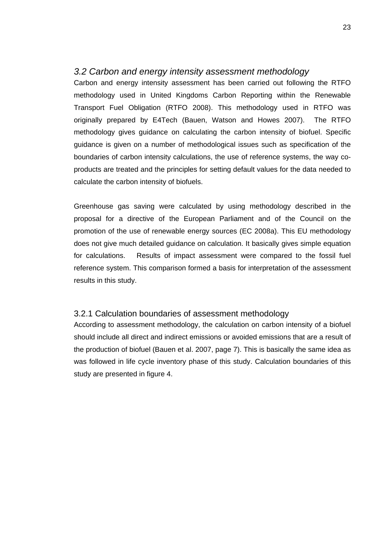# *3.2 Carbon and energy intensity assessment methodology*

Carbon and energy intensity assessment has been carried out following the RTFO methodology used in United Kingdoms Carbon Reporting within the Renewable Transport Fuel Obligation (RTFO 2008). This methodology used in RTFO was originally prepared by E4Tech (Bauen, Watson and Howes 2007). The RTFO methodology gives guidance on calculating the carbon intensity of biofuel. Specific guidance is given on a number of methodological issues such as specification of the boundaries of carbon intensity calculations, the use of reference systems, the way coproducts are treated and the principles for setting default values for the data needed to calculate the carbon intensity of biofuels.

Greenhouse gas saving were calculated by using methodology described in the proposal for a directive of the European Parliament and of the Council on the promotion of the use of renewable energy sources (EC 2008a). This EU methodology does not give much detailed guidance on calculation. It basically gives simple equation for calculations. Results of impact assessment were compared to the fossil fuel reference system. This comparison formed a basis for interpretation of the assessment results in this study.

#### 3.2.1 Calculation boundaries of assessment methodology

According to assessment methodology, the calculation on carbon intensity of a biofuel should include all direct and indirect emissions or avoided emissions that are a result of the production of biofuel (Bauen et al. 2007, page 7). This is basically the same idea as was followed in life cycle inventory phase of this study. Calculation boundaries of this study are presented in figure 4.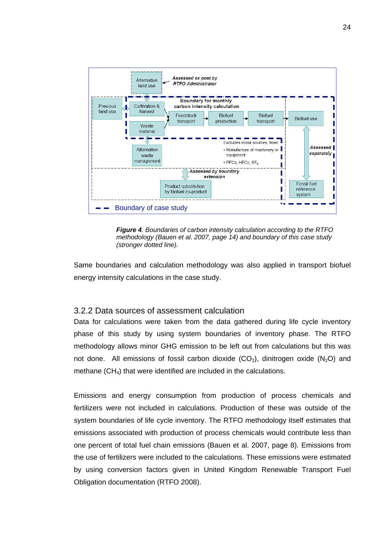



Same boundaries and calculation methodology was also applied in transport biofuel energy intensity calculations in the case study.

#### 3.2.2 Data sources of assessment calculation

Data for calculations were taken from the data gathered during life cycle inventory phase of this study by using system boundaries of inventory phase. The RTFO methodology allows minor GHG emission to be left out from calculations but this was not done. All emissions of fossil carbon dioxide  $(CO<sub>2</sub>)$ , dinitrogen oxide  $(N<sub>2</sub>O)$  and methane  $(CH<sub>4</sub>)$  that were identified are included in the calculations.

Emissions and energy consumption from production of process chemicals and fertilizers were not included in calculations. Production of these was outside of the system boundaries of life cycle inventory. The RTFO methodology itself estimates that emissions associated with production of process chemicals would contribute less than one percent of total fuel chain emissions (Bauen et al. 2007, page 8). Emissions from the use of fertilizers were included to the calculations. These emissions were estimated by using conversion factors given in United Kingdom Renewable Transport Fuel Obligation documentation (RTFO 2008).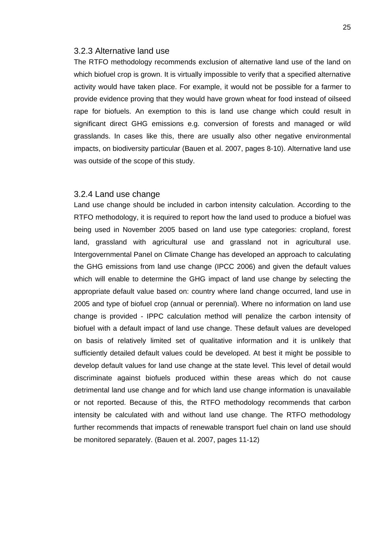#### 3.2.3 Alternative land use

The RTFO methodology recommends exclusion of alternative land use of the land on which biofuel crop is grown. It is virtually impossible to verify that a specified alternative activity would have taken place. For example, it would not be possible for a farmer to provide evidence proving that they would have grown wheat for food instead of oilseed rape for biofuels. An exemption to this is land use change which could result in significant direct GHG emissions e.g. conversion of forests and managed or wild grasslands. In cases like this, there are usually also other negative environmental impacts, on biodiversity particular (Bauen et al. 2007, pages 8-10). Alternative land use was outside of the scope of this study.

#### 3.2.4 Land use change

Land use change should be included in carbon intensity calculation. According to the RTFO methodology, it is required to report how the land used to produce a biofuel was being used in November 2005 based on land use type categories: cropland, forest land, grassland with agricultural use and grassland not in agricultural use. Intergovernmental Panel on Climate Change has developed an approach to calculating the GHG emissions from land use change (IPCC 2006) and given the default values which will enable to determine the GHG impact of land use change by selecting the appropriate default value based on: country where land change occurred, land use in 2005 and type of biofuel crop (annual or perennial). Where no information on land use change is provided - IPPC calculation method will penalize the carbon intensity of biofuel with a default impact of land use change. These default values are developed on basis of relatively limited set of qualitative information and it is unlikely that sufficiently detailed default values could be developed. At best it might be possible to develop default values for land use change at the state level. This level of detail would discriminate against biofuels produced within these areas which do not cause detrimental land use change and for which land use change information is unavailable or not reported. Because of this, the RTFO methodology recommends that carbon intensity be calculated with and without land use change. The RTFO methodology further recommends that impacts of renewable transport fuel chain on land use should be monitored separately. (Bauen et al. 2007, pages 11-12)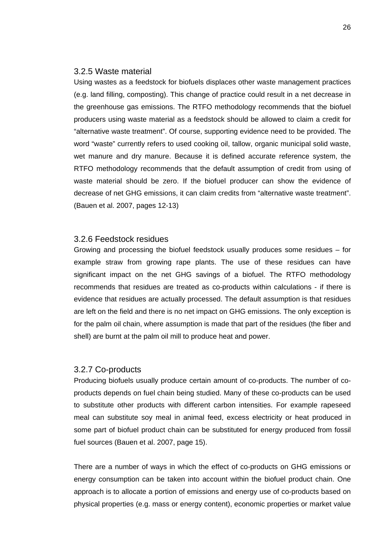#### 3.2.5 Waste material

Using wastes as a feedstock for biofuels displaces other waste management practices (e.g. land filling, composting). This change of practice could result in a net decrease in the greenhouse gas emissions. The RTFO methodology recommends that the biofuel producers using waste material as a feedstock should be allowed to claim a credit for "alternative waste treatment". Of course, supporting evidence need to be provided. The word "waste" currently refers to used cooking oil, tallow, organic municipal solid waste, wet manure and dry manure. Because it is defined accurate reference system, the RTFO methodology recommends that the default assumption of credit from using of waste material should be zero. If the biofuel producer can show the evidence of decrease of net GHG emissions, it can claim credits from "alternative waste treatment". (Bauen et al. 2007, pages 12-13)

#### 3.2.6 Feedstock residues

Growing and processing the biofuel feedstock usually produces some residues – for example straw from growing rape plants. The use of these residues can have significant impact on the net GHG savings of a biofuel. The RTFO methodology recommends that residues are treated as co-products within calculations - if there is evidence that residues are actually processed. The default assumption is that residues are left on the field and there is no net impact on GHG emissions. The only exception is for the palm oil chain, where assumption is made that part of the residues (the fiber and shell) are burnt at the palm oil mill to produce heat and power.

#### 3.2.7 Co-products

Producing biofuels usually produce certain amount of co-products. The number of coproducts depends on fuel chain being studied. Many of these co-products can be used to substitute other products with different carbon intensities. For example rapeseed meal can substitute soy meal in animal feed, excess electricity or heat produced in some part of biofuel product chain can be substituted for energy produced from fossil fuel sources (Bauen et al. 2007, page 15).

There are a number of ways in which the effect of co-products on GHG emissions or energy consumption can be taken into account within the biofuel product chain. One approach is to allocate a portion of emissions and energy use of co-products based on physical properties (e.g. mass or energy content), economic properties or market value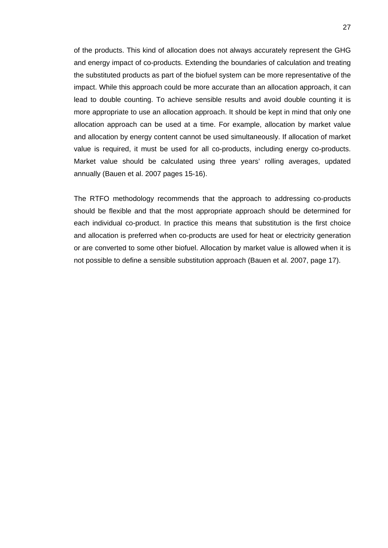of the products. This kind of allocation does not always accurately represent the GHG and energy impact of co-products. Extending the boundaries of calculation and treating the substituted products as part of the biofuel system can be more representative of the impact. While this approach could be more accurate than an allocation approach, it can lead to double counting. To achieve sensible results and avoid double counting it is more appropriate to use an allocation approach. It should be kept in mind that only one allocation approach can be used at a time. For example, allocation by market value and allocation by energy content cannot be used simultaneously. If allocation of market value is required, it must be used for all co-products, including energy co-products. Market value should be calculated using three years' rolling averages, updated annually (Bauen et al. 2007 pages 15-16).

The RTFO methodology recommends that the approach to addressing co-products should be flexible and that the most appropriate approach should be determined for each individual co-product. In practice this means that substitution is the first choice and allocation is preferred when co-products are used for heat or electricity generation or are converted to some other biofuel. Allocation by market value is allowed when it is not possible to define a sensible substitution approach (Bauen et al. 2007, page 17).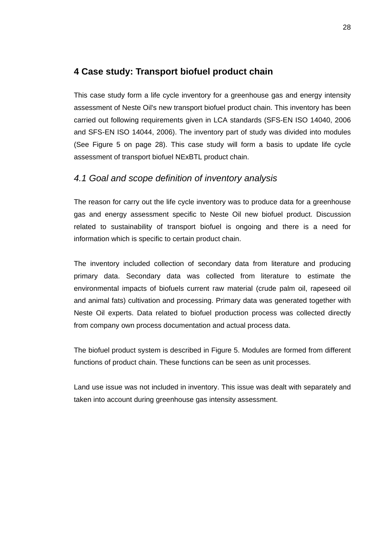# **4 Case study: Transport biofuel product chain**

This case study form a life cycle inventory for a greenhouse gas and energy intensity assessment of Neste Oil's new transport biofuel product chain. This inventory has been carried out following requirements given in LCA standards (SFS-EN ISO 14040, 2006 and SFS-EN ISO 14044, 2006). The inventory part of study was divided into modules (See Figure 5 on page 28). This case study will form a basis to update life cycle assessment of transport biofuel NExBTL product chain.

# *4.1 Goal and scope definition of inventory analysis*

The reason for carry out the life cycle inventory was to produce data for a greenhouse gas and energy assessment specific to Neste Oil new biofuel product. Discussion related to sustainability of transport biofuel is ongoing and there is a need for information which is specific to certain product chain.

The inventory included collection of secondary data from literature and producing primary data. Secondary data was collected from literature to estimate the environmental impacts of biofuels current raw material (crude palm oil, rapeseed oil and animal fats) cultivation and processing. Primary data was generated together with Neste Oil experts. Data related to biofuel production process was collected directly from company own process documentation and actual process data.

The biofuel product system is described in Figure 5. Modules are formed from different functions of product chain. These functions can be seen as unit processes.

Land use issue was not included in inventory. This issue was dealt with separately and taken into account during greenhouse gas intensity assessment.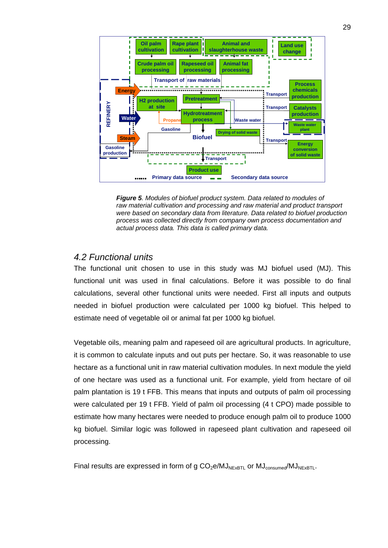

*Figure 5. Modules of biofuel product system. Data related to modules of raw material cultivation and processing and raw material and product transport were based on secondary data from literature. Data related to biofuel production process was collected directly from company own process documentation and actual process data. This data is called primary data.* 

# *4.2 Functional units*

The functional unit chosen to use in this study was MJ biofuel used (MJ). This functional unit was used in final calculations. Before it was possible to do final calculations, several other functional units were needed. First all inputs and outputs needed in biofuel production were calculated per 1000 kg biofuel. This helped to estimate need of vegetable oil or animal fat per 1000 kg biofuel.

Vegetable oils, meaning palm and rapeseed oil are agricultural products. In agriculture, it is common to calculate inputs and out puts per hectare. So, it was reasonable to use hectare as a functional unit in raw material cultivation modules. In next module the yield of one hectare was used as a functional unit. For example, yield from hectare of oil palm plantation is 19 t FFB. This means that inputs and outputs of palm oil processing were calculated per 19 t FFB. Yield of palm oil processing (4 t CPO) made possible to estimate how many hectares were needed to produce enough palm oil to produce 1000 kg biofuel. Similar logic was followed in rapeseed plant cultivation and rapeseed oil processing.

Final results are expressed in form of g  $CO<sub>2</sub>e/MJ<sub>NFxBTL</sub>$  or  $MJ<sub>consumed</sub>/MJ<sub>NFxBTL</sub>$ .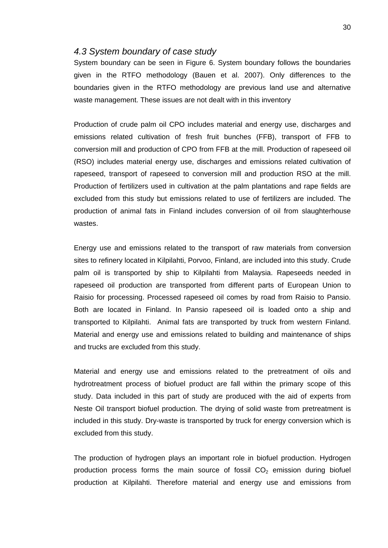#### *4.3 System boundary of case study*

System boundary can be seen in Figure 6. System boundary follows the boundaries given in the RTFO methodology (Bauen et al. 2007). Only differences to the boundaries given in the RTFO methodology are previous land use and alternative waste management. These issues are not dealt with in this inventory

Production of crude palm oil CPO includes material and energy use, discharges and emissions related cultivation of fresh fruit bunches (FFB), transport of FFB to conversion mill and production of CPO from FFB at the mill. Production of rapeseed oil (RSO) includes material energy use, discharges and emissions related cultivation of rapeseed, transport of rapeseed to conversion mill and production RSO at the mill. Production of fertilizers used in cultivation at the palm plantations and rape fields are excluded from this study but emissions related to use of fertilizers are included. The production of animal fats in Finland includes conversion of oil from slaughterhouse wastes.

Energy use and emissions related to the transport of raw materials from conversion sites to refinery located in Kilpilahti, Porvoo, Finland, are included into this study. Crude palm oil is transported by ship to Kilpilahti from Malaysia. Rapeseeds needed in rapeseed oil production are transported from different parts of European Union to Raisio for processing. Processed rapeseed oil comes by road from Raisio to Pansio. Both are located in Finland. In Pansio rapeseed oil is loaded onto a ship and transported to Kilpilahti. Animal fats are transported by truck from western Finland. Material and energy use and emissions related to building and maintenance of ships and trucks are excluded from this study.

Material and energy use and emissions related to the pretreatment of oils and hydrotreatment process of biofuel product are fall within the primary scope of this study. Data included in this part of study are produced with the aid of experts from Neste Oil transport biofuel production. The drying of solid waste from pretreatment is included in this study. Dry-waste is transported by truck for energy conversion which is excluded from this study.

The production of hydrogen plays an important role in biofuel production. Hydrogen production process forms the main source of fossil  $CO<sub>2</sub>$  emission during biofuel production at Kilpilahti. Therefore material and energy use and emissions from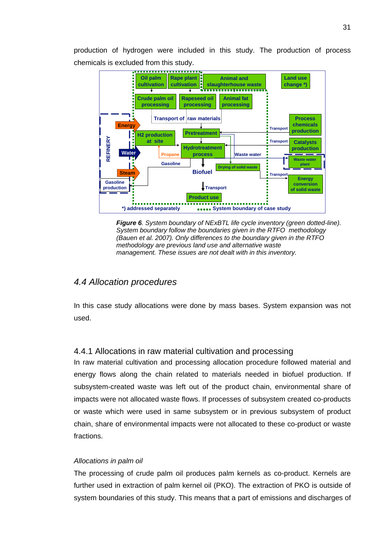production of hydrogen were included in this study. The production of process chemicals is excluded from this study.





# *4.4 Allocation procedures*

In this case study allocations were done by mass bases. System expansion was not used.

# 4.4.1 Allocations in raw material cultivation and processing

In raw material cultivation and processing allocation procedure followed material and energy flows along the chain related to materials needed in biofuel production. If subsystem-created waste was left out of the product chain, environmental share of impacts were not allocated waste flows. If processes of subsystem created co-products or waste which were used in same subsystem or in previous subsystem of product chain, share of environmental impacts were not allocated to these co-product or waste fractions.

#### *Allocations in palm oil*

The processing of crude palm oil produces palm kernels as co-product. Kernels are further used in extraction of palm kernel oil (PKO). The extraction of PKO is outside of system boundaries of this study. This means that a part of emissions and discharges of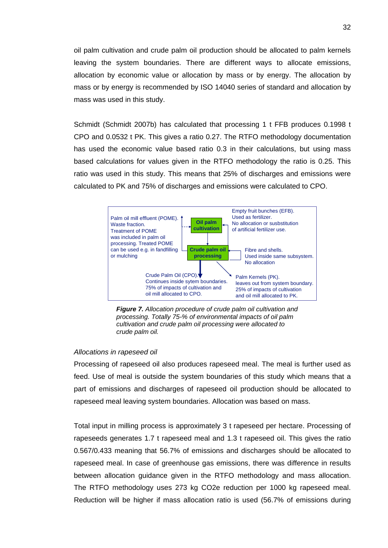oil palm cultivation and crude palm oil production should be allocated to palm kernels leaving the system boundaries. There are different ways to allocate emissions, allocation by economic value or allocation by mass or by energy. The allocation by mass or by energy is recommended by ISO 14040 series of standard and allocation by mass was used in this study.

Schmidt (Schmidt 2007b) has calculated that processing 1 t FFB produces 0.1998 t CPO and 0.0532 t PK. This gives a ratio 0.27. The RTFO methodology documentation has used the economic value based ratio 0.3 in their calculations, but using mass based calculations for values given in the RTFO methodology the ratio is 0.25. This ratio was used in this study. This means that 25% of discharges and emissions were calculated to PK and 75% of discharges and emissions were calculated to CPO.



*Figure 7. Allocation procedure of crude palm oil cultivation and processing. Totally 75-% of environmental impacts of oil palm cultivation and crude palm oil processing were allocated to crude palm oil.* 

#### *Allocations in rapeseed oil*

Processing of rapeseed oil also produces rapeseed meal. The meal is further used as feed. Use of meal is outside the system boundaries of this study which means that a part of emissions and discharges of rapeseed oil production should be allocated to rapeseed meal leaving system boundaries. Allocation was based on mass.

Total input in milling process is approximately 3 t rapeseed per hectare. Processing of rapeseeds generates 1.7 t rapeseed meal and 1.3 t rapeseed oil. This gives the ratio 0.567/0.433 meaning that 56.7% of emissions and discharges should be allocated to rapeseed meal. In case of greenhouse gas emissions, there was difference in results between allocation guidance given in the RTFO methodology and mass allocation. The RTFO methodology uses 273 kg CO2e reduction per 1000 kg rapeseed meal. Reduction will be higher if mass allocation ratio is used (56.7% of emissions during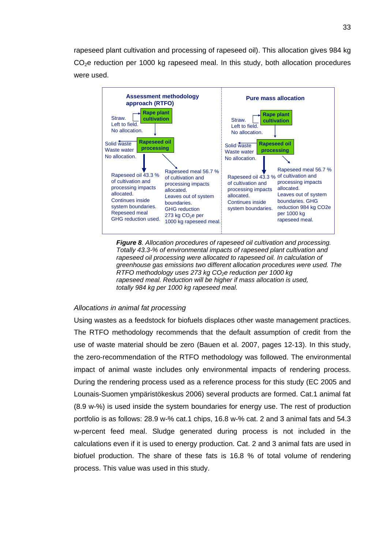rapeseed plant cultivation and processing of rapeseed oil). This allocation gives 984 kg  $CO<sub>2</sub>e$  reduction per 1000 kg rapeseed meal. In this study, both allocation procedures were used.



*Figure 8. Allocation procedures of rapeseed oil cultivation and processing. Totally 43.3-% of environmental impacts of rapeseed plant cultivation and rapeseed oil processing were allocated to rapeseed oil. In calculation of greenhouse gas emissions two different allocation procedures were used. The RTFO methodology uses 273 kg CO<sub>2</sub>e reduction per 1000 kg rapeseed meal. Reduction will be higher if mass allocation is used, totally 984 kg per 1000 kg rapeseed meal.* 

#### *Allocations in animal fat processing*

Using wastes as a feedstock for biofuels displaces other waste management practices. The RTFO methodology recommends that the default assumption of credit from the use of waste material should be zero (Bauen et al. 2007, pages 12-13). In this study, the zero-recommendation of the RTFO methodology was followed. The environmental impact of animal waste includes only environmental impacts of rendering process. During the rendering process used as a reference process for this study (EC 2005 and Lounais-Suomen ympäristökeskus 2006) several products are formed. Cat.1 animal fat (8.9 w-%) is used inside the system boundaries for energy use. The rest of production portfolio is as follows: 28.9 w-% cat.1 chips, 16.8 w-% cat. 2 and 3 animal fats and 54.3 w-percent feed meal. Sludge generated during process is not included in the calculations even if it is used to energy production. Cat. 2 and 3 animal fats are used in biofuel production. The share of these fats is 16.8 % of total volume of rendering process. This value was used in this study.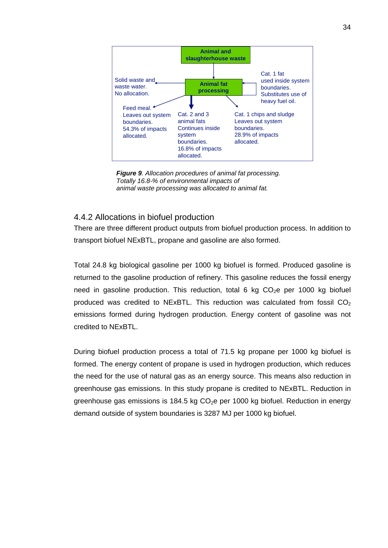

*Figure 9. Allocation procedures of animal fat processing. Totally 16.8-% of environmental impacts of animal waste processing was allocated to animal fat.* 

# 4.4.2 Allocations in biofuel production

There are three different product outputs from biofuel production process. In addition to transport biofuel NExBTL, propane and gasoline are also formed.

Total 24.8 kg biological gasoline per 1000 kg biofuel is formed. Produced gasoline is returned to the gasoline production of refinery. This gasoline reduces the fossil energy need in gasoline production. This reduction, total 6 kg  $CO<sub>2</sub>e$  per 1000 kg biofuel produced was credited to NExBTL. This reduction was calculated from fossil  $CO<sub>2</sub>$ emissions formed during hydrogen production. Energy content of gasoline was not credited to NExBTL.

During biofuel production process a total of 71.5 kg propane per 1000 kg biofuel is formed. The energy content of propane is used in hydrogen production, which reduces the need for the use of natural gas as an energy source. This means also reduction in greenhouse gas emissions. In this study propane is credited to NExBTL. Reduction in greenhouse gas emissions is 184.5 kg  $CO<sub>2</sub>$ e per 1000 kg biofuel. Reduction in energy demand outside of system boundaries is 3287 MJ per 1000 kg biofuel.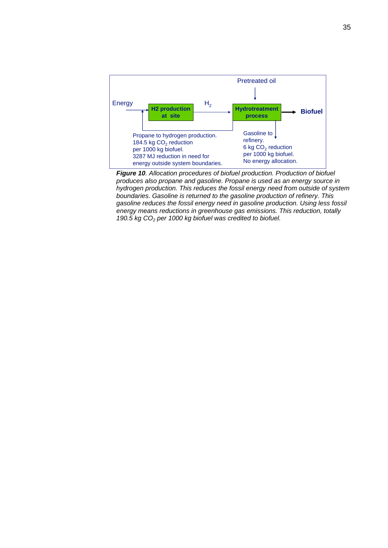

*Figure 10. Allocation procedures of biofuel production. Production of biofuel produces also propane and gasoline. Propane is used as an energy source in hydrogen production. This reduces the fossil energy need from outside of system boundaries. Gasoline is returned to the gasoline production of refinery. This gasoline reduces the fossil energy need in gasoline production. Using less fossil energy means reductions in greenhouse gas emissions. This reduction, totally 190.5 kg CO2 per 1000 kg biofuel was credited to biofuel.*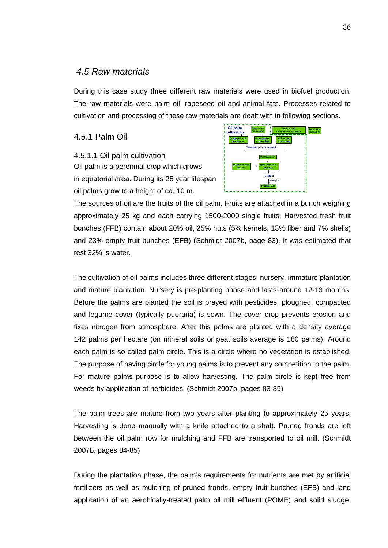# *4.5 Raw materials*

During this case study three different raw materials were used in biofuel production. The raw materials were palm oil, rapeseed oil and animal fats. Processes related to cultivation and processing of these raw materials are dealt with in following sections.

4.5.1 Palm Oil

4.5.1.1 Oil palm cultivation Oil palm is a perennial crop which grows in equatorial area. During its 25 year lifespan oil palms grow to a height of ca. 10 m.



The sources of oil are the fruits of the oil palm. Fruits are attached in a bunch weighing approximately 25 kg and each carrying 1500-2000 single fruits. Harvested fresh fruit bunches (FFB) contain about 20% oil, 25% nuts (5% kernels, 13% fiber and 7% shells) and 23% empty fruit bunches (EFB) (Schmidt 2007b, page 83). It was estimated that rest 32% is water.

The cultivation of oil palms includes three different stages: nursery, immature plantation and mature plantation. Nursery is pre-planting phase and lasts around 12-13 months. Before the palms are planted the soil is prayed with pesticides, ploughed, compacted and legume cover (typically pueraria) is sown. The cover crop prevents erosion and fixes nitrogen from atmosphere. After this palms are planted with a density average 142 palms per hectare (on mineral soils or peat soils average is 160 palms). Around each palm is so called palm circle. This is a circle where no vegetation is established. The purpose of having circle for young palms is to prevent any competition to the palm. For mature palms purpose is to allow harvesting. The palm circle is kept free from weeds by application of herbicides. (Schmidt 2007b, pages 83-85)

The palm trees are mature from two years after planting to approximately 25 years. Harvesting is done manually with a knife attached to a shaft. Pruned fronds are left between the oil palm row for mulching and FFB are transported to oil mill. (Schmidt 2007b, pages 84-85)

During the plantation phase, the palm's requirements for nutrients are met by artificial fertilizers as well as mulching of pruned fronds, empty fruit bunches (EFB) and land application of an aerobically-treated palm oil mill effluent (POME) and solid sludge.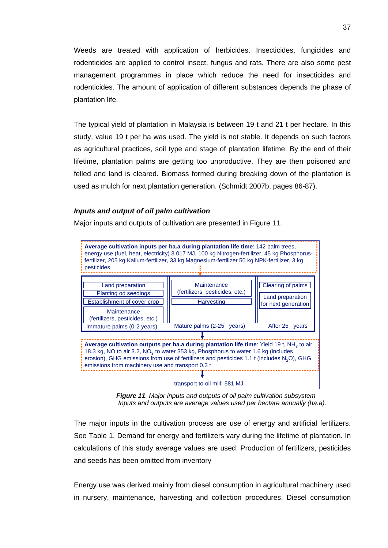Weeds are treated with application of herbicides. Insecticides, fungicides and rodenticides are applied to control insect, fungus and rats. There are also some pest management programmes in place which reduce the need for insecticides and rodenticides. The amount of application of different substances depends the phase of plantation life.

The typical yield of plantation in Malaysia is between 19 t and 21 t per hectare. In this study, value 19 t per ha was used. The yield is not stable. It depends on such factors as agricultural practices, soil type and stage of plantation lifetime. By the end of their lifetime, plantation palms are getting too unproductive. They are then poisoned and felled and land is cleared. Biomass formed during breaking down of the plantation is used as mulch for next plantation generation. (Schmidt 2007b, pages 86-87).

### *Inputs and output of oil palm cultivation*

Major inputs and outputs of cultivation are presented in Figure 11.



*Figure 11. Major inputs and outputs of oil palm cultivation subsystem Inputs and outputs are average values used per hectare annually (ha.a).* 

The major inputs in the cultivation process are use of energy and artificial fertilizers. See Table 1. Demand for energy and fertilizers vary during the lifetime of plantation. In calculations of this study average values are used. Production of fertilizers, pesticides and seeds has been omitted from inventory

Energy use was derived mainly from diesel consumption in agricultural machinery used in nursery, maintenance, harvesting and collection procedures. Diesel consumption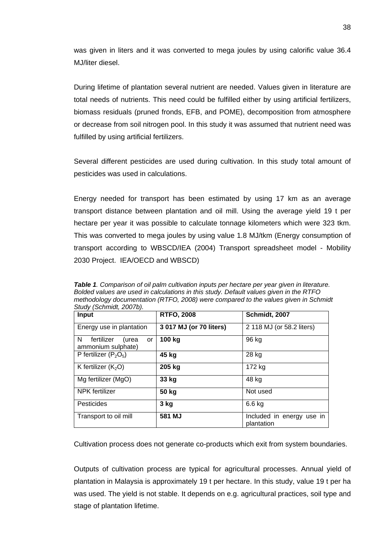was given in liters and it was converted to mega joules by using calorific value 36.4 MJ/liter diesel.

During lifetime of plantation several nutrient are needed. Values given in literature are total needs of nutrients. This need could be fulfilled either by using artificial fertilizers, biomass residuals (pruned fronds, EFB, and POME), decomposition from atmosphere or decrease from soil nitrogen pool. In this study it was assumed that nutrient need was fulfilled by using artificial fertilizers.

Several different pesticides are used during cultivation. In this study total amount of pesticides was used in calculations.

Energy needed for transport has been estimated by using 17 km as an average transport distance between plantation and oil mill. Using the average yield 19 t per hectare per year it was possible to calculate tonnage kilometers which were 323 tkm. This was converted to mega joules by using value 1.8 MJ/tkm (Energy consumption of transport according to WBSCD/IEA (2004) Transport spreadsheet model - Mobility 2030 Project. IEA/OECD and WBSCD)

*Table 1. Comparison of oil palm cultivation inputs per hectare per year given in literature. Bolded values are used in calculations in this study. Default values given in the RTFO methodology documentation (RTFO, 2008) were compared to the values given in Schmidt Study (Schmidt, 2007b).* 

| Input                                                        | <b>RTFO, 2008</b>       | Schmidt, 2007                           |
|--------------------------------------------------------------|-------------------------|-----------------------------------------|
| Energy use in plantation                                     | 3 017 MJ (or 70 liters) | 2 118 MJ (or 58.2 liters)               |
| N.<br>fertilizer<br>(urea<br><b>or</b><br>ammonium sulphate) | 100 kg                  | 96 kg                                   |
| P fertilizer $(P_2O_5)$                                      | 45 kg                   | 28 kg                                   |
| K fertilizer $(K_2O)$                                        | 205 kg                  | 172 kg                                  |
| Mg fertilizer (MgO)                                          | 33 kg                   | 48 kg                                   |
| NPK fertilizer                                               | 50 kg                   | Not used                                |
| Pesticides                                                   | 3 kg                    | 6.6 kg                                  |
| Transport to oil mill                                        | 581 MJ                  | Included in energy use in<br>plantation |

Cultivation process does not generate co-products which exit from system boundaries.

Outputs of cultivation process are typical for agricultural processes. Annual yield of plantation in Malaysia is approximately 19 t per hectare. In this study, value 19 t per ha was used. The yield is not stable. It depends on e.g. agricultural practices, soil type and stage of plantation lifetime.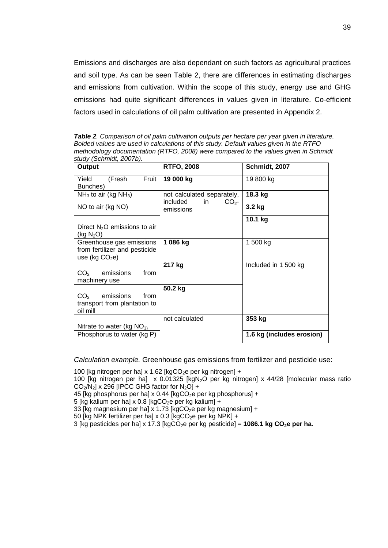Emissions and discharges are also dependant on such factors as agricultural practices and soil type. As can be seen Table 2, there are differences in estimating discharges and emissions from cultivation. Within the scope of this study, energy use and GHG emissions had quite significant differences in values given in literature. Co-efficient factors used in calculations of oil palm cultivation are presented in Appendix 2.

*Table 2. Comparison of oil palm cultivation outputs per hectare per year given in literature. Bolded values are used in calculations of this study. Default values given in the RTFO methodology documentation (RTFO, 2008) were compared to the values given in Schmidt study (Schmidt, 2007b).* 

| Output                                                                           | <b>RTFO, 2008</b>                                                | Schmidt, 2007             |
|----------------------------------------------------------------------------------|------------------------------------------------------------------|---------------------------|
| Fruit<br>Yield<br>(Fresh<br>Bunches)                                             | 19 000 kg                                                        | 19 800 kg                 |
| $NH3$ to air (kg NH <sub>3</sub> )                                               | not calculated separately,<br>included<br>CO <sub>2</sub><br>in. | 18.3 kg                   |
| NO to air (kg NO)                                                                | emissions                                                        | 3.2 kg                    |
| Direct $N_2O$ emissions to air<br>(kg $N_2O$ )                                   |                                                                  | 10.1 kg                   |
| Greenhouse gas emissions<br>from fertilizer and pesticide<br>use (kg $CO2e$ )    | 1 086 kg                                                         | 1 500 kg                  |
| emissions<br>from<br>CO <sub>2</sub><br>machinery use                            | 217 kg                                                           | Included in 1 500 kg      |
| CO <sub>2</sub><br>emissions<br>from<br>transport from plantation to<br>oil mill | 50.2 kg                                                          |                           |
|                                                                                  | not calculated                                                   | 353 kg                    |
| Nitrate to water (kg $NO_{3}$ )<br>Phosphorus to water (kg P)                    |                                                                  | 1.6 kg (includes erosion) |

*Calculation example.* Greenhouse gas emissions from fertilizer and pesticide use:

100 [kg nitrogen per ha] x 1.62 [kgCO<sub>2</sub>e per kg nitrogen] +

100 [kg nitrogen per ha]  $\times$  0.01325 [kgN<sub>2</sub>O per kg nitrogen]  $\times$  44/28 [molecular mass ratio  $CO<sub>2</sub>/N<sub>2</sub>$  x 296 [IPCC GHG factor for N<sub>2</sub>O] +

45 [kg phosphorus per ha] x 0.44 [kgCO<sub>2</sub>e per kg phosphorus] +

5 [kg kalium per ha] x 0.8 [kgCO<sub>2</sub>e per kg kalium] +

33 [kg magnesium per ha] x 1.73 [kgCO<sub>2</sub>e per kg magnesium] +

50 [kg NPK fertilizer per ha] x 0.3 [kgCO<sub>2</sub>e per kg NPK] +

 $3$  [kg pesticides per ha] x 17.3 [kgCO<sub>2</sub>e per kg pesticide] = **1086.1 kg CO<sub>2</sub>e per ha**.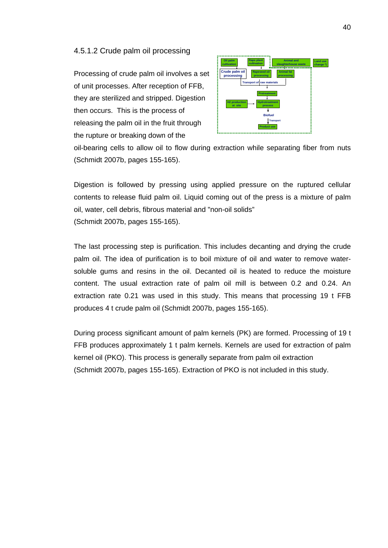### 4.5.1.2 Crude palm oil processing

Processing of crude palm oil involves a set of unit processes. After reception of FFB, they are sterilized and stripped. Digestion then occurs. This is the process of releasing the palm oil in the fruit through the rupture or breaking down of the



oil-bearing cells to allow oil to flow during extraction while separating fiber from nuts (Schmidt 2007b, pages 155-165).

Digestion is followed by pressing using applied pressure on the ruptured cellular contents to release fluid palm oil. Liquid coming out of the press is a mixture of palm oil, water, cell debris, fibrous material and "non-oil solids" (Schmidt 2007b, pages 155-165).

The last processing step is purification. This includes decanting and drying the crude palm oil. The idea of purification is to boil mixture of oil and water to remove watersoluble gums and resins in the oil. Decanted oil is heated to reduce the moisture content. The usual extraction rate of palm oil mill is between 0.2 and 0.24. An extraction rate 0.21 was used in this study. This means that processing 19 t FFB produces 4 t crude palm oil (Schmidt 2007b, pages 155-165).

During process significant amount of palm kernels (PK) are formed. Processing of 19 t FFB produces approximately 1 t palm kernels. Kernels are used for extraction of palm kernel oil (PKO). This process is generally separate from palm oil extraction (Schmidt 2007b, pages 155-165). Extraction of PKO is not included in this study.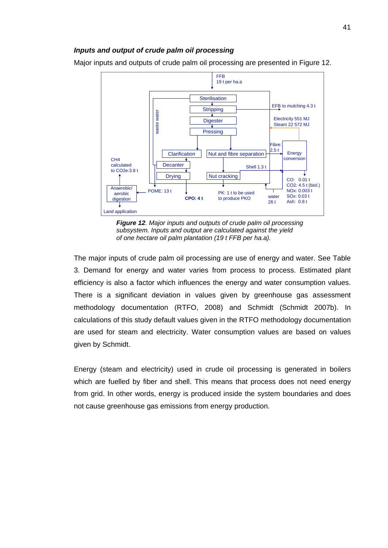#### *Inputs and output of crude palm oil processing*

Major inputs and outputs of crude palm oil processing are presented in Figure 12.



*Figure 12. Major inputs and outputs of crude palm oil processing subsystem. Inputs and output are calculated against the yield of one hectare oil palm plantation (19 t FFB per ha.a).* 

The major inputs of crude palm oil processing are use of energy and water. See Table 3. Demand for energy and water varies from process to process. Estimated plant efficiency is also a factor which influences the energy and water consumption values. There is a significant deviation in values given by greenhouse gas assessment methodology documentation (RTFO, 2008) and Schmidt (Schmidt 2007b). In calculations of this study default values given in the RTFO methodology documentation are used for steam and electricity. Water consumption values are based on values given by Schmidt.

Energy (steam and electricity) used in crude oil processing is generated in boilers which are fuelled by fiber and shell. This means that process does not need energy from grid. In other words, energy is produced inside the system boundaries and does not cause greenhouse gas emissions from energy production.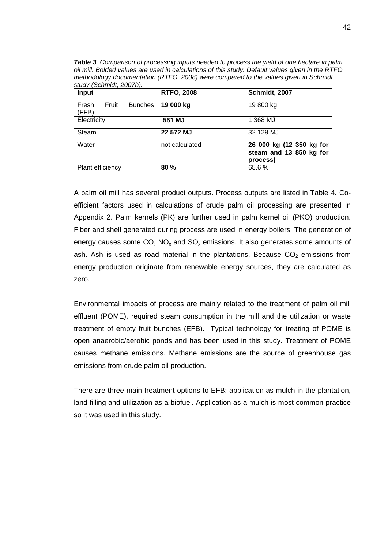*Table 3. Comparison of processing inputs needed to process the yield of one hectare in palm oil mill. Bolded values are used in calculations of this study. Default values given in the RTFO methodology documentation (RTFO, 2008) were compared to the values given in Schmidt study (Schmidt, 2007b).* 

| Input                                     | <b>RTFO, 2008</b> | Schmidt, 2007                                                   |
|-------------------------------------------|-------------------|-----------------------------------------------------------------|
| Fresh<br>Fruit<br><b>Bunches</b><br>(FFB) | 19 000 kg         | 19 800 kg                                                       |
| Electricity                               | 551 MJ            | 1 368 MJ                                                        |
| Steam                                     | 22 572 MJ         | 32 129 MJ                                                       |
| Water                                     | not calculated    | 26 000 kg (12 350 kg for<br>steam and 13 850 kg for<br>process) |
| Plant efficiency                          | 80 %              | 65.6%                                                           |

A palm oil mill has several product outputs. Process outputs are listed in Table 4. Coefficient factors used in calculations of crude palm oil processing are presented in Appendix 2. Palm kernels (PK) are further used in palm kernel oil (PKO) production. Fiber and shell generated during process are used in energy boilers. The generation of energy causes some CO,  $NO<sub>x</sub>$  and SO<sub>x</sub> emissions. It also generates some amounts of ash. Ash is used as road material in the plantations. Because  $CO<sub>2</sub>$  emissions from energy production originate from renewable energy sources, they are calculated as zero.

Environmental impacts of process are mainly related to the treatment of palm oil mill effluent (POME), required steam consumption in the mill and the utilization or waste treatment of empty fruit bunches (EFB). Typical technology for treating of POME is open anaerobic/aerobic ponds and has been used in this study. Treatment of POME causes methane emissions. Methane emissions are the source of greenhouse gas emissions from crude palm oil production.

There are three main treatment options to EFB: application as mulch in the plantation, land filling and utilization as a biofuel. Application as a mulch is most common practice so it was used in this study.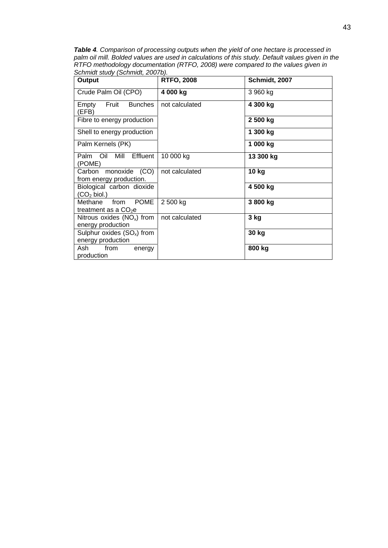*Table 4. Comparison of processing outputs when the yield of one hectare is processed in palm oil mill. Bolded values are used in calculations of this study. Default values given in the RTFO methodology documentation (RTFO, 2008) were compared to the values given in Schmidt study (Schmidt, 2007b).* 

| . <u>.</u><br>Output                                                        | <b>RTFO, 2008</b> | Schmidt, 2007 |
|-----------------------------------------------------------------------------|-------------------|---------------|
| Crude Palm Oil (CPO)                                                        | 4 000 kg          | 3 960 kg      |
| Fruit<br><b>Bunches</b><br>Empty<br>(EFB)                                   | not calculated    | 4 300 kg      |
| Fibre to energy production                                                  |                   | 2 500 kg      |
| Shell to energy production                                                  |                   | 1 300 kg      |
| Palm Kernels (PK)                                                           |                   | 1 000 kg      |
| Palm Oil<br>Mill Effluent<br>(POME)                                         | 10 000 kg         | 13 300 kg     |
| Carbon monoxide (CO)<br>from energy production.                             | not calculated    | 10 kg         |
| Biological carbon dioxide<br>$\left(\mathsf{CO}_{2}\,\mathsf{biol.}\right)$ |                   | 4 500 kg      |
| <b>POME</b><br>from<br>Methane<br>treatment as a $CO2e$                     | 2 500 kg          | 3 800 kg      |
| Nitrous oxides $(NO_x)$ from<br>energy production                           | not calculated    | 3 kg          |
| Sulphur oxides $(SO_x)$ from<br>energy production                           |                   | 30 kg         |
| Ash<br>from<br>energy<br>production                                         |                   | 800 kg        |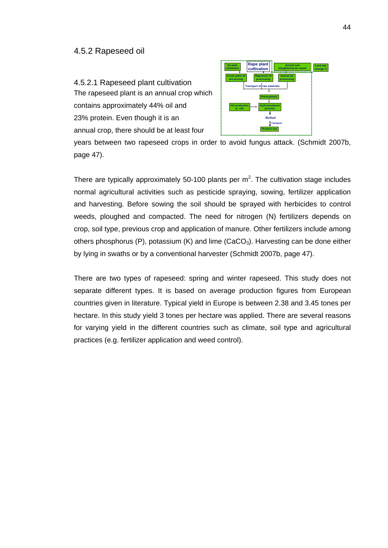#### 4.5.2 Rapeseed oil

4.5.2.1 Rapeseed plant cultivation The rapeseed plant is an annual crop which contains approximately 44% oil and 23% protein. Even though it is an annual crop, there should be at least four



years between two rapeseed crops in order to avoid fungus attack. (Schmidt 2007b, page 47).

There are typically approximately 50-100 plants per  $m^2$ . The cultivation stage includes normal agricultural activities such as pesticide spraying, sowing, fertilizer application and harvesting. Before sowing the soil should be sprayed with herbicides to control weeds, ploughed and compacted. The need for nitrogen (N) fertilizers depends on crop, soil type, previous crop and application of manure. Other fertilizers include among others phosphorus (P), potassium (K) and lime  $(CaCO<sub>3</sub>)$ . Harvesting can be done either by lying in swaths or by a conventional harvester (Schmidt 2007b, page 47).

There are two types of rapeseed: spring and winter rapeseed. This study does not separate different types. It is based on average production figures from European countries given in literature. Typical yield in Europe is between 2.38 and 3.45 tones per hectare. In this study yield 3 tones per hectare was applied. There are several reasons for varying yield in the different countries such as climate, soil type and agricultural practices (e.g. fertilizer application and weed control).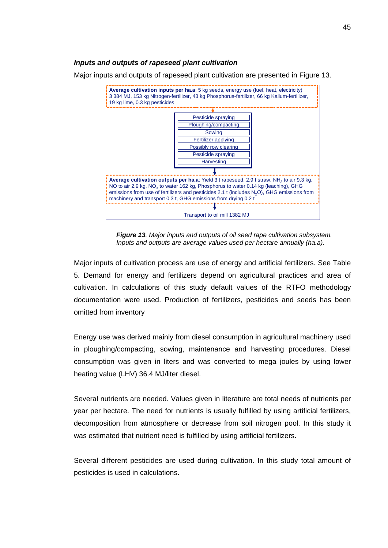### *Inputs and outputs of rapeseed plant cultivation*

Major inputs and outputs of rapeseed plant cultivation are presented in Figure 13.



*Figure 13. Major inputs and outputs of oil seed rape cultivation subsystem. Inputs and outputs are average values used per hectare annually (ha.a).* 

Major inputs of cultivation process are use of energy and artificial fertilizers. See Table 5. Demand for energy and fertilizers depend on agricultural practices and area of cultivation. In calculations of this study default values of the RTFO methodology documentation were used. Production of fertilizers, pesticides and seeds has been omitted from inventory

Energy use was derived mainly from diesel consumption in agricultural machinery used in ploughing/compacting, sowing, maintenance and harvesting procedures. Diesel consumption was given in liters and was converted to mega joules by using lower heating value (LHV) 36.4 MJ/liter diesel.

Several nutrients are needed. Values given in literature are total needs of nutrients per year per hectare. The need for nutrients is usually fulfilled by using artificial fertilizers, decomposition from atmosphere or decrease from soil nitrogen pool. In this study it was estimated that nutrient need is fulfilled by using artificial fertilizers.

Several different pesticides are used during cultivation. In this study total amount of pesticides is used in calculations.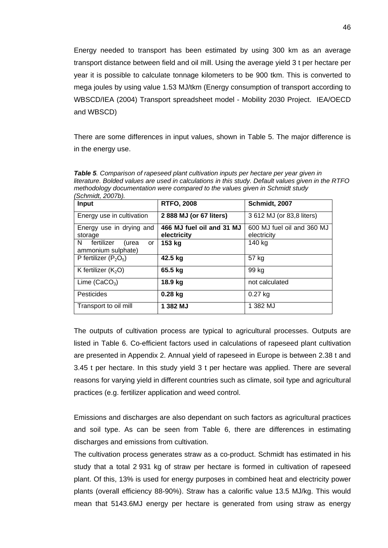Energy needed to transport has been estimated by using 300 km as an average transport distance between field and oil mill. Using the average yield 3 t per hectare per year it is possible to calculate tonnage kilometers to be 900 tkm. This is converted to mega joules by using value 1.53 MJ/tkm (Energy consumption of transport according to WBSCD/IEA (2004) Transport spreadsheet model - Mobility 2030 Project. IEA/OECD and WBSCD)

There are some differences in input values, shown in Table 5. The major difference is in the energy use.

| 001111111444 LUVI 1977                                |                                          |                                           |  |
|-------------------------------------------------------|------------------------------------------|-------------------------------------------|--|
| Input                                                 | <b>RTFO, 2008</b>                        | Schmidt, 2007                             |  |
| Energy use in cultivation                             | 2 888 MJ (or 67 liters)                  | 3 612 MJ (or 83,8 liters)                 |  |
| Energy use in drying and<br>storage                   | 466 MJ fuel oil and 31 MJ<br>electricity | 600 MJ fuel oil and 360 MJ<br>electricity |  |
| fertilizer<br>N.<br>(urea<br>or<br>ammonium sulphate) | 153 kg                                   | 140 kg                                    |  |
| P fertilizer $(P_2O_5)$                               | 42.5 kg                                  | 57 kg                                     |  |
| K fertilizer $(K_2O)$                                 | 65.5 kg                                  | 99 kg                                     |  |
| Lime $(CaCO3)$                                        | 18.9 kg                                  | not calculated                            |  |
| Pesticides                                            | $0.28$ kg                                | $0.27$ kg                                 |  |
| Transport to oil mill                                 | 1 382 MJ                                 | 1 382 MJ                                  |  |

*Table 5. Comparison of rapeseed plant cultivation inputs per hectare per year given in literature. Bolded values are used in calculations in this study. Default values given in the RTFO methodology documentation were compared to the values given in Schmidt study (Schmidt, 2007b).* 

The outputs of cultivation process are typical to agricultural processes. Outputs are listed in Table 6. Co-efficient factors used in calculations of rapeseed plant cultivation are presented in Appendix 2. Annual yield of rapeseed in Europe is between 2.38 t and 3.45 t per hectare. In this study yield 3 t per hectare was applied. There are several reasons for varying yield in different countries such as climate, soil type and agricultural practices (e.g. fertilizer application and weed control.

Emissions and discharges are also dependant on such factors as agricultural practices and soil type. As can be seen from Table 6, there are differences in estimating discharges and emissions from cultivation.

The cultivation process generates straw as a co-product. Schmidt has estimated in his study that a total 2 931 kg of straw per hectare is formed in cultivation of rapeseed plant. Of this, 13% is used for energy purposes in combined heat and electricity power plants (overall efficiency 88-90%). Straw has a calorific value 13.5 MJ/kg. This would mean that 5143.6MJ energy per hectare is generated from using straw as energy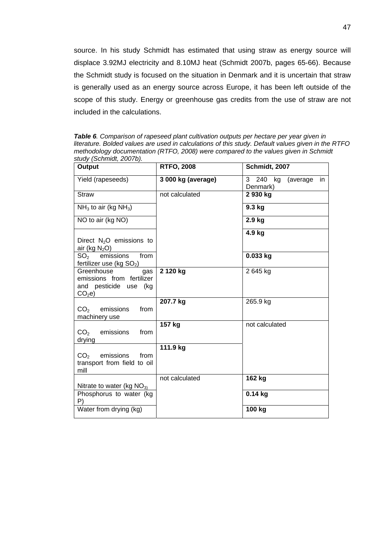source. In his study Schmidt has estimated that using straw as energy source will displace 3.92MJ electricity and 8.10MJ heat (Schmidt 2007b, pages 65-66). Because the Schmidt study is focused on the situation in Denmark and it is uncertain that straw is generally used as an energy source across Europe, it has been left outside of the scope of this study. Energy or greenhouse gas credits from the use of straw are not included in the calculations.

*Table 6. Comparison of rapeseed plant cultivation outputs per hectare per year given in literature. Bolded values are used in calculations of this study. Default values given in the RTFO methodology documentation (RTFO, 2008) were compared to the values given in Schmidt study (Schmidt, 2007b).* 

| Output                                                                                       | <b>RTFO, 2008</b>  | Schmidt, 2007                            |
|----------------------------------------------------------------------------------------------|--------------------|------------------------------------------|
| Yield (rapeseeds)                                                                            | 3 000 kg (average) | 3 240 kg<br>(average)<br>in.<br>Denmark) |
| <b>Straw</b>                                                                                 | not calculated     | 2 930 kg                                 |
| $NH3$ to air (kg NH <sub>3</sub> )                                                           |                    | 9.3 kg                                   |
| NO to air (kg NO)                                                                            |                    | 2.9 kg                                   |
| Direct N <sub>2</sub> O emissions to<br>air (kg $N_2O$ )                                     |                    | 4.9 kg                                   |
| emissions<br>from<br>SO <sub>2</sub><br>fertilizer use (kg SO <sub>2</sub> )                 |                    | 0.033 kg                                 |
| Greenhouse<br>gas<br>emissions from fertilizer<br>and pesticide use (kg<br>CO <sub>2</sub> e | 2 120 kg           | 2 645 kg                                 |
| $CO2$ emissions<br>from<br>machinery use                                                     | 207.7 kg           | 265.9 kg                                 |
| CO <sub>2</sub><br>emissions<br>from<br>drying                                               | 157 kg             | not calculated                           |
| emissions<br>CO <sub>2</sub><br>from<br>transport from field to oil<br>mill                  | 111.9 kg           |                                          |
| Nitrate to water (kg $NO31$ )                                                                | not calculated     | 162 kg                                   |
| Phosphorus to water (kg)<br>P)                                                               |                    | $0.14$ kg                                |
| Water from drying (kg)                                                                       |                    | 100 kg                                   |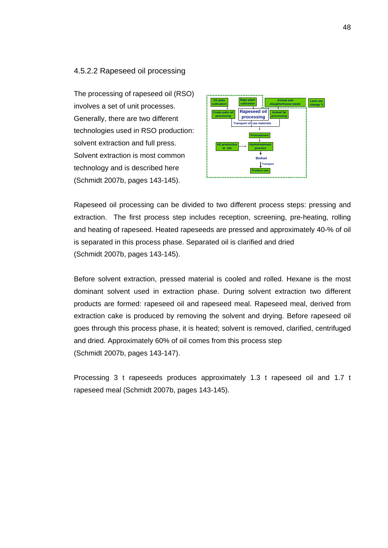#### 4.5.2.2 Rapeseed oil processing

The processing of rapeseed oil (RSO) involves a set of unit processes. Generally, there are two different technologies used in RSO production: solvent extraction and full press. Solvent extraction is most common technology and is described here (Schmidt 2007b, pages 143-145).



Rapeseed oil processing can be divided to two different process steps: pressing and extraction. The first process step includes reception, screening, pre-heating, rolling and heating of rapeseed. Heated rapeseeds are pressed and approximately 40-% of oil is separated in this process phase. Separated oil is clarified and dried (Schmidt 2007b, pages 143-145).

Before solvent extraction, pressed material is cooled and rolled. Hexane is the most dominant solvent used in extraction phase. During solvent extraction two different products are formed: rapeseed oil and rapeseed meal. Rapeseed meal, derived from extraction cake is produced by removing the solvent and drying. Before rapeseed oil goes through this process phase, it is heated; solvent is removed, clarified, centrifuged and dried. Approximately 60% of oil comes from this process step (Schmidt 2007b, pages 143-147).

Processing 3 t rapeseeds produces approximately 1.3 t rapeseed oil and 1.7 t rapeseed meal (Schmidt 2007b, pages 143-145).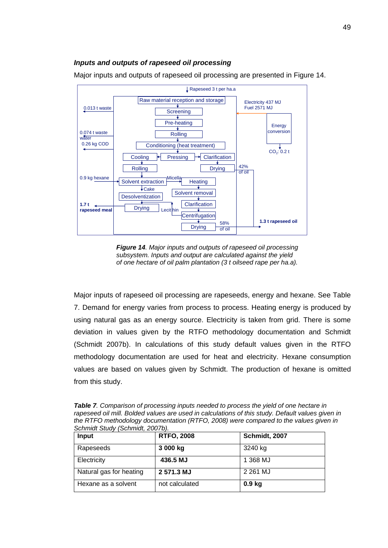## *Inputs and outputs of rapeseed oil processing*

Major inputs and outputs of rapeseed oil processing are presented in Figure 14.



*Figure 14. Major inputs and outputs of rapeseed oil processing subsystem. Inputs and output are calculated against the yield of one hectare of oil palm plantation (3 t oilseed rape per ha.a).* 

Major inputs of rapeseed oil processing are rapeseeds, energy and hexane. See Table 7. Demand for energy varies from process to process. Heating energy is produced by using natural gas as an energy source. Electricity is taken from grid. There is some deviation in values given by the RTFO methodology documentation and Schmidt (Schmidt 2007b). In calculations of this study default values given in the RTFO methodology documentation are used for heat and electricity. Hexane consumption values are based on values given by Schmidt. The production of hexane is omitted from this study.

*Table 7. Comparison of processing inputs needed to process the yield of one hectare in rapeseed oil mill. Bolded values are used in calculations of this study. Default values given in the RTFO methodology documentation (RTFO, 2008) were compared to the values given in Schmidt Study (Schmidt, 2007b).* 

| Input                   | <b>RTFO, 2008</b> | Schmidt, 2007     |
|-------------------------|-------------------|-------------------|
| Rapeseeds               | 3 000 kg          | 3240 kg           |
| Electricity             | 436.5 MJ          | 1 368 MJ          |
| Natural gas for heating | 2 571.3 MJ        | 2 261 MJ          |
| Hexane as a solvent     | not calculated    | 0.9 <sub>kg</sub> |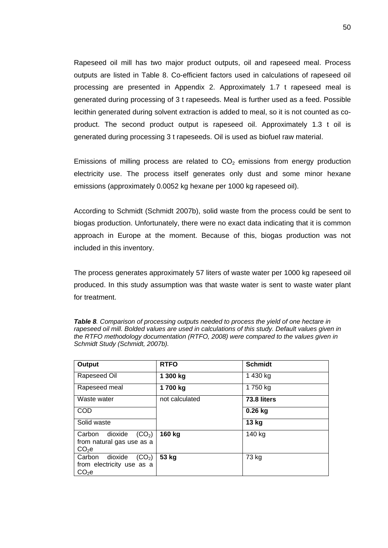Rapeseed oil mill has two major product outputs, oil and rapeseed meal. Process outputs are listed in Table 8. Co-efficient factors used in calculations of rapeseed oil processing are presented in Appendix 2. Approximately 1.7 t rapeseed meal is generated during processing of 3 t rapeseeds. Meal is further used as a feed. Possible lecithin generated during solvent extraction is added to meal, so it is not counted as coproduct. The second product output is rapeseed oil. Approximately 1.3 t oil is generated during processing 3 t rapeseeds. Oil is used as biofuel raw material.

Emissions of milling process are related to  $CO<sub>2</sub>$  emissions from energy production electricity use. The process itself generates only dust and some minor hexane emissions (approximately 0.0052 kg hexane per 1000 kg rapeseed oil).

According to Schmidt (Schmidt 2007b), solid waste from the process could be sent to biogas production. Unfortunately, there were no exact data indicating that it is common approach in Europe at the moment. Because of this, biogas production was not included in this inventory.

The process generates approximately 57 liters of waste water per 1000 kg rapeseed oil produced. In this study assumption was that waste water is sent to waste water plant for treatment.

| Output                                                                                    | <b>RTFO</b>    | <b>Schmidt</b> |
|-------------------------------------------------------------------------------------------|----------------|----------------|
| Rapeseed Oil                                                                              | 1 300 kg       | 1 430 kg       |
| Rapeseed meal                                                                             | 1700 kg        | 1750 kg        |
| Waste water                                                                               | not calculated | 73.8 liters    |
| <b>COD</b>                                                                                |                | $0.26$ kg      |
| Solid waste                                                                               |                | 13 kg          |
| dioxide<br>Carbon<br>(CO <sub>2</sub> )<br>from natural gas use as a<br>CO <sub>2</sub> e | 160 kg         | 140 kg         |
| dioxide<br>Carbon<br>(CO <sub>2</sub> )<br>from electricity use as a<br>CO <sub>2</sub> e | 53 kg          | 73 kg          |

*Table 8. Comparison of processing outputs needed to process the yield of one hectare in rapeseed oil mill. Bolded values are used in calculations of this study. Default values given in the RTFO methodology documentation (RTFO, 2008) were compared to the values given in Schmidt Study (Schmidt, 2007b).*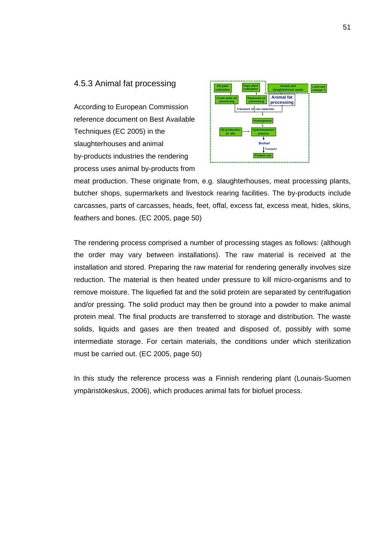### 4.5.3 Animal fat processing

According to European Commission reference document on Best Available Techniques (EC 2005) in the slaughterhouses and animal by-products industries the rendering process uses animal by-products from



meat production. These originate from, e.g. slaughterhouses, meat processing plants, butcher shops, supermarkets and livestock rearing facilities. The by-products include carcasses, parts of carcasses, heads, feet, offal, excess fat, excess meat, hides, skins, feathers and bones. (EC 2005, page 50)

The rendering process comprised a number of processing stages as follows: (although the order may vary between installations). The raw material is received at the installation and stored. Preparing the raw material for rendering generally involves size reduction. The material is then heated under pressure to kill micro-organisms and to remove moisture. The liquefied fat and the solid protein are separated by centrifugation and/or pressing. The solid product may then be ground into a powder to make animal protein meal. The final products are transferred to storage and distribution. The waste solids, liquids and gases are then treated and disposed of, possibly with some intermediate storage. For certain materials, the conditions under which sterilization must be carried out. (EC 2005, page 50)

In this study the reference process was a Finnish rendering plant (Lounais-Suomen ympäristökeskus, 2006), which produces animal fats for biofuel process.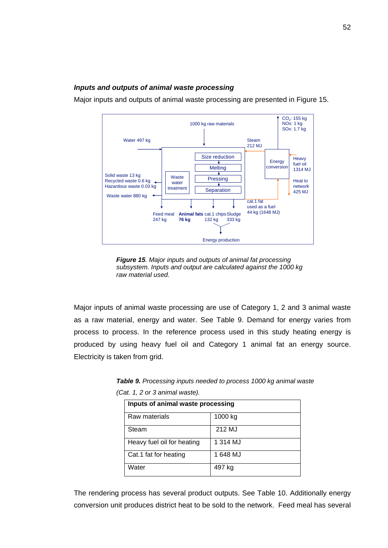## *Inputs and outputs of animal waste processing*

Major inputs and outputs of animal waste processing are presented in Figure 15.



*Figure 15. Major inputs and outputs of animal fat processing subsystem. Inputs and output are calculated against the 1000 kg raw material used.* 

Major inputs of animal waste processing are use of Category 1, 2 and 3 animal waste as a raw material, energy and water. See Table 9. Demand for energy varies from process to process. In the reference process used in this study heating energy is produced by using heavy fuel oil and Category 1 animal fat an energy source. Electricity is taken from grid.

| Inputs of animal waste processing |          |  |
|-----------------------------------|----------|--|
| Raw materials                     | 1000 kg  |  |
| Steam                             | 212 MJ   |  |
| Heavy fuel oil for heating        | 1 314 MJ |  |
| Cat.1 fat for heating             | 1 648 MJ |  |
| Water                             | 497 kg   |  |

*Table 9. Processing inputs needed to process 1000 kg animal waste (Cat. 1, 2 or 3 animal waste).*

The rendering process has several product outputs. See Table 10. Additionally energy conversion unit produces district heat to be sold to the network. Feed meal has several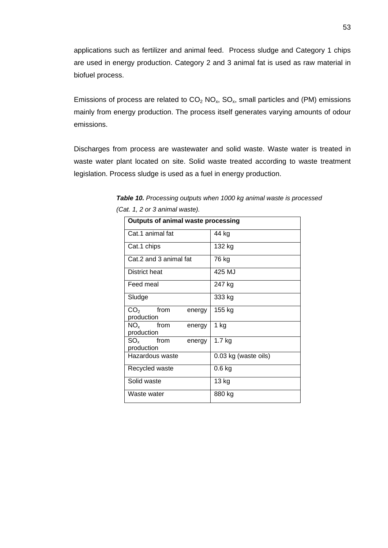applications such as fertilizer and animal feed. Process sludge and Category 1 chips are used in energy production. Category 2 and 3 animal fat is used as raw material in biofuel process.

Emissions of process are related to  $CO<sub>2</sub> NO<sub>x</sub>$ , SO<sub>x</sub>, small particles and (PM) emissions mainly from energy production. The process itself generates varying amounts of odour emissions.

Discharges from process are wastewater and solid waste. Waste water is treated in waste water plant located on site. Solid waste treated according to waste treatment legislation. Process sludge is used as a fuel in energy production.

| <b>Outputs of animal waste processing</b> |                      |  |
|-------------------------------------------|----------------------|--|
| Cat.1 animal fat                          | 44 kg                |  |
| Cat.1 chips                               | 132 kg               |  |
| Cat.2 and 3 animal fat                    | 76 kg                |  |
| District heat                             | 425 MJ               |  |
| Feed meal                                 | 247 kg               |  |
| Sludge                                    | 333 kg               |  |
| $CO2$ from<br>energy                      | 155 kg               |  |
| production                                |                      |  |
| $NO_{x}$ from<br>energy                   | 1 kg                 |  |
| production                                |                      |  |
| $SO_{x}$ from<br>energy                   | $1.7$ kg             |  |
| production                                |                      |  |
| Hazardous waste                           | 0.03 kg (waste oils) |  |
| Recycled waste                            | $0.6$ kg             |  |
| Solid waste                               | 13 kg                |  |
| Waste water                               | 880 kg               |  |

*Table 10. Processing outputs when 1000 kg animal waste is processed (Cat. 1, 2 or 3 animal waste).*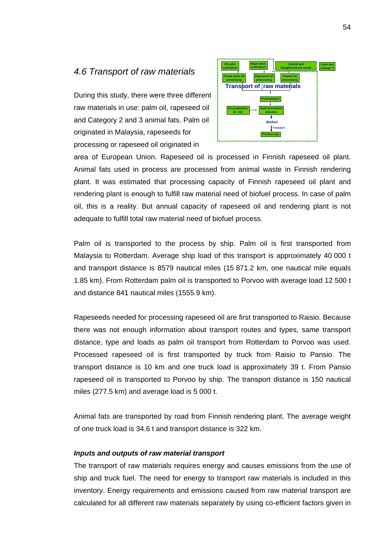## *4.6 Transport of raw materials*

During this study, there were three different raw materials in use: palm oil, rapeseed oil and Category 2 and 3 animal fats. Palm oil originated in Malaysia, rapeseeds for processing or rapeseed oil originated in



area of European Union. Rapeseed oil is processed in Finnish rapeseed oil plant. Animal fats used in process are processed from animal waste in Finnish rendering plant. It was estimated that processing capacity of Finnish rapeseed oil plant and rendering plant is enough to fulfill raw material need of biofuel process. In case of palm oil, this is a reality. But annual capacity of rapeseed oil and rendering plant is not adequate to fulfill total raw material need of biofuel process.

Palm oil is transported to the process by ship. Palm oil is first transported from Malaysia to Rotterdam. Average ship load of this transport is approximately 40 000 t and transport distance is 8579 nautical miles (15 871.2 km, one nautical mile equals 1.85 km). From Rotterdam palm oil is transported to Porvoo with average load 12 500 t and distance 841 nautical miles (1555.9 km).

Rapeseeds needed for processing rapeseed oil are first transported to Raisio. Because there was not enough information about transport routes and types, same transport distance, type and loads as palm oil transport from Rotterdam to Porvoo was used. Processed rapeseed oil is first transported by truck from Raisio to Pansio. The transport distance is 10 km and one truck load is approximately 39 t. From Pansio rapeseed oil is transported to Porvoo by ship. The transport distance is 150 nautical miles (277.5 km) and average load is 5 000 t.

Animal fats are transported by road from Finnish rendering plant. The average weight of one truck load is 34.6 t and transport distance is 322 km.

#### *Inputs and outputs of raw material transport*

The transport of raw materials requires energy and causes emissions from the use of ship and truck fuel. The need for energy to transport raw materials is included in this inventory. Energy requirements and emissions caused from raw material transport are calculated for all different raw materials separately by using co-efficient factors given in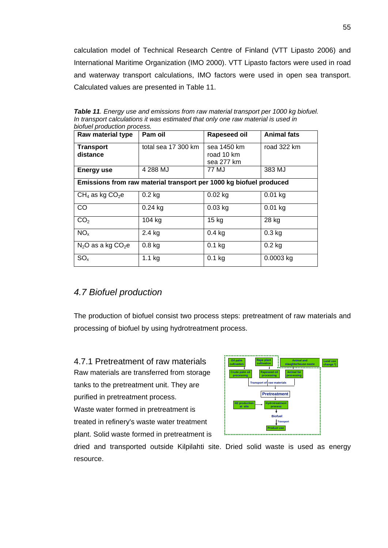calculation model of Technical Research Centre of Finland (VTT Lipasto 2006) and International Maritime Organization (IMO 2000). VTT Lipasto factors were used in road and waterway transport calculations, IMO factors were used in open sea transport. Calculated values are presented in Table 11.

| Raw material type            | Pam oil                                                            | Rapeseed oil                            | <b>Animal fats</b> |
|------------------------------|--------------------------------------------------------------------|-----------------------------------------|--------------------|
| <b>Transport</b><br>distance | total sea 17 300 km                                                | sea 1450 km<br>road 10 km<br>sea 277 km | road 322 km        |
| <b>Energy use</b>            | 4 288 MJ                                                           | 77 MJ                                   | 383 MJ             |
|                              | Emissions from raw material transport per 1000 kg biofuel produced |                                         |                    |
| $CH_4$ as kg $CO_2$ e        | $0.2$ kg                                                           | $0.02$ kg                               | $0.01$ kg          |
| CO                           | $0.24$ kg                                                          | $0.03$ kg                               | $0.01$ kg          |
| CO <sub>2</sub>              | 104 kg                                                             | 15 <sub>kg</sub>                        | 28 kg              |
| NO <sub>x</sub>              | 2.4 kg                                                             | $0.4$ kg                                | $0.3$ kg           |
| $N_2O$ as a kg $CO_2e$       | $0.8$ kg                                                           | $0.1$ kg                                | $0.2$ kg           |
| SO <sub>x</sub>              | $1.1$ kg                                                           | $0.1$ kg                                | 0.0003 kg          |

*Table 11. Energy use and emissions from raw material transport per 1000 kg biofuel. In transport calculations it was estimated that only one raw material is used in biofuel production process.* 

# *4.7 Biofuel production*

The production of biofuel consist two process steps: pretreatment of raw materials and processing of biofuel by using hydrotreatment process.

4.7.1 Pretreatment of raw materials Raw materials are transferred from storage tanks to the pretreatment unit. They are purified in pretreatment process. Waste water formed in pretreatment is treated in refinery's waste water treatment plant. Solid waste formed in pretreatment is



dried and transported outside Kilpilahti site. Dried solid waste is used as energy resource.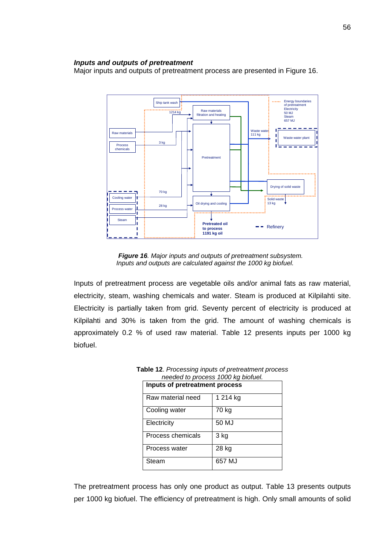#### *Inputs and outputs of pretreatment*

Major inputs and outputs of pretreatment process are presented in Figure 16.



*Figure 16. Major inputs and outputs of pretreatment subsystem. Inputs and outputs are calculated against the 1000 kg biofuel.* 

Inputs of pretreatment process are vegetable oils and/or animal fats as raw material, electricity, steam, washing chemicals and water. Steam is produced at Kilpilahti site. Electricity is partially taken from grid. Seventy percent of electricity is produced at Kilpilahti and 30% is taken from the grid. The amount of washing chemicals is approximately 0.2 % of used raw material. Table 12 presents inputs per 1000 kg biofuel.

| Inputs of pretreatment process |          |  |
|--------------------------------|----------|--|
| Raw material need              | 1 214 kg |  |
| Cooling water                  | 70 kg    |  |
| Electricity                    | 50 MJ    |  |
| Process chemicals              | 3 kg     |  |
| Process water                  | 28 kg    |  |
| Steam                          | 657 MJ   |  |

**Table 12**. *Processing inputs of pretreatment process needed to process 1000 kg biofuel.* 

The pretreatment process has only one product as output. Table 13 presents outputs per 1000 kg biofuel. The efficiency of pretreatment is high. Only small amounts of solid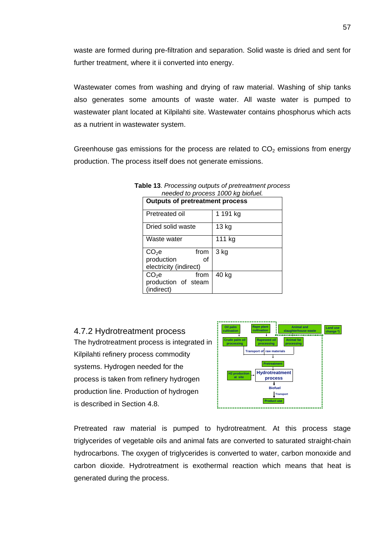waste are formed during pre-filtration and separation. Solid waste is dried and sent for further treatment, where it ii converted into energy.

Wastewater comes from washing and drying of raw material. Washing of ship tanks also generates some amounts of waste water. All waste water is pumped to wastewater plant located at Kilpilahti site. Wastewater contains phosphorus which acts as a nutrient in wastewater system.

Greenhouse gas emissions for the process are related to  $CO<sub>2</sub>$  emissions from energy production. The process itself does not generate emissions.

| <b>Outputs of pretreatment process</b> |          |  |  |  |  |  |
|----------------------------------------|----------|--|--|--|--|--|
| Pretreated oil                         | 1 191 kg |  |  |  |  |  |
| Dried solid waste                      | 13 kg    |  |  |  |  |  |
| Waste water                            | 111 kg   |  |  |  |  |  |
| CO <sub>2</sub> e<br>from              | 3 kg     |  |  |  |  |  |
| production<br>οf                       |          |  |  |  |  |  |
| electricity (indirect)                 |          |  |  |  |  |  |
| $CO2$ e<br>from                        | 40 kg    |  |  |  |  |  |
| production of steam                    |          |  |  |  |  |  |
| (indirect)                             |          |  |  |  |  |  |

**Table 13**. *Processing outputs of pretreatment process needed to process 1000 kg biofuel.* 

4.7.2 Hydrotreatment process The hydrotreatment process is integrated in Kilpilahti refinery process commodity systems. Hydrogen needed for the process is taken from refinery hydrogen production line. Production of hydrogen is described in Section 4.8.



Pretreated raw material is pumped to hydrotreatment. At this process stage triglycerides of vegetable oils and animal fats are converted to saturated straight-chain hydrocarbons. The oxygen of triglycerides is converted to water, carbon monoxide and carbon dioxide. Hydrotreatment is exothermal reaction which means that heat is generated during the process.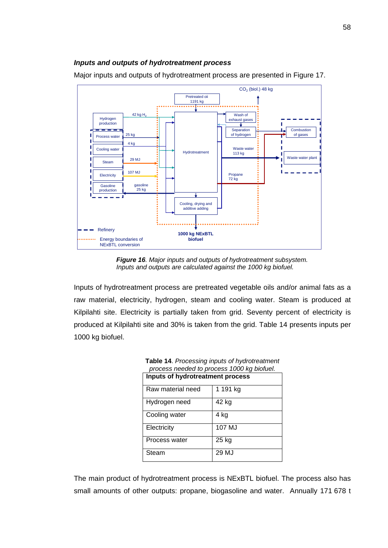## *Inputs and outputs of hydrotreatment process*

Major inputs and outputs of hydrotreatment process are presented in Figure 17.



*Figure 16. Major inputs and outputs of hydrotreatment subsystem. Inputs and outputs are calculated against the 1000 kg biofuel.* 

Inputs of hydrotreatment process are pretreated vegetable oils and/or animal fats as a raw material, electricity, hydrogen, steam and cooling water. Steam is produced at Kilpilahti site. Electricity is partially taken from grid. Seventy percent of electricity is produced at Kilpilahti site and 30% is taken from the grid. Table 14 presents inputs per 1000 kg biofuel.

| Inputs of hydrotreatment process |          |  |  |  |  |
|----------------------------------|----------|--|--|--|--|
| Raw material need                | 1 191 kg |  |  |  |  |
| Hydrogen need                    | 42 kg    |  |  |  |  |
| Cooling water                    | 4 kg     |  |  |  |  |
| Electricity                      | 107 MJ   |  |  |  |  |
| Process water                    | 25 kg    |  |  |  |  |
| Steam                            | 29 MJ    |  |  |  |  |

**Table 14**. *Processing inputs of hydrotreatment process needed to process 1000 kg biofuel.* 

The main product of hydrotreatment process is NExBTL biofuel. The process also has small amounts of other outputs: propane, biogasoline and water. Annually 171 678 t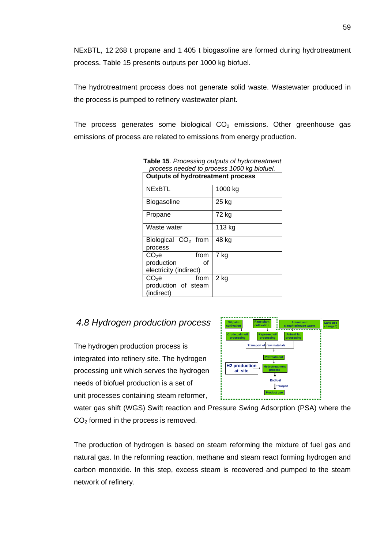NExBTL, 12 268 t propane and 1 405 t biogasoline are formed during hydrotreatment process. Table 15 presents outputs per 1000 kg biofuel.

The hydrotreatment process does not generate solid waste. Wastewater produced in the process is pumped to refinery wastewater plant.

The process generates some biological  $CO<sub>2</sub>$  emissions. Other greenhouse gas emissions of process are related to emissions from energy production.

| process neeged to process TOOO kg blonder. |         |  |  |  |  |  |  |
|--------------------------------------------|---------|--|--|--|--|--|--|
| <b>Outputs of hydrotreatment process</b>   |         |  |  |  |  |  |  |
| <b>NExBTL</b>                              | 1000 kg |  |  |  |  |  |  |
| <b>Biogasoline</b>                         | 25 kg   |  |  |  |  |  |  |
| Propane                                    | 72 kg   |  |  |  |  |  |  |
| Waste water                                | 113 kg  |  |  |  |  |  |  |
| Biological $CO2$ from<br>process           | 48 kg   |  |  |  |  |  |  |
| from<br>$CO2$ e                            | 7 kg    |  |  |  |  |  |  |
| production<br>Ωf                           |         |  |  |  |  |  |  |
| electricity (indirect)                     |         |  |  |  |  |  |  |
| $CO2$ e<br>from                            | 2 kg    |  |  |  |  |  |  |
| production of steam                        |         |  |  |  |  |  |  |
| (indirect)                                 |         |  |  |  |  |  |  |

**Table 15**. *Processing outputs of hydrotreatment process needed to process 1000 kg biofuel.* 

# *4.8 Hydrogen production process*

The hydrogen production process is integrated into refinery site. The hydrogen processing unit which serves the hydrogen needs of biofuel production is a set of unit processes containing steam reformer,



water gas shift (WGS) Swift reaction and Pressure Swing Adsorption (PSA) where the  $CO<sub>2</sub>$  formed in the process is removed.

The production of hydrogen is based on steam reforming the mixture of fuel gas and natural gas. In the reforming reaction, methane and steam react forming hydrogen and carbon monoxide. In this step, excess steam is recovered and pumped to the steam network of refinery.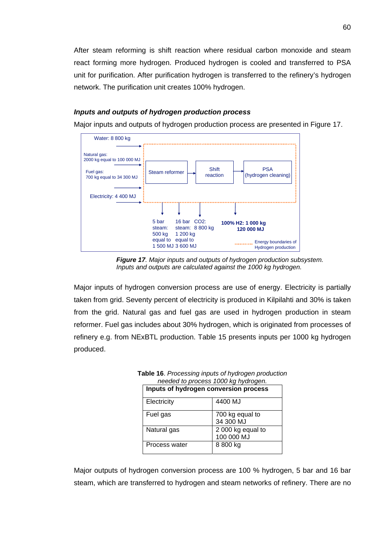After steam reforming is shift reaction where residual carbon monoxide and steam react forming more hydrogen. Produced hydrogen is cooled and transferred to PSA unit for purification. After purification hydrogen is transferred to the refinery's hydrogen network. The purification unit creates 100% hydrogen.

## *Inputs and outputs of hydrogen production process*

Major inputs and outputs of hydrogen production process are presented in Figure 17.



*Figure 17. Major inputs and outputs of hydrogen production subsystem. Inputs and outputs are calculated against the 1000 kg hydrogen.* 

Major inputs of hydrogen conversion process are use of energy. Electricity is partially taken from grid. Seventy percent of electricity is produced in Kilpilahti and 30% is taken from the grid. Natural gas and fuel gas are used in hydrogen production in steam reformer. Fuel gas includes about 30% hydrogen, which is originated from processes of refinery e.g. from NExBTL production. Table 15 presents inputs per 1000 kg hydrogen produced.

| needed to process 1000 kg hydrogen.   |                                 |  |  |  |  |
|---------------------------------------|---------------------------------|--|--|--|--|
| Inputs of hydrogen conversion process |                                 |  |  |  |  |
| Electricity                           | 4400 MJ                         |  |  |  |  |
| Fuel gas                              | 700 kg equal to<br>34 300 MJ    |  |  |  |  |
| Natural gas                           | 2 000 kg equal to<br>100 000 MJ |  |  |  |  |
| Process water                         | 8 800 kg                        |  |  |  |  |

**Table 16**. *Processing inputs of hydrogen production needed to process 1000 kg hydrogen.* 

Major outputs of hydrogen conversion process are 100 % hydrogen, 5 bar and 16 bar steam, which are transferred to hydrogen and steam networks of refinery. There are no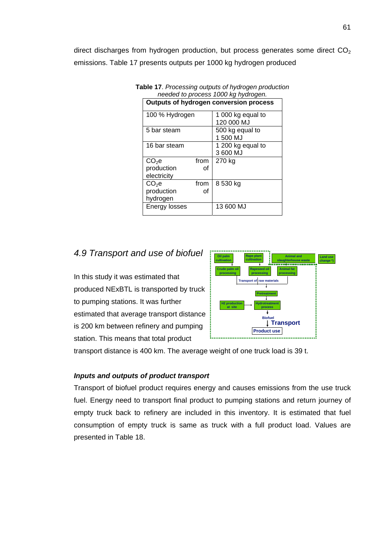direct discharges from hydrogen production, but process generates some direct  $CO<sub>2</sub>$ emissions. Table 17 presents outputs per 1000 kg hydrogen produced

| riceded to process TOOO ky hydrogen.   |      |                                 |  |  |  |  |  |
|----------------------------------------|------|---------------------------------|--|--|--|--|--|
| Outputs of hydrogen conversion process |      |                                 |  |  |  |  |  |
| 100 % Hydrogen                         |      | 1 000 kg equal to<br>120 000 MJ |  |  |  |  |  |
| 5 bar steam                            |      | 500 kg equal to<br>1 500 MJ     |  |  |  |  |  |
| 16 bar steam                           |      | 1 200 kg equal to<br>3 600 MJ   |  |  |  |  |  |
| CO <sub>2</sub> e                      | from | 270 kg                          |  |  |  |  |  |
| production<br>electricity              | οf   |                                 |  |  |  |  |  |
| $CO2$ e                                | from | 8 530 kg                        |  |  |  |  |  |
| production                             | οf   |                                 |  |  |  |  |  |
| hydrogen                               |      |                                 |  |  |  |  |  |
| Energy losses                          |      | 13 600 MJ                       |  |  |  |  |  |

**Table 17**. *Processing outputs of hydrogen production needed to process 1000 kg hydrogen.* 

# *4.9 Transport and use of biofuel*

In this study it was estimated that produced NExBTL is transported by truck to pumping stations. It was further estimated that average transport distance is 200 km between refinery and pumping station. This means that total product



transport distance is 400 km. The average weight of one truck load is 39 t.

## *Inputs and outputs of product transport*

Transport of biofuel product requires energy and causes emissions from the use truck fuel. Energy need to transport final product to pumping stations and return journey of empty truck back to refinery are included in this inventory. It is estimated that fuel consumption of empty truck is same as truck with a full product load. Values are presented in Table 18.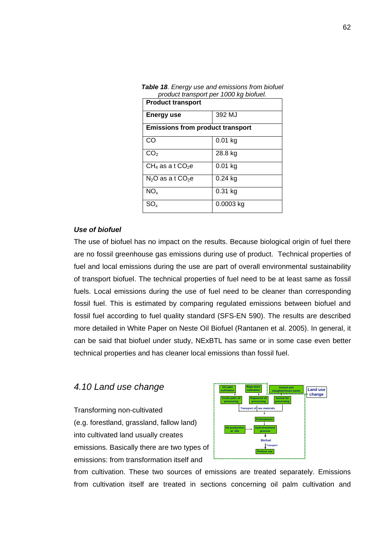| product transport per 1000 kg biofuel. |                                         |  |  |  |  |  |  |
|----------------------------------------|-----------------------------------------|--|--|--|--|--|--|
| <b>Product transport</b>               |                                         |  |  |  |  |  |  |
| 392 MJ<br>Energy use                   |                                         |  |  |  |  |  |  |
|                                        | <b>Emissions from product transport</b> |  |  |  |  |  |  |
| CO                                     | $0.01$ kg                               |  |  |  |  |  |  |
| CO <sub>2</sub>                        | 28.8 kg                                 |  |  |  |  |  |  |
| $CH_4$ as a t $CO_2e$                  | $0.01$ kg                               |  |  |  |  |  |  |
| $N_2O$ as a t $CO_2e$                  | $0.24$ kg                               |  |  |  |  |  |  |
| $NO_{x}$                               | $0.31$ kg                               |  |  |  |  |  |  |
| SO.                                    | $0.0003$ kg                             |  |  |  |  |  |  |

*Table 18. Energy use and emissions from biofuel* 

## *Use of biofuel*

The use of biofuel has no impact on the results. Because biological origin of fuel there are no fossil greenhouse gas emissions during use of product. Technical properties of fuel and local emissions during the use are part of overall environmental sustainability of transport biofuel. The technical properties of fuel need to be at least same as fossil fuels. Local emissions during the use of fuel need to be cleaner than corresponding fossil fuel. This is estimated by comparing regulated emissions between biofuel and fossil fuel according to fuel quality standard (SFS-EN 590). The results are described more detailed in White Paper on Neste Oil Biofuel (Rantanen et al. 2005). In general, it can be said that biofuel under study, NExBTL has same or in some case even better technical properties and has cleaner local emissions than fossil fuel.

## *4.10 Land use change*

Transforming non-cultivated (e.g. forestland, grassland, fallow land) into cultivated land usually creates emissions. Basically there are two types of emissions: from transformation itself and



from cultivation. These two sources of emissions are treated separately. Emissions from cultivation itself are treated in sections concerning oil palm cultivation and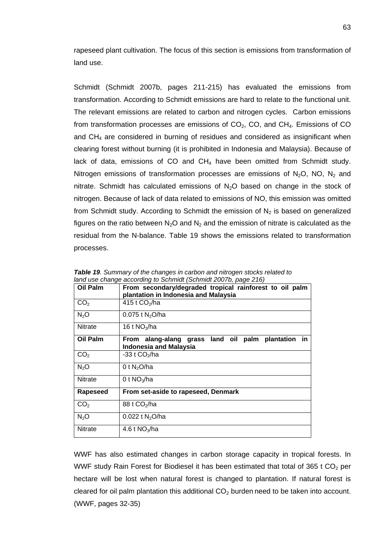rapeseed plant cultivation. The focus of this section is emissions from transformation of land use.

Schmidt (Schmidt 2007b, pages 211-215) has evaluated the emissions from transformation. According to Schmidt emissions are hard to relate to the functional unit. The relevant emissions are related to carbon and nitrogen cycles. Carbon emissions from transformation processes are emissions of  $CO<sub>2</sub>$ , CO, and CH<sub>4</sub>. Emissions of CO and CH4 are considered in burning of residues and considered as insignificant when clearing forest without burning (it is prohibited in Indonesia and Malaysia). Because of lack of data, emissions of CO and  $CH<sub>4</sub>$  have been omitted from Schmidt study. Nitrogen emissions of transformation processes are emissions of  $N_2O$ , NO,  $N_2$  and nitrate. Schmidt has calculated emissions of  $N<sub>2</sub>O$  based on change in the stock of nitrogen. Because of lack of data related to emissions of NO, this emission was omitted from Schmidt study. According to Schmidt the emission of  $N<sub>2</sub>$  is based on generalized figures on the ratio between  $N_2O$  and  $N_2$  and the emission of nitrate is calculated as the residual from the N-balance. Table 19 shows the emissions related to transformation processes.

| Oil Palm         | From secondary/degraded tropical rainforest to oil palm<br>plantation in Indonesia and Malaysia     |
|------------------|-----------------------------------------------------------------------------------------------------|
| CO <sub>2</sub>  | 415 t $CO2/ha$                                                                                      |
| N <sub>2</sub> O | 0.075 t $N_2O/ha$                                                                                   |
| <b>Nitrate</b>   | 16 t $NO_3/ha$                                                                                      |
| Oil Palm         | From alang-alang grass land oil<br>plantation<br>palm<br><b>in</b><br><b>Indonesia and Malaysia</b> |
| CO <sub>2</sub>  | -33 t CO <sub>2</sub> /ha                                                                           |
| N <sub>2</sub> O | 0 t $N_2$ O/ha                                                                                      |
| <b>Nitrate</b>   | 0 t $NO_3/ha$                                                                                       |
| Rapeseed         | From set-aside to rapeseed, Denmark                                                                 |
| CO <sub>2</sub>  | 88 t CO <sub>2</sub> /ha                                                                            |
| $N_2O$           | 0.022 t $N_2O/ha$                                                                                   |
| <b>Nitrate</b>   | 4.6 t $NO_3$ /ha                                                                                    |

*Table 19. Summary of the changes in carbon and nitrogen stocks related to land use change according to Schmidt (Schmidt 2007b, page 216)* 

WWF has also estimated changes in carbon storage capacity in tropical forests. In WWF study Rain Forest for Biodiesel it has been estimated that total of 365 t  $CO<sub>2</sub>$  per hectare will be lost when natural forest is changed to plantation. If natural forest is cleared for oil palm plantation this additional  $CO<sub>2</sub>$  burden need to be taken into account. (WWF, pages 32-35)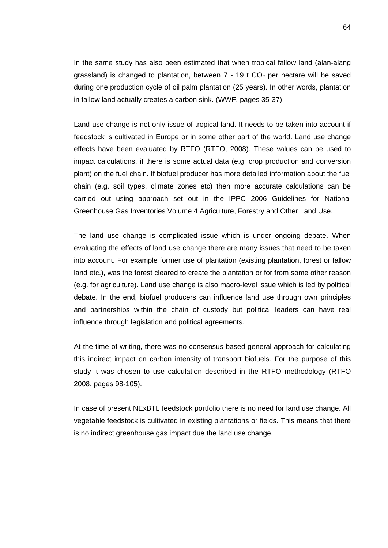In the same study has also been estimated that when tropical fallow land (alan-alang grassland) is changed to plantation, between  $7 - 19$  t  $CO<sub>2</sub>$  per hectare will be saved during one production cycle of oil palm plantation (25 years). In other words, plantation in fallow land actually creates a carbon sink. (WWF, pages 35-37)

Land use change is not only issue of tropical land. It needs to be taken into account if feedstock is cultivated in Europe or in some other part of the world. Land use change effects have been evaluated by RTFO (RTFO, 2008). These values can be used to impact calculations, if there is some actual data (e.g. crop production and conversion plant) on the fuel chain. If biofuel producer has more detailed information about the fuel chain (e.g. soil types, climate zones etc) then more accurate calculations can be carried out using approach set out in the IPPC 2006 Guidelines for National Greenhouse Gas Inventories Volume 4 Agriculture, Forestry and Other Land Use.

The land use change is complicated issue which is under ongoing debate. When evaluating the effects of land use change there are many issues that need to be taken into account. For example former use of plantation (existing plantation, forest or fallow land etc.), was the forest cleared to create the plantation or for from some other reason (e.g. for agriculture). Land use change is also macro-level issue which is led by political debate. In the end, biofuel producers can influence land use through own principles and partnerships within the chain of custody but political leaders can have real influence through legislation and political agreements.

At the time of writing, there was no consensus-based general approach for calculating this indirect impact on carbon intensity of transport biofuels. For the purpose of this study it was chosen to use calculation described in the RTFO methodology (RTFO 2008, pages 98-105).

In case of present NExBTL feedstock portfolio there is no need for land use change. All vegetable feedstock is cultivated in existing plantations or fields. This means that there is no indirect greenhouse gas impact due the land use change.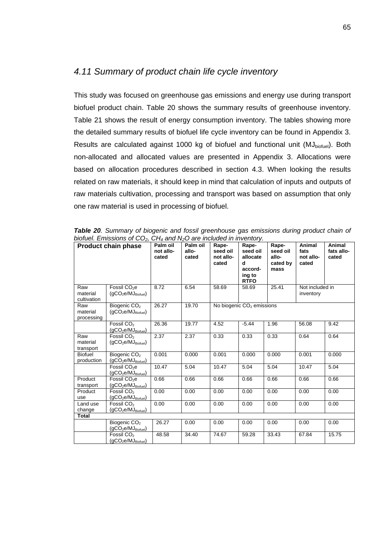## *4.11 Summary of product chain life cycle inventory*

This study was focused on greenhouse gas emissions and energy use during transport biofuel product chain. Table 20 shows the summary results of greenhouse inventory. Table 21 shows the result of energy consumption inventory. The tables showing more the detailed summary results of biofuel life cycle inventory can be found in Appendix 3. Results are calculated against 1000 kg of biofuel and functional unit (MJ<sub>biofuel</sub>). Both non-allocated and allocated values are presented in Appendix 3. Allocations were based on allocation procedures described in section 4.3. When looking the results related on raw materials, it should keep in mind that calculation of inputs and outputs of raw materials cultivation, processing and transport was based on assumption that only one raw material is used in processing of biofuel.

|                                | <b>Product chain phase</b>                      | Palm oil<br>not allo-<br>cated | Palm oil<br>allo-<br>cated | Rape-<br>seed oil<br>not allo-<br>cated | Rape-<br>seed oil<br>allocate<br>d<br>accord-<br>ing to<br><b>RTFO</b> | Rape-<br>seed oil<br>allo-<br>cated by<br>mass | Animal<br>fats<br>not allo-<br>cated | Animal<br>fats allo-<br>cated |
|--------------------------------|-------------------------------------------------|--------------------------------|----------------------------|-----------------------------------------|------------------------------------------------------------------------|------------------------------------------------|--------------------------------------|-------------------------------|
| Raw<br>material<br>cultivation | Fossil CO <sub>2</sub> e<br>$(gCO2e/MJBiotuel)$ | 8.72                           | 6.54                       | 58.69                                   | 58.69                                                                  | 25.41                                          | Not included in<br>inventory         |                               |
| Raw<br>material<br>processing  | Biogenic CO <sub>2</sub><br>$(gCO2e/MJBiotuel)$ | 26.27                          | 19.70                      |                                         | No biogenic CO <sub>2</sub> emissions                                  |                                                |                                      |                               |
|                                | Fossil CO <sub>2</sub><br>$(gCO2e/MJBiotuel)$   | 26.36                          | 19.77                      | 4.52                                    | $-5.44$                                                                | 1.96                                           | 56.08                                | 9.42                          |
| Raw<br>material<br>transport   | Fossil CO <sub>2</sub><br>$(gCO2e/MJBiofuel)$   | 2.37                           | 2.37                       | 0.33                                    | 0.33                                                                   | 0.33                                           | 0.64                                 | 0.64                          |
| <b>Biofuel</b><br>production   | Biogenic CO <sub>2</sub><br>$(gCO2e/MJBiotuel)$ | 0.001                          | 0.000                      | 0.001                                   | 0.000                                                                  | 0.000                                          | 0.001                                | 0.000                         |
|                                | Fossil CO <sub>2</sub> e<br>$(gCO2e/MJBiotuel)$ | 10.47                          | 5.04                       | 10.47                                   | 5.04                                                                   | 5.04                                           | 10.47                                | 5.04                          |
| Product<br>transport           | Fossil CO <sub>2</sub> e<br>$(gCO2e/MJBiotuel)$ | 0.66                           | 0.66                       | 0.66                                    | 0.66                                                                   | 0.66                                           | 0.66                                 | 0.66                          |
| Product<br>use                 | Fossil CO <sub>2</sub><br>$(gCO2e/MJBiotuel)$   | 0.00                           | 0.00                       | 0.00                                    | 0.00                                                                   | 0.00                                           | 0.00                                 | 0.00                          |
| Land use<br>change             | Fossil CO <sub>2</sub><br>$(gCO2e/MJBiotuel)$   | 0.00                           | 0.00                       | 0.00                                    | 0.00                                                                   | 0.00                                           | 0.00                                 | 0.00                          |
| <b>Total</b>                   |                                                 |                                |                            |                                         |                                                                        |                                                |                                      |                               |
|                                | Biogenic CO <sub>2</sub><br>$(gCO2e/MJBiotuel)$ | 26.27                          | 0.00                       | 0.00                                    | 0.00                                                                   | 0.00                                           | 0.00                                 | 0.00                          |
|                                | Fossil CO <sub>2</sub><br>$(gCO2e/MJBiotuel)$   | 48.58                          | 34.40                      | 74.67                                   | 59.28                                                                  | 33.43                                          | 67.84                                | 15.75                         |

*Table 20. Summary of biogenic and fossil greenhouse gas emissions during product chain of biofuel. Emissions of CO2, CH4 and N2O are included in inventory.*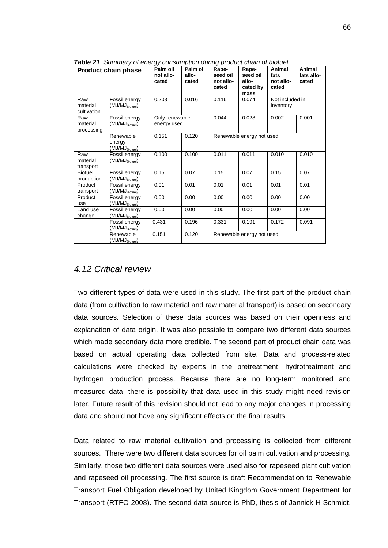|                                | <b>Product chain phase</b>                         | Palm oil<br>not allo-<br>cated | Palm oil<br>allo-<br>cated | י אישי<br>Rape-<br>seed oil<br>not allo-<br>cated | Rape-<br>seed oil<br>allo- | Animal<br>fats<br>not allo-<br>cated | Animal<br>fats allo-<br>cated |
|--------------------------------|----------------------------------------------------|--------------------------------|----------------------------|---------------------------------------------------|----------------------------|--------------------------------------|-------------------------------|
|                                |                                                    |                                |                            |                                                   | cated by<br>mass           |                                      |                               |
| Raw<br>material<br>cultivation | Fossil energy<br>(MJ/MJ <sub>Biotuel</sub> )       | 0.203                          | 0.016                      | 0.116                                             | 0.074                      | Not included in<br>inventory         |                               |
| Raw<br>material<br>processing  | Fossil energy<br>(MJ/MJ <sub>Biotuel</sub> )       | Only renewable<br>energy used  |                            | 0.044                                             | 0.028                      | 0.002                                | 0.001                         |
|                                | Renewable<br>energy<br>(MJ/MJ <sub>Biotuel</sub> ) | 0.151                          | 0.120                      | Renewable energy not used                         |                            |                                      |                               |
| Raw<br>material<br>transport   | Fossil energy<br>(MJ/MJ <sub>Biotuel</sub> )       | 0.100                          | 0.100                      | 0.011                                             | 0.011                      | 0.010                                | 0.010                         |
| <b>Biofuel</b><br>production   | Fossil energy<br>(MJ/MJ <sub>Biofuel</sub> )       | 0.15                           | 0.07                       | 0.15                                              | 0.07                       | 0.15                                 | 0.07                          |
| Product<br>transport           | Fossil energy<br>(MJ/MJ <sub>Biofuel</sub> )       | 0.01                           | 0.01                       | 0.01                                              | 0.01                       | 0.01                                 | 0.01                          |
| Product<br>use                 | Fossil energy<br>(MJ/MJ <sub>Biofuel</sub> )       | 0.00                           | 0.00                       | 0.00                                              | 0.00                       | 0.00                                 | 0.00                          |
| Land use<br>change             | Fossil energy<br>$(MJ/MJ_{\text{Biofuel}})$        | 0.00                           | 0.00                       | 0.00                                              | 0.00                       | 0.00                                 | 0.00                          |
|                                | Fossil energy<br>(MJ/MJBiofuel)                    | 0.431                          | 0.196                      | 0.331                                             | 0.191                      | 0.172                                | 0.091                         |
|                                | Renewable<br>(MJ/MJBiofuel)                        | 0.151                          | 0.120                      | Renewable energy not used                         |                            |                                      |                               |

*Table 21. Summary of energy consumption during product chain of biofuel.* 

## *4.12 Critical review*

Two different types of data were used in this study. The first part of the product chain data (from cultivation to raw material and raw material transport) is based on secondary data sources. Selection of these data sources was based on their openness and explanation of data origin. It was also possible to compare two different data sources which made secondary data more credible. The second part of product chain data was based on actual operating data collected from site. Data and process-related calculations were checked by experts in the pretreatment, hydrotreatment and hydrogen production process. Because there are no long-term monitored and measured data, there is possibility that data used in this study might need revision later. Future result of this revision should not lead to any major changes in processing data and should not have any significant effects on the final results.

Data related to raw material cultivation and processing is collected from different sources. There were two different data sources for oil palm cultivation and processing. Similarly, those two different data sources were used also for rapeseed plant cultivation and rapeseed oil processing. The first source is draft Recommendation to Renewable Transport Fuel Obligation developed by United Kingdom Government Department for Transport (RTFO 2008). The second data source is PhD, thesis of Jannick H Schmidt,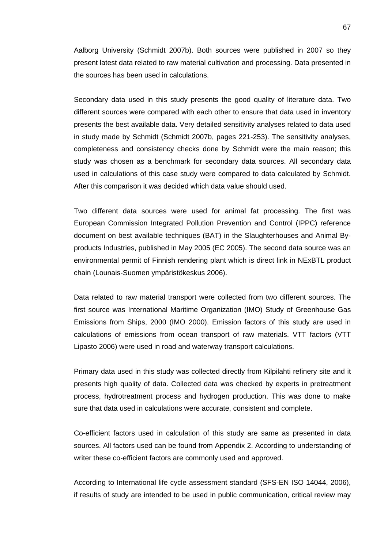Aalborg University (Schmidt 2007b). Both sources were published in 2007 so they present latest data related to raw material cultivation and processing. Data presented in the sources has been used in calculations.

Secondary data used in this study presents the good quality of literature data. Two different sources were compared with each other to ensure that data used in inventory presents the best available data. Very detailed sensitivity analyses related to data used in study made by Schmidt (Schmidt 2007b, pages 221-253). The sensitivity analyses, completeness and consistency checks done by Schmidt were the main reason; this study was chosen as a benchmark for secondary data sources. All secondary data used in calculations of this case study were compared to data calculated by Schmidt. After this comparison it was decided which data value should used.

Two different data sources were used for animal fat processing. The first was European Commission Integrated Pollution Prevention and Control (IPPC) reference document on best available techniques (BAT) in the Slaughterhouses and Animal Byproducts Industries, published in May 2005 (EC 2005). The second data source was an environmental permit of Finnish rendering plant which is direct link in NExBTL product chain (Lounais-Suomen ympäristökeskus 2006).

Data related to raw material transport were collected from two different sources. The first source was International Maritime Organization (IMO) Study of Greenhouse Gas Emissions from Ships, 2000 (IMO 2000). Emission factors of this study are used in calculations of emissions from ocean transport of raw materials. VTT factors (VTT Lipasto 2006) were used in road and waterway transport calculations.

Primary data used in this study was collected directly from Kilpilahti refinery site and it presents high quality of data. Collected data was checked by experts in pretreatment process, hydrotreatment process and hydrogen production. This was done to make sure that data used in calculations were accurate, consistent and complete.

Co-efficient factors used in calculation of this study are same as presented in data sources. All factors used can be found from Appendix 2. According to understanding of writer these co-efficient factors are commonly used and approved.

According to International life cycle assessment standard (SFS-EN ISO 14044, 2006), if results of study are intended to be used in public communication, critical review may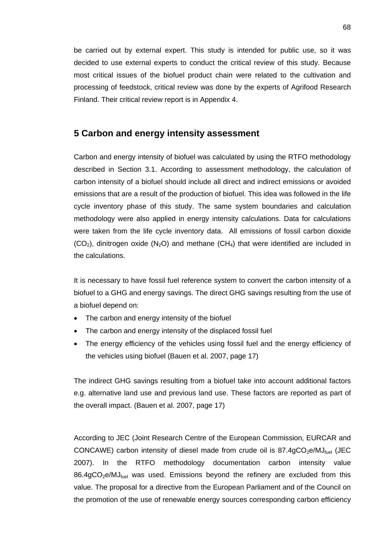be carried out by external expert. This study is intended for public use, so it was decided to use external experts to conduct the critical review of this study. Because most critical issues of the biofuel product chain were related to the cultivation and processing of feedstock, critical review was done by the experts of Agrifood Research Finland. Their critical review report is in Appendix 4.

## **5 Carbon and energy intensity assessment**

Carbon and energy intensity of biofuel was calculated by using the RTFO methodology described in Section 3.1. According to assessment methodology, the calculation of carbon intensity of a biofuel should include all direct and indirect emissions or avoided emissions that are a result of the production of biofuel. This idea was followed in the life cycle inventory phase of this study. The same system boundaries and calculation methodology were also applied in energy intensity calculations. Data for calculations were taken from the life cycle inventory data. All emissions of fossil carbon dioxide  $(CO<sub>2</sub>)$ , dinitrogen oxide  $(N<sub>2</sub>O)$  and methane  $(CH<sub>4</sub>)$  that were identified are included in the calculations.

It is necessary to have fossil fuel reference system to convert the carbon intensity of a biofuel to a GHG and energy savings. The direct GHG savings resulting from the use of a biofuel depend on:

- The carbon and energy intensity of the biofuel
- The carbon and energy intensity of the displaced fossil fuel
- The energy efficiency of the vehicles using fossil fuel and the energy efficiency of the vehicles using biofuel (Bauen et al. 2007, page 17)

The indirect GHG savings resulting from a biofuel take into account additional factors e.g. alternative land use and previous land use. These factors are reported as part of the overall impact. (Bauen et al. 2007, page 17)

According to JEC (Joint Research Centre of the European Commission, EURCAR and CONCAWE) carbon intensity of diesel made from crude oil is  $87.4gCO<sub>2</sub>e/MJ<sub>fuel</sub>$  (JEC 2007). In the RTFO methodology documentation carbon intensity value  $86.4qCO<sub>2</sub>e/MJ<sub>fuel</sub>$  was used. Emissions beyond the refinery are excluded from this value. The proposal for a directive from the European Parliament and of the Council on the promotion of the use of renewable energy sources corresponding carbon efficiency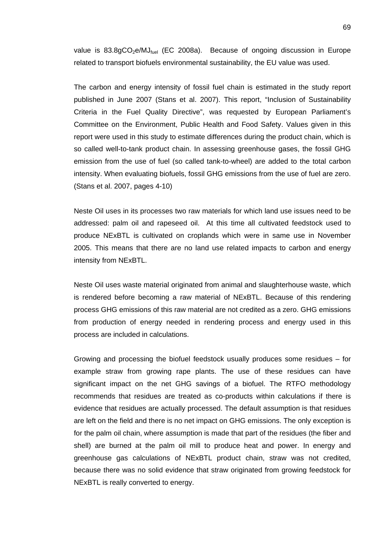value is  $83.8gCO<sub>2</sub>e/MJ<sub>fuel</sub>$  (EC 2008a). Because of ongoing discussion in Europe related to transport biofuels environmental sustainability, the EU value was used.

The carbon and energy intensity of fossil fuel chain is estimated in the study report published in June 2007 (Stans et al. 2007). This report, "Inclusion of Sustainability Criteria in the Fuel Quality Directive", was requested by European Parliament's Committee on the Environment, Public Health and Food Safety. Values given in this report were used in this study to estimate differences during the product chain, which is so called well-to-tank product chain. In assessing greenhouse gases, the fossil GHG emission from the use of fuel (so called tank-to-wheel) are added to the total carbon intensity. When evaluating biofuels, fossil GHG emissions from the use of fuel are zero. (Stans et al. 2007, pages 4-10)

Neste Oil uses in its processes two raw materials for which land use issues need to be addressed: palm oil and rapeseed oil. At this time all cultivated feedstock used to produce NExBTL is cultivated on croplands which were in same use in November 2005. This means that there are no land use related impacts to carbon and energy intensity from NExBTL.

Neste Oil uses waste material originated from animal and slaughterhouse waste, which is rendered before becoming a raw material of NExBTL. Because of this rendering process GHG emissions of this raw material are not credited as a zero. GHG emissions from production of energy needed in rendering process and energy used in this process are included in calculations.

Growing and processing the biofuel feedstock usually produces some residues – for example straw from growing rape plants. The use of these residues can have significant impact on the net GHG savings of a biofuel. The RTFO methodology recommends that residues are treated as co-products within calculations if there is evidence that residues are actually processed. The default assumption is that residues are left on the field and there is no net impact on GHG emissions. The only exception is for the palm oil chain, where assumption is made that part of the residues (the fiber and shell) are burned at the palm oil mill to produce heat and power. In energy and greenhouse gas calculations of NExBTL product chain, straw was not credited, because there was no solid evidence that straw originated from growing feedstock for NExBTL is really converted to energy.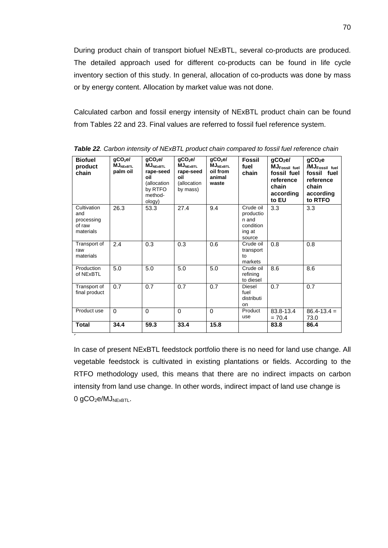During product chain of transport biofuel NExBTL, several co-products are produced. The detailed approach used for different co-products can be found in life cycle inventory section of this study. In general, allocation of co-products was done by mass or by energy content. Allocation by market value was not done.

Calculated carbon and fossil energy intensity of NExBTL product chain can be found from Tables 22 and 23. Final values are referred to fossil fuel reference system.

| <b>Biofuel</b><br>product<br>chain                      | qCO <sub>2</sub> el<br><b>MJNEXBTL</b><br>palm oil | qCO <sub>2</sub> el<br>$MJNEXBTL}$<br>rape-seed<br>oil<br>(allocation<br>by RTFO<br>method-<br>ology) | qCO <sub>2</sub> el<br><b>MJNEXBTL</b><br>rape-seed<br>oil<br>(allocation<br>by mass) | qCO <sub>2</sub> el<br><b>MJNEXBTL</b><br>oil from<br>animal<br>waste | <b>Fossil</b><br>fuel<br>chain                                   | gCO <sub>2</sub> el<br>MJ <sub>Fossil fuel</sub><br>fossil fuel<br>reference<br>chain<br>according<br>to EU | gCO <sub>2</sub> e<br>/MJ <sub>Fossil fuel</sub><br>fossil fuel<br>reference<br>chain<br>according<br>to RTFO |
|---------------------------------------------------------|----------------------------------------------------|-------------------------------------------------------------------------------------------------------|---------------------------------------------------------------------------------------|-----------------------------------------------------------------------|------------------------------------------------------------------|-------------------------------------------------------------------------------------------------------------|---------------------------------------------------------------------------------------------------------------|
| Cultivation<br>and<br>processing<br>of raw<br>materials | 26.3                                               | 53.3                                                                                                  | 27.4                                                                                  | 9.4                                                                   | Crude oil<br>productio<br>n and<br>condition<br>ing at<br>source | 3.3                                                                                                         | 3.3                                                                                                           |
| Transport of<br>raw<br>materials                        | 2.4                                                | 0.3                                                                                                   | 0.3                                                                                   | 0.6                                                                   | Crude oil<br>transport<br>$t_{\Omega}$<br>markets                | 0.8                                                                                                         | 0.8                                                                                                           |
| Production<br>of NExBTL                                 | 5.0                                                | 5.0                                                                                                   | 5.0                                                                                   | 5.0                                                                   | Crude oil<br>refining<br>to diesel                               | 8.6                                                                                                         | 8.6                                                                                                           |
| Transport of<br>final product                           | 0.7                                                | 0.7                                                                                                   | 0.7                                                                                   | 0.7                                                                   | Diesel<br>fuel<br>distributi<br>on                               | 0.7                                                                                                         | 0.7                                                                                                           |
| Product use                                             | $\Omega$                                           | $\Omega$                                                                                              | $\Omega$                                                                              | $\Omega$                                                              | Product<br>use                                                   | 83.8-13.4<br>$= 70.4$                                                                                       | $86.4 - 13.4 =$<br>73.0                                                                                       |
| <b>Total</b>                                            | 34.4                                               | 59.3                                                                                                  | 33.4                                                                                  | 15.8                                                                  |                                                                  | 83.8                                                                                                        | 86.4                                                                                                          |

*Table 22. Carbon intensity of NExBTL product chain compared to fossil fuel reference chain* 

In case of present NExBTL feedstock portfolio there is no need for land use change. All vegetable feedstock is cultivated in existing plantations or fields. According to the RTFO methodology used, this means that there are no indirect impacts on carbon intensity from land use change. In other words, indirect impact of land use change is  $0$  gCO<sub>2</sub>e/MJ<sub>NExBTL</sub>.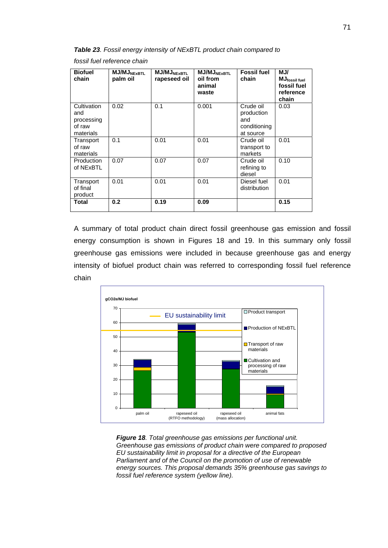*Table 23. Fossil energy intensity of NExBTL product chain compared to* 

*fossil fuel reference chain* 

| <b>Biofuel</b><br>chain                                 | <b>MJ/MJNEXBTL</b><br>palm oil | <b>MJ/MJNEXBTL</b><br>rapeseed oil | <b>MJ/MJ</b> NEXRTI<br>oil from<br>animal<br>waste | <b>Fossil fuel</b><br>chain                                 | MJ/<br>MJfossil fuel<br>fossil fuel<br>reference<br>chain |
|---------------------------------------------------------|--------------------------------|------------------------------------|----------------------------------------------------|-------------------------------------------------------------|-----------------------------------------------------------|
| Cultivation<br>and<br>processing<br>of raw<br>materials | 0.02                           | 0.1                                | 0.001                                              | Crude oil<br>production<br>and<br>conditioning<br>at source | 0.03                                                      |
| Transport<br>of raw<br>materials                        | 0.1                            | 0.01                               | 0.01                                               | Crude oil<br>transport to<br>markets                        | 0.01                                                      |
| Production<br>of NExBTL                                 | 0.07                           | 0.07                               | 0.07                                               | Crude oil<br>refining to<br>diesel                          | 0.10                                                      |
| Transport<br>of final<br>product                        | 0.01                           | 0.01                               | 0.01                                               | Diesel fuel<br>distribution                                 | 0.01                                                      |
| <b>Total</b>                                            | 0.2                            | 0.19                               | 0.09                                               |                                                             | 0.15                                                      |

A summary of total product chain direct fossil greenhouse gas emission and fossil energy consumption is shown in Figures 18 and 19. In this summary only fossil greenhouse gas emissions were included in because greenhouse gas and energy intensity of biofuel product chain was referred to corresponding fossil fuel reference chain



*Figure 18. Total greenhouse gas emissions per functional unit. Greenhouse gas emissions of product chain were compared to proposed EU sustainability limit in proposal for a directive of the European Parliament and of the Council on the promotion of use of renewable energy sources. This proposal demands 35% greenhouse gas savings to fossil fuel reference system (yellow line).*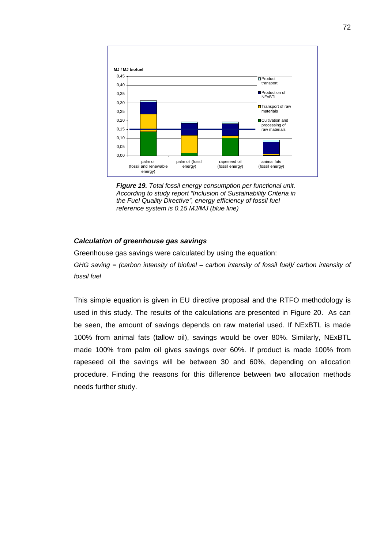

*Figure 19. Total fossil energy consumption per functional unit. According to study report "Inclusion of Sustainability Criteria in the Fuel Quality Directive", energy efficiency of fossil fuel reference system is 0.15 MJ/MJ (blue line)* 

#### *Calculation of greenhouse gas savings*

Greenhouse gas savings were calculated by using the equation:

*GHG saving = (carbon intensity of biofuel – carbon intensity of fossil fuel)/ carbon intensity of fossil fuel* 

This simple equation is given in EU directive proposal and the RTFO methodology is used in this study. The results of the calculations are presented in Figure 20. As can be seen, the amount of savings depends on raw material used. If NExBTL is made 100% from animal fats (tallow oil), savings would be over 80%. Similarly, NExBTL made 100% from palm oil gives savings over 60%. If product is made 100% from rapeseed oil the savings will be between 30 and 60%, depending on allocation procedure. Finding the reasons for this difference between two allocation methods needs further study.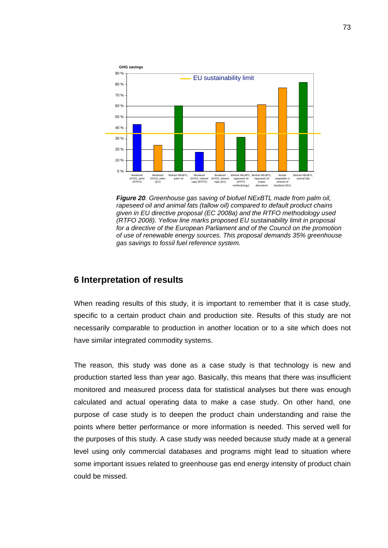

*Figure 20. Greenhouse gas saving of biofuel NExBTL made from palm oil, rapeseed oil and animal fats (tallow oil) compared to default product chains given in EU directive proposal (EC 2008a) and the RTFO methodology used (RTFO 2008). Yellow line marks proposed EU sustainability limit in proposal for a directive of the European Parliament and of the Council on the promotion of use of renewable energy sources. This proposal demands 35% greenhouse gas savings to fossil fuel reference system.* 

#### **6 Interpretation of results**

When reading results of this study, it is important to remember that it is case study, specific to a certain product chain and production site. Results of this study are not necessarily comparable to production in another location or to a site which does not have similar integrated commodity systems.

The reason, this study was done as a case study is that technology is new and production started less than year ago. Basically, this means that there was insufficient monitored and measured process data for statistical analyses but there was enough calculated and actual operating data to make a case study. On other hand, one purpose of case study is to deepen the product chain understanding and raise the points where better performance or more information is needed. This served well for the purposes of this study. A case study was needed because study made at a general level using only commercial databases and programs might lead to situation where some important issues related to greenhouse gas end energy intensity of product chain could be missed.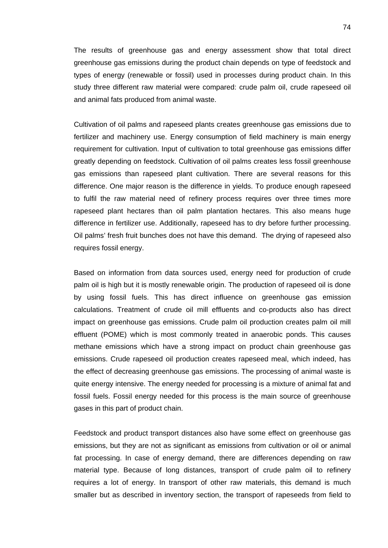The results of greenhouse gas and energy assessment show that total direct greenhouse gas emissions during the product chain depends on type of feedstock and types of energy (renewable or fossil) used in processes during product chain. In this study three different raw material were compared: crude palm oil, crude rapeseed oil and animal fats produced from animal waste.

Cultivation of oil palms and rapeseed plants creates greenhouse gas emissions due to fertilizer and machinery use. Energy consumption of field machinery is main energy requirement for cultivation. Input of cultivation to total greenhouse gas emissions differ greatly depending on feedstock. Cultivation of oil palms creates less fossil greenhouse gas emissions than rapeseed plant cultivation. There are several reasons for this difference. One major reason is the difference in yields. To produce enough rapeseed to fulfil the raw material need of refinery process requires over three times more rapeseed plant hectares than oil palm plantation hectares. This also means huge difference in fertilizer use. Additionally, rapeseed has to dry before further processing. Oil palms' fresh fruit bunches does not have this demand. The drying of rapeseed also requires fossil energy.

Based on information from data sources used, energy need for production of crude palm oil is high but it is mostly renewable origin. The production of rapeseed oil is done by using fossil fuels. This has direct influence on greenhouse gas emission calculations. Treatment of crude oil mill effluents and co-products also has direct impact on greenhouse gas emissions. Crude palm oil production creates palm oil mill effluent (POME) which is most commonly treated in anaerobic ponds. This causes methane emissions which have a strong impact on product chain greenhouse gas emissions. Crude rapeseed oil production creates rapeseed meal, which indeed, has the effect of decreasing greenhouse gas emissions. The processing of animal waste is quite energy intensive. The energy needed for processing is a mixture of animal fat and fossil fuels. Fossil energy needed for this process is the main source of greenhouse gases in this part of product chain.

Feedstock and product transport distances also have some effect on greenhouse gas emissions, but they are not as significant as emissions from cultivation or oil or animal fat processing. In case of energy demand, there are differences depending on raw material type. Because of long distances, transport of crude palm oil to refinery requires a lot of energy. In transport of other raw materials, this demand is much smaller but as described in inventory section, the transport of rapeseeds from field to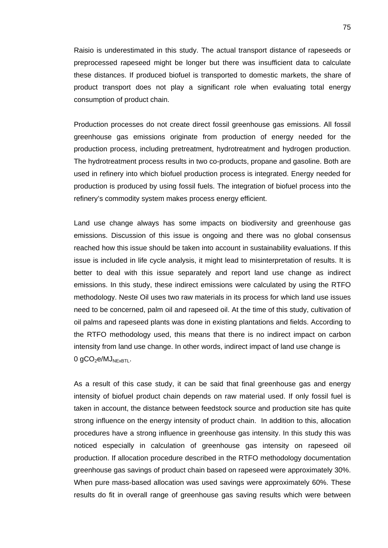Raisio is underestimated in this study. The actual transport distance of rapeseeds or preprocessed rapeseed might be longer but there was insufficient data to calculate these distances. If produced biofuel is transported to domestic markets, the share of product transport does not play a significant role when evaluating total energy consumption of product chain.

Production processes do not create direct fossil greenhouse gas emissions. All fossil greenhouse gas emissions originate from production of energy needed for the production process, including pretreatment, hydrotreatment and hydrogen production. The hydrotreatment process results in two co-products, propane and gasoline. Both are used in refinery into which biofuel production process is integrated. Energy needed for production is produced by using fossil fuels. The integration of biofuel process into the refinery's commodity system makes process energy efficient.

Land use change always has some impacts on biodiversity and greenhouse gas emissions. Discussion of this issue is ongoing and there was no global consensus reached how this issue should be taken into account in sustainability evaluations. If this issue is included in life cycle analysis, it might lead to misinterpretation of results. It is better to deal with this issue separately and report land use change as indirect emissions. In this study, these indirect emissions were calculated by using the RTFO methodology. Neste Oil uses two raw materials in its process for which land use issues need to be concerned, palm oil and rapeseed oil. At the time of this study, cultivation of oil palms and rapeseed plants was done in existing plantations and fields. According to the RTFO methodology used, this means that there is no indirect impact on carbon intensity from land use change. In other words, indirect impact of land use change is  $0$  gCO<sub>2</sub>e/MJ<sub>NExBTL</sub>.

As a result of this case study, it can be said that final greenhouse gas and energy intensity of biofuel product chain depends on raw material used. If only fossil fuel is taken in account, the distance between feedstock source and production site has quite strong influence on the energy intensity of product chain. In addition to this, allocation procedures have a strong influence in greenhouse gas intensity. In this study this was noticed especially in calculation of greenhouse gas intensity on rapeseed oil production. If allocation procedure described in the RTFO methodology documentation greenhouse gas savings of product chain based on rapeseed were approximately 30%. When pure mass-based allocation was used savings were approximately 60%. These results do fit in overall range of greenhouse gas saving results which were between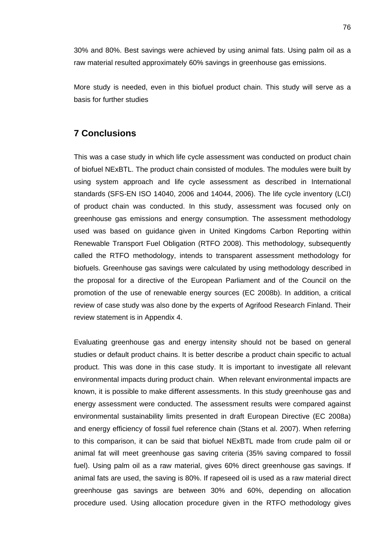30% and 80%. Best savings were achieved by using animal fats. Using palm oil as a raw material resulted approximately 60% savings in greenhouse gas emissions.

More study is needed, even in this biofuel product chain. This study will serve as a basis for further studies

#### **7 Conclusions**

This was a case study in which life cycle assessment was conducted on product chain of biofuel NExBTL. The product chain consisted of modules. The modules were built by using system approach and life cycle assessment as described in International standards (SFS-EN ISO 14040, 2006 and 14044, 2006). The life cycle inventory (LCI) of product chain was conducted. In this study, assessment was focused only on greenhouse gas emissions and energy consumption. The assessment methodology used was based on guidance given in United Kingdoms Carbon Reporting within Renewable Transport Fuel Obligation (RTFO 2008). This methodology, subsequently called the RTFO methodology, intends to transparent assessment methodology for biofuels. Greenhouse gas savings were calculated by using methodology described in the proposal for a directive of the European Parliament and of the Council on the promotion of the use of renewable energy sources (EC 2008b). In addition, a critical review of case study was also done by the experts of Agrifood Research Finland. Their review statement is in Appendix 4.

Evaluating greenhouse gas and energy intensity should not be based on general studies or default product chains. It is better describe a product chain specific to actual product. This was done in this case study. It is important to investigate all relevant environmental impacts during product chain. When relevant environmental impacts are known, it is possible to make different assessments. In this study greenhouse gas and energy assessment were conducted. The assessment results were compared against environmental sustainability limits presented in draft European Directive (EC 2008a) and energy efficiency of fossil fuel reference chain (Stans et al. 2007). When referring to this comparison, it can be said that biofuel NExBTL made from crude palm oil or animal fat will meet greenhouse gas saving criteria (35% saving compared to fossil fuel). Using palm oil as a raw material, gives 60% direct greenhouse gas savings. If animal fats are used, the saving is 80%. If rapeseed oil is used as a raw material direct greenhouse gas savings are between 30% and 60%, depending on allocation procedure used. Using allocation procedure given in the RTFO methodology gives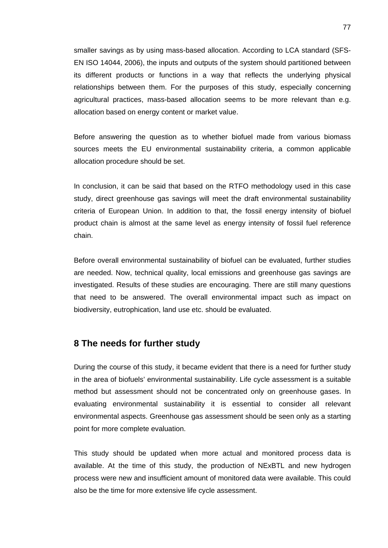smaller savings as by using mass-based allocation. According to LCA standard (SFS-EN ISO 14044, 2006), the inputs and outputs of the system should partitioned between its different products or functions in a way that reflects the underlying physical relationships between them. For the purposes of this study, especially concerning agricultural practices, mass-based allocation seems to be more relevant than e.g. allocation based on energy content or market value.

Before answering the question as to whether biofuel made from various biomass sources meets the EU environmental sustainability criteria, a common applicable allocation procedure should be set.

In conclusion, it can be said that based on the RTFO methodology used in this case study, direct greenhouse gas savings will meet the draft environmental sustainability criteria of European Union. In addition to that, the fossil energy intensity of biofuel product chain is almost at the same level as energy intensity of fossil fuel reference chain.

Before overall environmental sustainability of biofuel can be evaluated, further studies are needed. Now, technical quality, local emissions and greenhouse gas savings are investigated. Results of these studies are encouraging. There are still many questions that need to be answered. The overall environmental impact such as impact on biodiversity, eutrophication, land use etc. should be evaluated.

#### **8 The needs for further study**

During the course of this study, it became evident that there is a need for further study in the area of biofuels' environmental sustainability. Life cycle assessment is a suitable method but assessment should not be concentrated only on greenhouse gases. In evaluating environmental sustainability it is essential to consider all relevant environmental aspects. Greenhouse gas assessment should be seen only as a starting point for more complete evaluation.

This study should be updated when more actual and monitored process data is available. At the time of this study, the production of NExBTL and new hydrogen process were new and insufficient amount of monitored data were available. This could also be the time for more extensive life cycle assessment.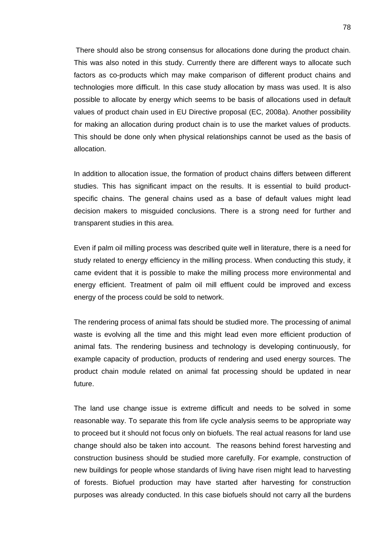There should also be strong consensus for allocations done during the product chain. This was also noted in this study. Currently there are different ways to allocate such factors as co-products which may make comparison of different product chains and technologies more difficult. In this case study allocation by mass was used. It is also possible to allocate by energy which seems to be basis of allocations used in default values of product chain used in EU Directive proposal (EC, 2008a). Another possibility for making an allocation during product chain is to use the market values of products. This should be done only when physical relationships cannot be used as the basis of allocation.

In addition to allocation issue, the formation of product chains differs between different studies. This has significant impact on the results. It is essential to build productspecific chains. The general chains used as a base of default values might lead decision makers to misguided conclusions. There is a strong need for further and transparent studies in this area.

Even if palm oil milling process was described quite well in literature, there is a need for study related to energy efficiency in the milling process. When conducting this study, it came evident that it is possible to make the milling process more environmental and energy efficient. Treatment of palm oil mill effluent could be improved and excess energy of the process could be sold to network.

The rendering process of animal fats should be studied more. The processing of animal waste is evolving all the time and this might lead even more efficient production of animal fats. The rendering business and technology is developing continuously, for example capacity of production, products of rendering and used energy sources. The product chain module related on animal fat processing should be updated in near future.

The land use change issue is extreme difficult and needs to be solved in some reasonable way. To separate this from life cycle analysis seems to be appropriate way to proceed but it should not focus only on biofuels. The real actual reasons for land use change should also be taken into account. The reasons behind forest harvesting and construction business should be studied more carefully. For example, construction of new buildings for people whose standards of living have risen might lead to harvesting of forests. Biofuel production may have started after harvesting for construction purposes was already conducted. In this case biofuels should not carry all the burdens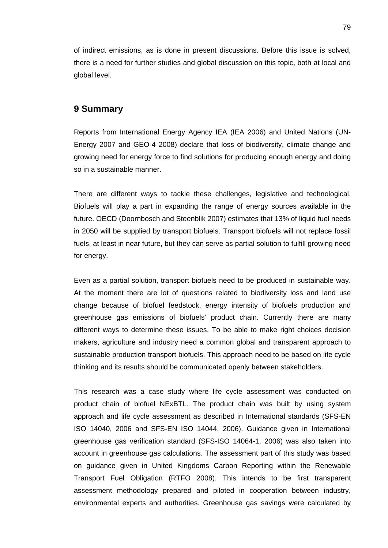of indirect emissions, as is done in present discussions. Before this issue is solved, there is a need for further studies and global discussion on this topic, both at local and global level.

### **9 Summary**

Reports from International Energy Agency IEA (IEA 2006) and United Nations (UN-Energy 2007 and GEO-4 2008) declare that loss of biodiversity, climate change and growing need for energy force to find solutions for producing enough energy and doing so in a sustainable manner.

There are different ways to tackle these challenges, legislative and technological. Biofuels will play a part in expanding the range of energy sources available in the future. OECD (Doornbosch and Steenblik 2007) estimates that 13% of liquid fuel needs in 2050 will be supplied by transport biofuels. Transport biofuels will not replace fossil fuels, at least in near future, but they can serve as partial solution to fulfill growing need for energy.

Even as a partial solution, transport biofuels need to be produced in sustainable way. At the moment there are lot of questions related to biodiversity loss and land use change because of biofuel feedstock, energy intensity of biofuels production and greenhouse gas emissions of biofuels' product chain. Currently there are many different ways to determine these issues. To be able to make right choices decision makers, agriculture and industry need a common global and transparent approach to sustainable production transport biofuels. This approach need to be based on life cycle thinking and its results should be communicated openly between stakeholders.

This research was a case study where life cycle assessment was conducted on product chain of biofuel NExBTL. The product chain was built by using system approach and life cycle assessment as described in International standards (SFS-EN ISO 14040, 2006 and SFS-EN ISO 14044, 2006). Guidance given in International greenhouse gas verification standard (SFS-ISO 14064-1, 2006) was also taken into account in greenhouse gas calculations. The assessment part of this study was based on guidance given in United Kingdoms Carbon Reporting within the Renewable Transport Fuel Obligation (RTFO 2008). This intends to be first transparent assessment methodology prepared and piloted in cooperation between industry, environmental experts and authorities. Greenhouse gas savings were calculated by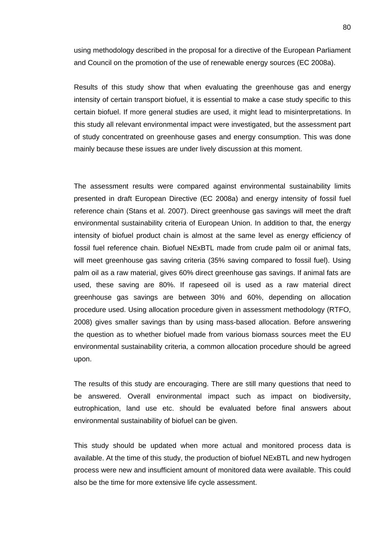using methodology described in the proposal for a directive of the European Parliament and Council on the promotion of the use of renewable energy sources (EC 2008a).

Results of this study show that when evaluating the greenhouse gas and energy intensity of certain transport biofuel, it is essential to make a case study specific to this certain biofuel. If more general studies are used, it might lead to misinterpretations. In this study all relevant environmental impact were investigated, but the assessment part of study concentrated on greenhouse gases and energy consumption. This was done mainly because these issues are under lively discussion at this moment.

The assessment results were compared against environmental sustainability limits presented in draft European Directive (EC 2008a) and energy intensity of fossil fuel reference chain (Stans et al. 2007). Direct greenhouse gas savings will meet the draft environmental sustainability criteria of European Union. In addition to that, the energy intensity of biofuel product chain is almost at the same level as energy efficiency of fossil fuel reference chain. Biofuel NExBTL made from crude palm oil or animal fats, will meet greenhouse gas saving criteria (35% saving compared to fossil fuel). Using palm oil as a raw material, gives 60% direct greenhouse gas savings. If animal fats are used, these saving are 80%. If rapeseed oil is used as a raw material direct greenhouse gas savings are between 30% and 60%, depending on allocation procedure used. Using allocation procedure given in assessment methodology (RTFO, 2008) gives smaller savings than by using mass-based allocation. Before answering the question as to whether biofuel made from various biomass sources meet the EU environmental sustainability criteria, a common allocation procedure should be agreed upon.

The results of this study are encouraging. There are still many questions that need to be answered. Overall environmental impact such as impact on biodiversity, eutrophication, land use etc. should be evaluated before final answers about environmental sustainability of biofuel can be given.

This study should be updated when more actual and monitored process data is available. At the time of this study, the production of biofuel NExBTL and new hydrogen process were new and insufficient amount of monitored data were available. This could also be the time for more extensive life cycle assessment.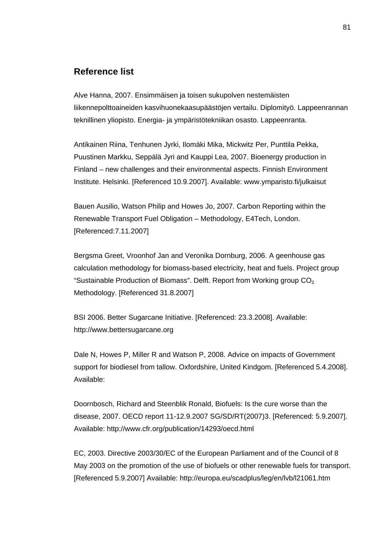#### **Reference list**

Alve Hanna, 2007. Ensimmäisen ja toisen sukupolven nestemäisten liikennepolttoaineiden kasvihuonekaasupäästöjen vertailu. Diplomityö. Lappeenrannan teknillinen yliopisto. Energia- ja ympäristötekniikan osasto. Lappeenranta.

Antikainen Riina, Tenhunen Jyrki, Ilomäki Mika, Mickwitz Per, Punttila Pekka, Puustinen Markku, Seppälä Jyri and Kauppi Lea, 2007. Bioenergy production in Finland – new challenges and their environmental aspects. Finnish Environment Institute. Helsinki. [Referenced 10.9.2007]. Available: www.ymparisto.fi/julkaisut

Bauen Ausilio, Watson Philip and Howes Jo, 2007. Carbon Reporting within the Renewable Transport Fuel Obligation – Methodology, E4Tech, London. [Referenced:7.11.2007]

Bergsma Greet, Vroonhof Jan and Veronika Dornburg, 2006. A geenhouse gas calculation methodology for biomass-based electricity, heat and fuels. Project group "Sustainable Production of Biomass". Delft. Report from Working group  $CO<sub>2</sub>$ Methodology. [Referenced 31.8.2007]

BSI 2006. Better Sugarcane Initiative. [Referenced: 23.3.2008]. Available: http://www.bettersugarcane.org

Dale N, Howes P, Miller R and Watson P, 2008. Advice on impacts of Government support for biodiesel from tallow. Oxfordshire, United Kindgom. [Referenced 5.4.2008]. Available:

Doornbosch, Richard and Steenblik Ronald, Biofuels: Is the cure worse than the disease, 2007. OECD report 11-12.9.2007 SG/SD/RT(2007)3. [Referenced: 5.9.2007]. Available: http://www.cfr.org/publication/14293/oecd.html

EC, 2003. Directive 2003/30/EC of the European Parliament and of the Council of 8 May 2003 on the promotion of the use of biofuels or other renewable fuels for transport. [Referenced 5.9.2007] Available: http://europa.eu/scadplus/leg/en/lvb/l21061.htm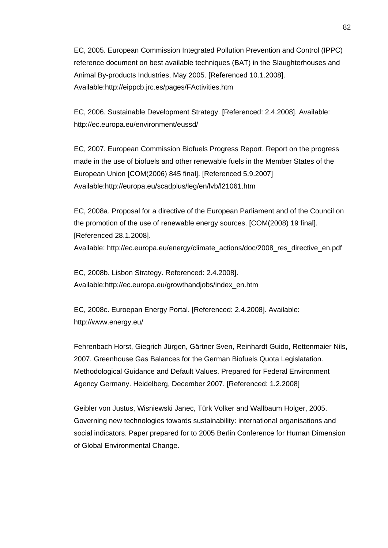EC, 2005. European Commission Integrated Pollution Prevention and Control (IPPC) reference document on best available techniques (BAT) in the Slaughterhouses and Animal By-products Industries, May 2005. [Referenced 10.1.2008]. Available:http://eippcb.jrc.es/pages/FActivities.htm

EC, 2006. Sustainable Development Strategy. [Referenced: 2.4.2008]. Available: http://ec.europa.eu/environment/eussd/

EC, 2007. European Commission Biofuels Progress Report. Report on the progress made in the use of biofuels and other renewable fuels in the Member States of the European Union [COM(2006) 845 final]. [Referenced 5.9.2007] Available:http://europa.eu/scadplus/leg/en/lvb/l21061.htm

EC, 2008a. Proposal for a directive of the European Parliament and of the Council on the promotion of the use of renewable energy sources. [COM(2008) 19 final]. [Referenced 28.1.2008]. Available: http://ec.europa.eu/energy/climate\_actions/doc/2008\_res\_directive\_en.pdf

EC, 2008b. Lisbon Strategy. Referenced: 2.4.2008]. Available:http://ec.europa.eu/growthandjobs/index\_en.htm

EC, 2008c. Euroepan Energy Portal. [Referenced: 2.4.2008]. Available: http://www.energy.eu/

Fehrenbach Horst, Giegrich Jürgen, Gärtner Sven, Reinhardt Guido, Rettenmaier Nils, 2007. Greenhouse Gas Balances for the German Biofuels Quota Legislatation. Methodological Guidance and Default Values. Prepared for Federal Environment Agency Germany. Heidelberg, December 2007. [Referenced: 1.2.2008]

Geibler von Justus, Wisniewski Janec, Türk Volker and Wallbaum Holger, 2005. Governing new technologies towards sustainability: international organisations and social indicators. Paper prepared for to 2005 Berlin Conference for Human Dimension of Global Environmental Change.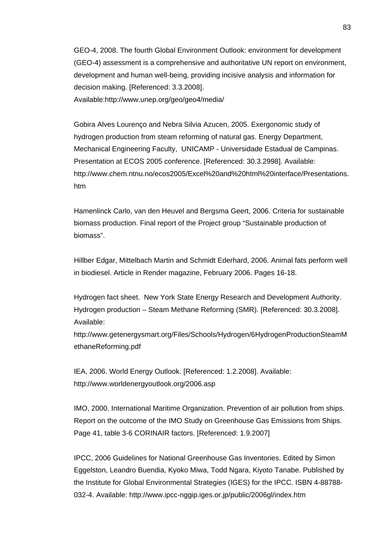GEO-4, 2008. The fourth Global Environment Outlook: environment for development (GEO-4) assessment is a comprehensive and authoritative UN report on environment, development and human well-being, providing incisive analysis and information for decision making. [Referenced: 3.3.2008]. Available:http://www.unep.org/geo/geo4/media/

Gobira Alves Lourenço and Nebra Silvia Azucen, 2005. Exergonomic study of hydrogen production from steam reforming of natural gas. Energy Department, Mechanical Engineering Faculty, UNICAMP - Universidade Estadual de Campinas. Presentation at ECOS 2005 conference. [Referenced: 30.3.2998]. Available: http://www.chem.ntnu.no/ecos2005/Excel%20and%20html%20interface/Presentations. htm

Hamenlinck Carlo, van den Heuvel and Bergsma Geert, 2006. Criteria for sustainable biomass production. Final report of the Project group "Sustainable production of biomass".

Hillber Edgar, Mittelbach Martin and Schmidt Ederhard, 2006. Animal fats perform well in biodiesel. Article in Render magazine, February 2006. Pages 16-18.

Hydrogen fact sheet. New York State Energy Research and Development Authority. Hydrogen production – Steam Methane Reforming (SMR). [Referenced: 30.3.2008]. Available:

http://www.getenergysmart.org/Files/Schools/Hydrogen/6HydrogenProductionSteamM ethaneReforming.pdf

IEA, 2006. World Energy Outlook. [Referenced: 1.2.2008]. Available: http://www.worldenergyoutlook.org/2006.asp

IMO, 2000. International Maritime Organization. Prevention of air pollution from ships. Report on the outcome of the IMO Study on Greenhouse Gas Emissions from Ships. Page 41, table 3-6 CORINAIR factors. [Referenced: 1.9.2007]

IPCC, 2006 Guidelines for National Greenhouse Gas Inventories. Edited by Simon Eggelston, Leandro Buendia, Kyoko Miwa, Todd Ngara, Kiyoto Tanabe. Published by the Institute for Global Environmental Strategies (IGES) for the IPCC. ISBN 4-88788- 032-4. Available: http://www.ipcc-nggip.iges.or.jp/public/2006gl/index.htm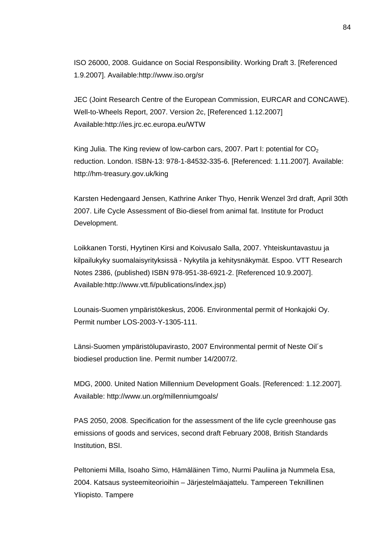ISO 26000, 2008. Guidance on Social Responsibility. Working Draft 3. [Referenced 1.9.2007]. Available:http://www.iso.org/sr

JEC (Joint Research Centre of the European Commission, EURCAR and CONCAWE). Well-to-Wheels Report, 2007. Version 2c, [Referenced 1.12.2007] Available:http://ies.jrc.ec.europa.eu/WTW

King Julia. The King review of low-carbon cars, 2007. Part I: potential for  $CO<sub>2</sub>$ reduction. London. ISBN-13: 978-1-84532-335-6. [Referenced: 1.11.2007]. Available: http://hm-treasury.gov.uk/king

Karsten Hedengaard Jensen, Kathrine Anker Thyo, Henrik Wenzel 3rd draft, April 30th 2007. Life Cycle Assessment of Bio-diesel from animal fat. Institute for Product Development.

Loikkanen Torsti, Hyytinen Kirsi and Koivusalo Salla, 2007. Yhteiskuntavastuu ja kilpailukyky suomalaisyrityksissä - Nykytila ja kehitysnäkymät. Espoo. VTT Research Notes 2386, (published) ISBN 978-951-38-6921-2. [Referenced 10.9.2007]. Available:http://www.vtt.fi/publications/index.jsp)

Lounais-Suomen ympäristökeskus, 2006. Environmental permit of Honkajoki Oy. Permit number LOS-2003-Y-1305-111.

Länsi-Suomen ympäristölupavirasto, 2007 Environmental permit of Neste Oil´s biodiesel production line. Permit number 14/2007/2.

MDG, 2000. United Nation Millennium Development Goals. [Referenced: 1.12.2007]. Available: http://www.un.org/millenniumgoals/

PAS 2050, 2008. Specification for the assessment of the life cycle greenhouse gas emissions of goods and services, second draft February 2008, British Standards Institution, BSI.

Peltoniemi Milla, Isoaho Simo, Hämäläinen Timo, Nurmi Pauliina ja Nummela Esa, 2004. Katsaus systeemiteorioihin – Järjestelmäajattelu. Tampereen Teknillinen Yliopisto. Tampere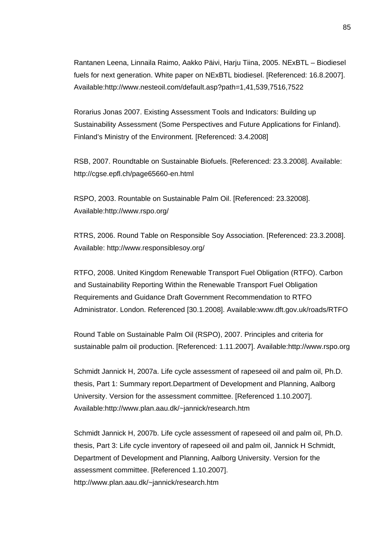Rantanen Leena, Linnaila Raimo, Aakko Päivi, Harju Tiina, 2005. NExBTL – Biodiesel fuels for next generation. White paper on NExBTL biodiesel. [Referenced: 16.8.2007]. Available:http://www.nesteoil.com/default.asp?path=1,41,539,7516,7522

Rorarius Jonas 2007. Existing Assessment Tools and Indicators: Building up Sustainability Assessment (Some Perspectives and Future Applications for Finland). Finland's Ministry of the Environment. [Referenced: 3.4.2008]

RSB, 2007. Roundtable on Sustainable Biofuels. [Referenced: 23.3.2008]. Available: http://cgse.epfl.ch/page65660-en.html

RSPO, 2003. Rountable on Sustainable Palm Oil. [Referenced: 23.32008]. Available:http://www.rspo.org/

RTRS, 2006. Round Table on Responsible Soy Association. [Referenced: 23.3.2008]. Available: http://www.responsiblesoy.org/

RTFO, 2008. United Kingdom Renewable Transport Fuel Obligation (RTFO). Carbon and Sustainability Reporting Within the Renewable Transport Fuel Obligation Requirements and Guidance Draft Government Recommendation to RTFO Administrator. London. Referenced [30.1.2008]. Available:www.dft.gov.uk/roads/RTFO

Round Table on Sustainable Palm Oil (RSPO), 2007. Principles and criteria for sustainable palm oil production. [Referenced: 1.11.2007]. Available:http://www.rspo.org

Schmidt Jannick H, 2007a. Life cycle assessment of rapeseed oil and palm oil, Ph.D. thesis, Part 1: Summary report.Department of Development and Planning, Aalborg University. Version for the assessment committee. [Referenced 1.10.2007]. Available:http://www.plan.aau.dk/~jannick/research.htm

Schmidt Jannick H, 2007b. Life cycle assessment of rapeseed oil and palm oil, Ph.D. thesis, Part 3: Life cycle inventory of rapeseed oil and palm oil, Jannick H Schmidt, Department of Development and Planning, Aalborg University. Version for the assessment committee. [Referenced 1.10.2007]. http://www.plan.aau.dk/~jannick/research.htm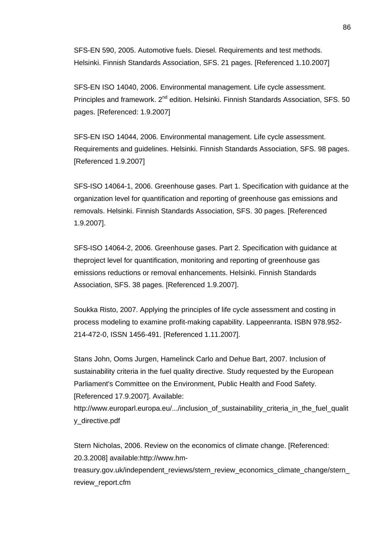SFS-EN 590, 2005. Automotive fuels. Diesel. Requirements and test methods. Helsinki. Finnish Standards Association, SFS. 21 pages. [Referenced 1.10.2007]

SFS-EN ISO 14040, 2006. Environmental management. Life cycle assessment. Principles and framework. 2<sup>nd</sup> edition. Helsinki. Finnish Standards Association, SFS. 50 pages. [Referenced: 1.9.2007]

SFS-EN ISO 14044, 2006. Environmental management. Life cycle assessment. Requirements and guidelines. Helsinki. Finnish Standards Association, SFS. 98 pages. [Referenced 1.9.2007]

SFS-ISO 14064-1, 2006. Greenhouse gases. Part 1. Specification with guidance at the organization level for quantification and reporting of greenhouse gas emissions and removals. Helsinki. Finnish Standards Association, SFS. 30 pages. [Referenced 1.9.2007].

SFS-ISO 14064-2, 2006. Greenhouse gases. Part 2. Specification with guidance at theproject level for quantification, monitoring and reporting of greenhouse gas emissions reductions or removal enhancements. Helsinki. Finnish Standards Association, SFS. 38 pages. [Referenced 1.9.2007].

Soukka Risto, 2007. Applying the principles of life cycle assessment and costing in process modeling to examine profit-making capability. Lappeenranta. ISBN 978.952- 214-472-0, ISSN 1456-491. [Referenced 1.11.2007].

Stans John, Ooms Jurgen, Hamelinck Carlo and Dehue Bart, 2007. Inclusion of sustainability criteria in the fuel quality directive. Study requested by the European Parliament's Committee on the Environment, Public Health and Food Safety. [Referenced 17.9.2007]. Available:

http://www.europarl.europa.eu/.../inclusion\_of\_sustainability\_criteria\_in\_the\_fuel\_qualit y\_directive.pdf

Stern Nicholas, 2006. Review on the economics of climate change. [Referenced: 20.3.2008] available:http://www.hm-

treasury.gov.uk/independent\_reviews/stern\_review\_economics\_climate\_change/stern\_ review\_report.cfm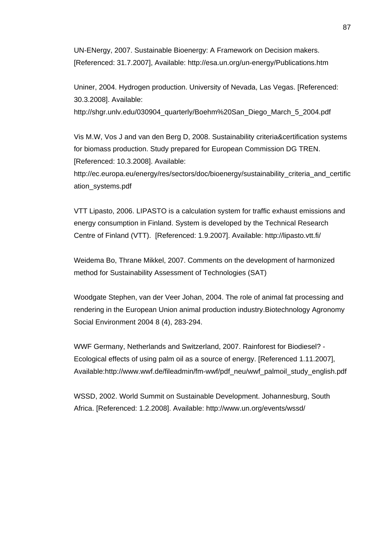UN-ENergy, 2007. Sustainable Bioenergy: A Framework on Decision makers. [Referenced: 31.7.2007], Available: http://esa.un.org/un-energy/Publications.htm

Uniner, 2004. Hydrogen production. University of Nevada, Las Vegas. [Referenced: 30.3.2008]. Available:

http://shgr.unlv.edu/030904\_quarterly/Boehm%20San\_Diego\_March\_5\_2004.pdf

Vis M.W, Vos J and van den Berg D, 2008. Sustainability criteria&certification systems for biomass production. Study prepared for European Commission DG TREN. [Referenced: 10.3.2008]. Available:

http://ec.europa.eu/energy/res/sectors/doc/bioenergy/sustainability\_criteria\_and\_certific ation\_systems.pdf

VTT Lipasto, 2006. LIPASTO is a calculation system for traffic exhaust emissions and energy consumption in Finland. System is developed by the Technical Research Centre of Finland (VTT). [Referenced: 1.9.2007]. Available: http://lipasto.vtt.fi/

Weidema Bo, Thrane Mikkel, 2007. Comments on the development of harmonized method for Sustainability Assessment of Technologies (SAT)

Woodgate Stephen, van der Veer Johan, 2004. The role of animal fat processing and rendering in the European Union animal production industry.Biotechnology Agronomy Social Environment 2004 8 (4), 283-294.

WWF Germany, Netherlands and Switzerland, 2007. Rainforest for Biodiesel? - Ecological effects of using palm oil as a source of energy. [Referenced 1.11.2007], Available:http://www.wwf.de/fileadmin/fm-wwf/pdf\_neu/wwf\_palmoil\_study\_english.pdf

WSSD, 2002. World Summit on Sustainable Development. Johannesburg, South Africa. [Referenced: 1.2.2008]. Available: http://www.un.org/events/wssd/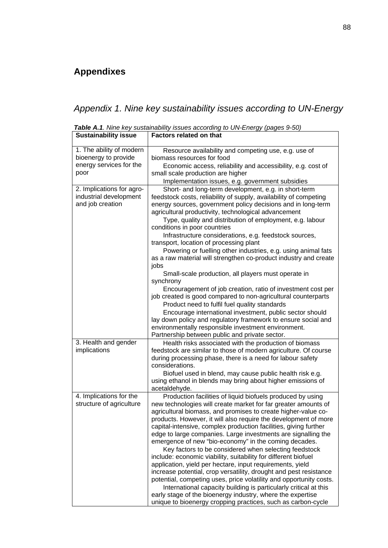## **Appendixes**

 $\overline{\phantom{a}}$ 

*Appendix 1. Nine key sustainability issues according to UN-Energy* 

| <b>Sustainability issue</b>                                                         | <b>Factors related on that</b>                                                                                                                                                                                                                                                                                                                                                                                                                                                                                                                                                                                                                                                                                                                                                                                                                                                                                                                                                                                                                                                              |
|-------------------------------------------------------------------------------------|---------------------------------------------------------------------------------------------------------------------------------------------------------------------------------------------------------------------------------------------------------------------------------------------------------------------------------------------------------------------------------------------------------------------------------------------------------------------------------------------------------------------------------------------------------------------------------------------------------------------------------------------------------------------------------------------------------------------------------------------------------------------------------------------------------------------------------------------------------------------------------------------------------------------------------------------------------------------------------------------------------------------------------------------------------------------------------------------|
| 1. The ability of modern<br>bioenergy to provide<br>energy services for the<br>poor | Resource availability and competing use, e.g. use of<br>biomass resources for food<br>Economic access, reliability and accessibility, e.g. cost of<br>small scale production are higher<br>Implementation issues, e.g. government subsidies                                                                                                                                                                                                                                                                                                                                                                                                                                                                                                                                                                                                                                                                                                                                                                                                                                                 |
| 2. Implications for agro-<br>industrial development<br>and job creation             | Short- and long-term development, e.g. in short-term<br>feedstock costs, reliability of supply, availability of competing<br>energy sources, government policy decisions and in long-term<br>agricultural productivity, technological advancement<br>Type, quality and distribution of employment, e.g. labour<br>conditions in poor countries<br>Infrastructure considerations, e.g. feedstock sources,<br>transport, location of processing plant<br>Powering or fuelling other industries, e.g. using animal fats<br>as a raw material will strengthen co-product industry and create<br>jobs<br>Small-scale production, all players must operate in<br>synchrony<br>Encouragement of job creation, ratio of investment cost per<br>job created is good compared to non-agricultural counterparts<br>Product need to fulfil fuel quality standards<br>Encourage international investment, public sector should<br>lay down policy and regulatory framework to ensure social and<br>environmentally responsible investment environment.<br>Partnership between public and private sector. |
| 3. Health and gender<br>implications                                                | Health risks associated with the production of biomass<br>feedstock are similar to those of modern agriculture. Of course<br>during processing phase, there is a need for labour safety<br>considerations.<br>Biofuel used in blend, may cause public health risk e.g.<br>using ethanol in blends may bring about higher emissions of<br>acetaldehyde.                                                                                                                                                                                                                                                                                                                                                                                                                                                                                                                                                                                                                                                                                                                                      |
| 4. Implications for the<br>structure of agriculture                                 | Production facilities of liquid biofuels produced by using<br>new technologies will create market for far greater amounts of<br>agricultural biomass, and promises to create higher-value co-<br>products. However, it will also require the development of more<br>capital-intensive, complex production facilities, giving further<br>edge to large companies. Large investments are signalling the<br>emergence of new "bio-economy" in the coming decades.<br>Key factors to be considered when selecting feedstock<br>include: economic viability, suitability for different biofuel<br>application, yield per hectare, input requirements, yield<br>increase potential, crop versatility, drought and pest resistance<br>potential, competing uses, price volatility and opportunity costs.<br>International capacity building is particularly critical at this<br>early stage of the bioenergy industry, where the expertise<br>unique to bioenergy cropping practices, such as carbon-cycle                                                                                         |

*Table A.1. Nine key sustainability issues according to UN-Energy (pages 9-50)* 

 $\overline{\phantom{a}}$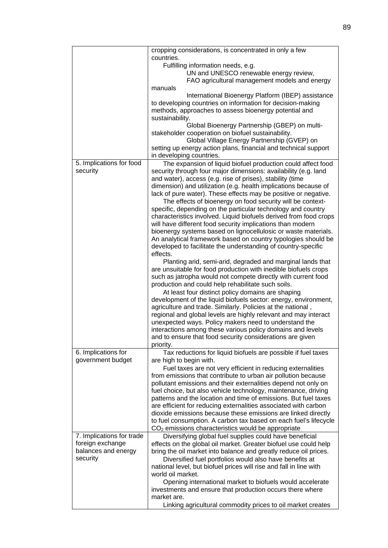|                           | cropping considerations, is concentrated in only a few                                                                            |
|---------------------------|-----------------------------------------------------------------------------------------------------------------------------------|
|                           | countries.                                                                                                                        |
|                           | Fulfilling information needs, e.g.                                                                                                |
|                           | UN and UNESCO renewable energy review,<br>FAO agricultural management models and energy                                           |
|                           | manuals                                                                                                                           |
|                           | International Bioenergy Platform (IBEP) assistance                                                                                |
|                           | to developing countries on information for decision-making                                                                        |
|                           | methods, approaches to assess bioenergy potential and                                                                             |
|                           | sustainability.                                                                                                                   |
|                           | Global Bioenergy Partnership (GBEP) on multi-                                                                                     |
|                           | stakeholder cooperation on biofuel sustainability.                                                                                |
|                           | Global Village Energy Partnership (GVEP) on                                                                                       |
|                           | setting up energy action plans, financial and technical support                                                                   |
|                           | in developing countries.                                                                                                          |
| 5. Implications for food  | The expansion of liquid biofuel production could affect food                                                                      |
| security                  | security through four major dimensions: availability (e.g. land                                                                   |
|                           | and water), access (e.g. rise of prises), stability (time<br>dimension) and utilization (e.g. health implications because of      |
|                           | lack of pure water). These effects may be positive or negative.                                                                   |
|                           | The effects of bioenergy on food security will be context-                                                                        |
|                           | specific, depending on the particular technology and country                                                                      |
|                           | characteristics involved. Liquid biofuels derived from food crops                                                                 |
|                           | will have different food security implications than modern                                                                        |
|                           | bioenergy systems based on lignocellulosic or waste materials.                                                                    |
|                           | An analytical framework based on country typologies should be                                                                     |
|                           | developed to facilitate the understanding of country-specific                                                                     |
|                           | effects.                                                                                                                          |
|                           | Planting arid, semi-arid, degraded and marginal lands that                                                                        |
|                           | are unsuitable for food production with inedible biofuels crops                                                                   |
|                           | such as jatropha would not compete directly with current food                                                                     |
|                           | production and could help rehabilitate such soils.                                                                                |
|                           | At least four distinct policy domains are shaping                                                                                 |
|                           | development of the liquid biofuels sector: energy, environment,<br>agriculture and trade. Similarly. Policies at the national,    |
|                           | regional and global levels are highly relevant and may interact                                                                   |
|                           | unexpected ways. Policy makers need to understand the                                                                             |
|                           | interactions among these various policy domains and levels                                                                        |
|                           | and to ensure that food security considerations are given                                                                         |
|                           | priority.                                                                                                                         |
| 6. Implications for       | Tax reductions for liquid biofuels are possible if fuel taxes                                                                     |
| government budget         | are high to begin with.                                                                                                           |
|                           | Fuel taxes are not very efficient in reducing externalities                                                                       |
|                           | from emissions that contribute to urban air pollution because                                                                     |
|                           | pollutant emissions and their externalities depend not only on                                                                    |
|                           | fuel choice, but also vehicle technology, maintenance, driving                                                                    |
|                           | patterns and the location and time of emissions. But fuel taxes                                                                   |
|                           | are efficient for reducing externalities associated with carbon                                                                   |
|                           | dioxide emissions because these emissions are linked directly<br>to fuel consumption. A carbon tax based on each fuel's lifecycle |
|                           | $CO2$ emissions characteristics would be appropriate                                                                              |
| 7. Implications for trade | Diversifying global fuel supplies could have beneficial                                                                           |
| foreign exchange          | effects on the global oil market. Greater biofuel use could help                                                                  |
| balances and energy       | bring the oil market into balance and greatly reduce oil prices.                                                                  |
| security                  | Diversified fuel portfolios would also have benefits at                                                                           |
|                           | national level, but biofuel prices will rise and fall in line with                                                                |
|                           | world oil market.                                                                                                                 |
|                           | Opening international market to biofuels would accelerate                                                                         |
|                           | investments and ensure that production occurs there where                                                                         |
|                           | market are.                                                                                                                       |
|                           | Linking agricultural commodity prices to oil market creates                                                                       |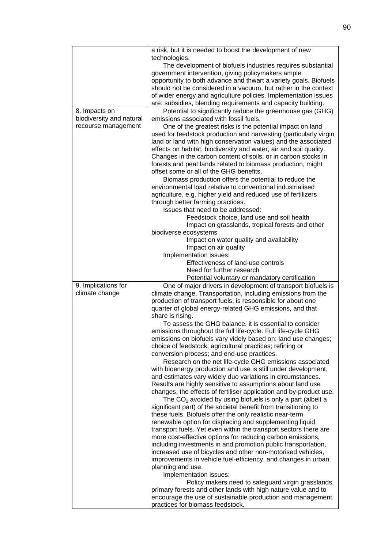|                          | a risk, but it is needed to boost the development of new                                       |
|--------------------------|------------------------------------------------------------------------------------------------|
|                          | technologies.                                                                                  |
|                          | The development of biofuels industries requires substantial                                    |
|                          | government intervention, giving policymakers ample                                             |
|                          | opportunity to both advance and thwart a variety goals. Biofuels                               |
|                          | should not be considered in a vacuum, but rather in the context                                |
|                          | of wider energy and agriculture policies. Implementation issues                                |
|                          | are: subsidies, blending requirements and capacity building.                                   |
| 8. Impacts on            | Potential to significantly reduce the greenhouse gas (GHG)                                     |
| biodiversity and natural | emissions associated with fossil fuels.                                                        |
| recourse management      | One of the greatest risks is the potential impact on land                                      |
|                          | used for feedstock production and harvesting (particularly virgin                              |
|                          | land or land with high conservation values) and the associated                                 |
|                          | effects on habitat, biodiversity and water, air and soil quality.                              |
|                          | Changes in the carbon content of soils, or in carbon stocks in                                 |
|                          | forests and peat lands related to biomass production, might                                    |
|                          | offset some or all of the GHG benefits.                                                        |
|                          | Biomass production offers the potential to reduce the                                          |
|                          | environmental load relative to conventional industrialised                                     |
|                          | agriculture, e.g. higher yield and reduced use of fertilizers                                  |
|                          | through better farming practices.                                                              |
|                          | Issues that need to be addressed:                                                              |
|                          | Feedstock choice, land use and soil health                                                     |
|                          | Impact on grasslands, tropical forests and other                                               |
|                          | biodiverse ecosystems                                                                          |
|                          | Impact on water quality and availability                                                       |
|                          | Impact on air quality                                                                          |
|                          | Implementation issues:                                                                         |
|                          | Effectiveness of land-use controls                                                             |
|                          | Need for further research                                                                      |
|                          | Potential voluntary or mandatory certification                                                 |
| 9. Implications for      | One of major drivers in development of transport biofuels is                                   |
| climate change           | climate change. Transportation, including emissions from the                                   |
|                          | production of transport fuels, is responsible for about one                                    |
|                          | quarter of global energy-related GHG emissions, and that                                       |
|                          | share is rising.                                                                               |
|                          | To assess the GHG balance, it is essential to consider                                         |
|                          | emissions throughout the full life-cycle. Full life-cycle GHG                                  |
|                          | emissions on biofuels vary videly based on: land use changes;                                  |
|                          | choice of feedstock; agricultural practices; refining or                                       |
|                          | conversion process; and end-use practices.                                                     |
|                          | Research on the net life-cycle GHG emissions associated                                        |
|                          | with bioenergy production and use is still under development,                                  |
|                          |                                                                                                |
|                          | and estimates vary widely duo variations in circumstances.                                     |
|                          | Results are highly sensitive to assumptions about land use                                     |
|                          | changes, the effects of fertiliser application and by-product use.                             |
|                          | The $CO2$ avoided by using biofuels is only a part (albeit a                                   |
|                          | significant part) of the societal benefit from transitioning to                                |
|                          | these fuels. Biofuels offer the only realistic near-term                                       |
|                          | renewable option for displacing and supplementing liquid                                       |
|                          | transport fuels. Yet even within the transport sectors there are                               |
|                          | more cost-effective options for reducing carbon emissions,                                     |
|                          | including investments in and promotion public transportation,                                  |
|                          | increased use of bicycles and other non-motorised vehicles,                                    |
|                          | improvements in vehicle fuel-efficiency, and changes in urban                                  |
|                          | planning and use.                                                                              |
|                          | Implementation issues:                                                                         |
|                          | Policy makers need to safeguard virgin grasslands,                                             |
|                          | primary forests and other lands with high nature value and to                                  |
|                          | encourage the use of sustainable production and management<br>practices for biomass feedstock. |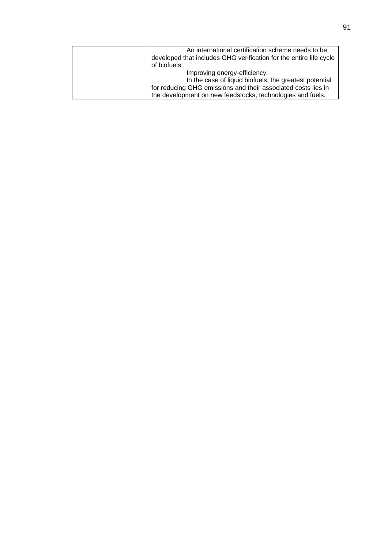| An international certification scheme needs to be                  |
|--------------------------------------------------------------------|
| developed that includes GHG verification for the entire life cycle |
| of biofuels.                                                       |
| Improving energy-efficiency.                                       |
| In the case of liquid biofuels, the greatest potential             |
| for reducing GHG emissions and their associated costs lies in      |
| the development on new feedstocks, technologies and fuels.         |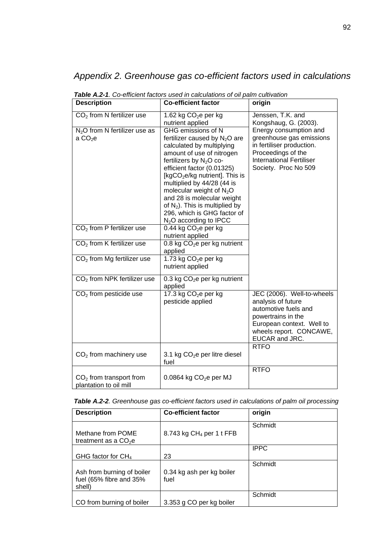# *Appendix 2. Greenhouse gas co-efficient factors used in calculations*

| <b>Description</b>                                  | <b>Co-efficient factor</b>                                                                                                                                                                                                                                                                                                                                                                                        | origin                                                                                                                                                                   |
|-----------------------------------------------------|-------------------------------------------------------------------------------------------------------------------------------------------------------------------------------------------------------------------------------------------------------------------------------------------------------------------------------------------------------------------------------------------------------------------|--------------------------------------------------------------------------------------------------------------------------------------------------------------------------|
| $CO2$ from N fertilizer use                         | 1.62 kg $CO2e$ per kg<br>nutrient applied                                                                                                                                                                                                                                                                                                                                                                         | Jenssen, T.K. and<br>Kongshaug, G. (2003).                                                                                                                               |
| $N2O$ from N fertilizer use as<br>a $CO2e$          | GHG emissions of N<br>fertilizer caused by $N_2O$ are<br>calculated by multiplying<br>amount of use of nitrogen<br>fertilizers by $N_2O$ co-<br>efficient factor (0.01325)<br>[kgCO <sub>2</sub> e/kg nutrient]. This is<br>multiplied by 44/28 (44 is<br>molecular weight of $N_2O$<br>and 28 is molecular weight<br>of $N_2$ ). This is multiplied by<br>296, which is GHG factor of<br>$N2O$ according to IPCC | Energy consumption and<br>greenhouse gas emissions<br>in fertiliser production.<br>Proceedings of the<br><b>International Fertiliser</b><br>Society. Proc No 509         |
| $CO2$ from P fertilizer use                         | 0.44 kg $CO2e$ per kg<br>nutrient applied                                                                                                                                                                                                                                                                                                                                                                         |                                                                                                                                                                          |
| $\overline{CO_2}$ from K fertilizer use             | 0.8 kg CO <sub>2</sub> e per kg nutrient<br>applied                                                                                                                                                                                                                                                                                                                                                               |                                                                                                                                                                          |
| $CO2$ from Mg fertilizer use                        | 1.73 kg CO <sub>2</sub> e per kg<br>nutrient applied                                                                                                                                                                                                                                                                                                                                                              |                                                                                                                                                                          |
| CO <sub>2</sub> from NPK fertilizer use             | 0.3 kg $CO2e$ per kg nutrient<br>applied                                                                                                                                                                                                                                                                                                                                                                          |                                                                                                                                                                          |
| $CO2$ from pesticide use                            | 17.3 kg $CO2e$ per kg<br>pesticide applied                                                                                                                                                                                                                                                                                                                                                                        | JEC (2006). Well-to-wheels<br>analysis of future<br>automotive fuels and<br>powertrains in the<br>European context. Well to<br>wheels report. CONCAWE,<br>EUCAR and JRC. |
| $CO2$ from machinery use                            | 3.1 kg $CO2e$ per litre diesel<br>fuel                                                                                                                                                                                                                                                                                                                                                                            | <b>RTFO</b>                                                                                                                                                              |
| $CO2$ from transport from<br>plantation to oil mill | $0.0864$ kg CO <sub>2</sub> e per MJ                                                                                                                                                                                                                                                                                                                                                                              | <b>RTFO</b>                                                                                                                                                              |

*Table A.2-1. Co-efficient factors used in calculations of oil palm cultivation* 

| Table A.2-2. Greenhouse gas co-efficient factors used in calculations of palm oil processing |  |  |  |  |
|----------------------------------------------------------------------------------------------|--|--|--|--|
|----------------------------------------------------------------------------------------------|--|--|--|--|

| <b>Description</b>                                              | <b>Co-efficient factor</b>        | origin      |
|-----------------------------------------------------------------|-----------------------------------|-------------|
| Methane from POME<br>treatment as a $CO2e$                      | 8.743 kg $CH4$ per 1 t FFB        | Schmidt     |
| GHG factor for $CH_4$                                           | 23                                | <b>IPPC</b> |
| Ash from burning of boiler<br>fuel (65% fibre and 35%<br>shell) | 0.34 kg ash per kg boiler<br>fuel | Schmidt     |
| CO from burning of boiler                                       | 3.353 g CO per kg boiler          | Schmidt     |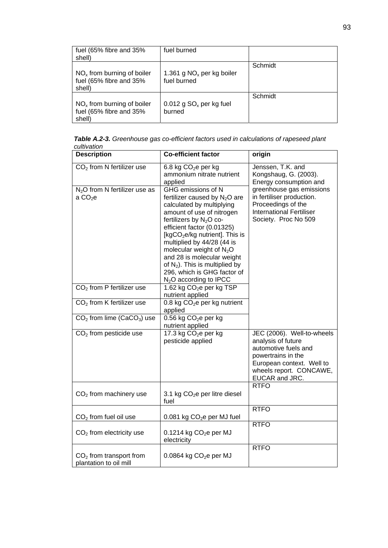| fuel (65% fibre and 35%<br>shell)                                 | fuel burned                                |         |
|-------------------------------------------------------------------|--------------------------------------------|---------|
| $NOx$ from burning of boiler<br>fuel (65% fibre and 35%<br>shell) | 1.361 g $NOx$ per kg boiler<br>fuel burned | Schmidt |
| $NOx$ from burning of boiler<br>fuel (65% fibre and 35%<br>shell) | 0.012 g $SOx$ per kg fuel<br>burned        | Schmidt |

*Table A.2-3. Greenhouse gas co-efficient factors used in calculations of rapeseed plant cultivation* 

| <b>Description</b>                                  | <b>Co-efficient factor</b>                                                                                                                                                                                                                                                                                                                                                                                                   | origin                                                                                                                                                                   |
|-----------------------------------------------------|------------------------------------------------------------------------------------------------------------------------------------------------------------------------------------------------------------------------------------------------------------------------------------------------------------------------------------------------------------------------------------------------------------------------------|--------------------------------------------------------------------------------------------------------------------------------------------------------------------------|
| $\overline{CO_2}$ from N fertilizer use             | 6.8 kg CO <sub>2</sub> e per kg<br>ammonium nitrate nutrient<br>applied                                                                                                                                                                                                                                                                                                                                                      | Jenssen, T.K. and<br>Kongshaug, G. (2003).<br>Energy consumption and                                                                                                     |
| $N2O$ from N fertilizer use as<br>a $CO2e$          | GHG emissions of N<br>fertilizer caused by $N_2O$ are<br>calculated by multiplying<br>amount of use of nitrogen<br>fertilizers by $N_2O$ co-<br>efficient factor (0.01325)<br>[kgCO <sub>2</sub> e/kg nutrient]. This is<br>multiplied by 44/28 (44 is<br>molecular weight of $N_2O$<br>and 28 is molecular weight<br>of $N_2$ ). This is multiplied by<br>296, which is GHG factor of<br>N <sub>2</sub> O according to IPCC | greenhouse gas emissions<br>in fertiliser production.<br>Proceedings of the<br><b>International Fertiliser</b><br>Society. Proc No 509                                   |
| $CO2$ from P fertilizer use                         | 1.62 kg CO <sub>2</sub> e per kg TSP<br>nutrient applied                                                                                                                                                                                                                                                                                                                                                                     |                                                                                                                                                                          |
| CO <sub>2</sub> from K fertilizer use               | 0.8 kg CO <sub>2</sub> e per kg nutrient<br>applied                                                                                                                                                                                                                                                                                                                                                                          |                                                                                                                                                                          |
| $CO2$ from lime (CaCO <sub>3</sub> ) use            | 0.56 kg $CO2e$ per kg<br>nutrient applied                                                                                                                                                                                                                                                                                                                                                                                    |                                                                                                                                                                          |
| $CO2$ from pesticide use                            | $17.3$ kg CO <sub>2</sub> e per kg<br>pesticide applied                                                                                                                                                                                                                                                                                                                                                                      | JEC (2006). Well-to-wheels<br>analysis of future<br>automotive fuels and<br>powertrains in the<br>European context. Well to<br>wheels report. CONCAWE,<br>EUCAR and JRC. |
| $CO2$ from machinery use                            | 3.1 kg $CO2e$ per litre diesel<br>fuel                                                                                                                                                                                                                                                                                                                                                                                       | <b>RTFO</b>                                                                                                                                                              |
| $CO2$ from fuel oil use                             | 0.081 kg CO <sub>2</sub> e per MJ fuel                                                                                                                                                                                                                                                                                                                                                                                       | <b>RTFO</b>                                                                                                                                                              |
| $CO2$ from electricity use                          | $0.1214$ kg CO <sub>2</sub> e per MJ<br>electricity                                                                                                                                                                                                                                                                                                                                                                          | <b>RTFO</b>                                                                                                                                                              |
| $CO2$ from transport from<br>plantation to oil mill | $0.0864$ kg $CO2e$ per MJ                                                                                                                                                                                                                                                                                                                                                                                                    | <b>RTFO</b>                                                                                                                                                              |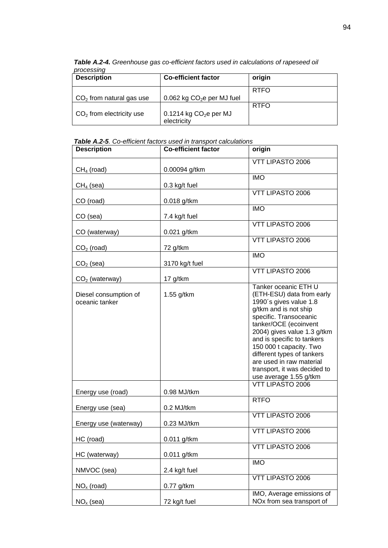| processing                 |                             |             |
|----------------------------|-----------------------------|-------------|
| <b>Description</b>         | <b>Co-efficient factor</b>  | origin      |
|                            |                             | <b>RTFO</b> |
| $CO2$ from natural gas use | 0.062 kg $CO2e$ per MJ fuel |             |
|                            |                             | <b>RTFO</b> |
| $CO2$ from electricity use | 0.1214 kg $CO2e$ per MJ     |             |
|                            | electricity                 |             |

*Table A.2-4. Greenhouse gas co-efficient factors used in calculations of rapeseed oil processing* 

#### *Table A.2-5. Co-efficient factors used in transport calculations*

| <b>Description</b>                                          | <b>Co-efficient factor</b> | origin                                                                                                                                                                                                                                                                                                                                                                                  |
|-------------------------------------------------------------|----------------------------|-----------------------------------------------------------------------------------------------------------------------------------------------------------------------------------------------------------------------------------------------------------------------------------------------------------------------------------------------------------------------------------------|
| $CH4$ (road)                                                | 0.00094 g/tkm              | VTT LIPASTO 2006                                                                                                                                                                                                                                                                                                                                                                        |
| $CH4$ (sea)                                                 | 0.3 kg/t fuel              | <b>IMO</b>                                                                                                                                                                                                                                                                                                                                                                              |
| CO (road)                                                   | $0.018$ g/tkm              | VTT LIPASTO 2006                                                                                                                                                                                                                                                                                                                                                                        |
|                                                             |                            | <b>IMO</b>                                                                                                                                                                                                                                                                                                                                                                              |
| CO (sea)                                                    | 7.4 kg/t fuel              | <b>VTT LIPASTO 2006</b>                                                                                                                                                                                                                                                                                                                                                                 |
| CO (waterway)                                               | 0.021 g/tkm                | VTT LIPASTO 2006                                                                                                                                                                                                                                                                                                                                                                        |
| $CO2$ (road)                                                | 72 g/tkm                   | <b>IMO</b>                                                                                                                                                                                                                                                                                                                                                                              |
| $CO2$ (sea)                                                 | 3170 kg/t fuel             | VTT LIPASTO 2006                                                                                                                                                                                                                                                                                                                                                                        |
| $CO2$ (waterway)<br>Diesel consumption of<br>oceanic tanker | 17 g/tkm<br>1.55 g/tkm     | Tanker oceanic ETH U<br>(ETH-ESU) data from early<br>1990's gives value 1.8<br>g/tkm and is not ship<br>specific. Transoceanic<br>tanker/OCE (ecoinvent<br>2004) gives value 1.3 g/tkm<br>and is specific to tankers<br>150 000 t capacity. Two<br>different types of tankers<br>are used in raw material<br>transport, it was decided to<br>use average 1.55 g/tkm<br>VTT LIPASTO 2006 |
| Energy use (road)                                           | 0.98 MJ/tkm                | <b>RTFO</b>                                                                                                                                                                                                                                                                                                                                                                             |
| Energy use (sea)                                            | 0.2 MJ/tkm                 | VTT LIPASTO 2006                                                                                                                                                                                                                                                                                                                                                                        |
| Energy use (waterway)                                       | 0.23 MJ/tkm                |                                                                                                                                                                                                                                                                                                                                                                                         |
| HC (road)                                                   | 0.011 g/tkm                | VTT LIPASTO 2006                                                                                                                                                                                                                                                                                                                                                                        |
| HC (waterway)                                               | 0.011 g/tkm                | VTT LIPASTO 2006                                                                                                                                                                                                                                                                                                                                                                        |
| NMVOC (sea)                                                 | 2.4 kg/t fuel              | <b>IMO</b>                                                                                                                                                                                                                                                                                                                                                                              |
| $NOx$ (road)                                                | $0.77$ g/tkm               | VTT LIPASTO 2006                                                                                                                                                                                                                                                                                                                                                                        |
| $NOx$ (sea)                                                 | 72 kg/t fuel               | IMO, Average emissions of<br>NOx from sea transport of                                                                                                                                                                                                                                                                                                                                  |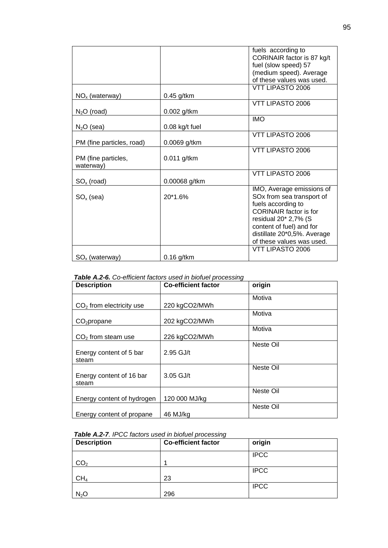|                                  |                  | fuels according to<br>CORINAIR factor is 87 kg/t |
|----------------------------------|------------------|--------------------------------------------------|
|                                  |                  | fuel (slow speed) 57                             |
|                                  |                  | (medium speed). Average                          |
|                                  |                  | of these values was used.                        |
|                                  |                  | <b>VTT LIPASTO 2006</b>                          |
| $NOx$ (waterway)                 | $0.45$ g/tkm     |                                                  |
|                                  |                  | VTT LIPASTO 2006                                 |
| $N2O$ (road)                     | 0.002 g/tkm      |                                                  |
|                                  |                  | <b>IMO</b>                                       |
| $N2O$ (sea)                      | $0.08$ kg/t fuel |                                                  |
|                                  |                  | VTT LIPASTO 2006                                 |
| PM (fine particles, road)        | 0.0069 g/tkm     |                                                  |
|                                  |                  | VTT LIPASTO 2006                                 |
| PM (fine particles,<br>waterway) | $0.011$ g/tkm    |                                                  |
|                                  |                  | VTT LIPASTO 2006                                 |
| $SO_{x}$ (road)                  | 0.00068 g/tkm    |                                                  |
|                                  |                  | IMO, Average emissions of                        |
| $SO_{x}$ (sea)                   | $20*1.6%$        | SOx from sea transport of                        |
|                                  |                  | fuels according to                               |
|                                  |                  | <b>CORINAIR</b> factor is for                    |
|                                  |                  | residual 20* 2,7% (S                             |
|                                  |                  | content of fuel) and for                         |
|                                  |                  | distillate 20*0,5%. Average                      |
|                                  |                  | of these values was used.                        |
|                                  |                  | VTT LIPASTO 2006                                 |
| $SO_{x}$ (waterway)              | $0.16$ g/tkm     |                                                  |

*Table A.2-6. Co-efficient factors used in biofuel processing* 

| <b>Description</b>         | <b>Co-efficient factor</b> | origin    |
|----------------------------|----------------------------|-----------|
|                            |                            | Motiva    |
| $CO2$ from electricity use | 220 kgCO2/MWh              |           |
|                            |                            | Motiva    |
| $CO2$ propane              | 202 kgCO2/MWh              |           |
|                            |                            | Motiva    |
| $CO2$ from steam use       | 226 kgCO2/MWh              |           |
|                            |                            | Neste Oil |
| Energy content of 5 bar    | 2.95 GJ/t                  |           |
| steam                      |                            |           |
|                            |                            | Neste Oil |
| Energy content of 16 bar   | $3.05$ GJ/t                |           |
| steam                      |                            |           |
|                            |                            | Neste Oil |
| Energy content of hydrogen | 120 000 MJ/kg              |           |
|                            |                            | Neste Oil |
| Energy content of propane  | 46 MJ/kg                   |           |

#### *Table A.2-7. IPCC factors used in biofuel processing*

| <b>Description</b> | <b>Co-efficient factor</b> | origin      |
|--------------------|----------------------------|-------------|
|                    |                            | <b>IPCC</b> |
| CO <sub>2</sub>    |                            |             |
|                    |                            | <b>IPCC</b> |
| CH <sub>4</sub>    | 23                         |             |
|                    |                            | <b>IPCC</b> |
| $N_2O$             | 296                        |             |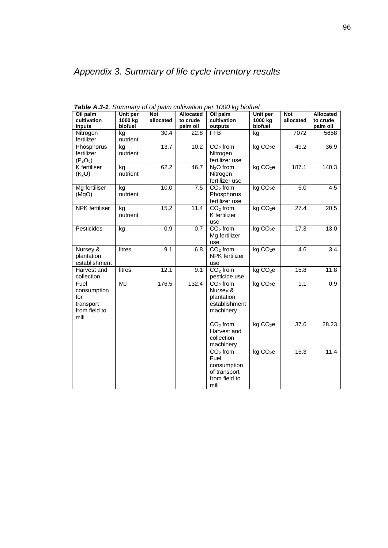| Oil palm<br>cultivation<br>inputs                                | Unit per<br>1000 kg<br>biofuel | <b>Not</b><br>allocated | <b>Allocated</b><br>to crude<br>palm oil | Oil palm<br>cultivation<br>outputs                                         | Unit per<br>1000 kg<br>biofuel | <b>Not</b><br>allocated | <b>Allocated</b><br>to crude<br>palm oil |
|------------------------------------------------------------------|--------------------------------|-------------------------|------------------------------------------|----------------------------------------------------------------------------|--------------------------------|-------------------------|------------------------------------------|
| Nitrogen<br>fertilizer                                           | kg<br>nutrient                 | 30.4                    | 22.8                                     | <b>FFB</b>                                                                 | kg                             | 7072                    | 5658                                     |
| Phosphorus<br>fertilizer<br>$(P_2O_5)$                           | kg<br>nutrient                 | 13.7                    | 10.2                                     | $CO2$ from<br>Nitrogen<br>fertilizer use                                   | kg CO <sub>2</sub> e           | 49.2                    | 36.9                                     |
| K fertiliser<br>(K <sub>2</sub> O)                               | kg<br>nutrient                 | 62.2                    | 46.7                                     | $N2O$ from<br>Nitrogen<br>fertilizer use                                   | kg CO <sub>2</sub> e           | 187.1                   | 140.3                                    |
| Mg fertiliser<br>(MgO)                                           | kg<br>nutrient                 | 10.0                    | 7.5                                      | $CO2$ from<br>Phosphorus<br>fertilizer use                                 | kg CO <sub>2</sub> e           | 6.0                     | 4.5                                      |
| <b>NPK</b> fertiliser                                            | kg<br>nutrient                 | 15.2                    | 11.4                                     | $CO2$ from<br>K fertilizer<br>use                                          | kg CO <sub>2</sub> e           | 27.4                    | 20.5                                     |
| Pesticides                                                       | kg                             | 0.9                     | 0.7                                      | $CO2$ from<br>Mg fertilizer<br>use                                         | kg CO <sub>2</sub> e           | 17.3                    | 13.0                                     |
| Nursey &<br>plantation<br>establishment                          | litres                         | 9.1                     | 6.8                                      | $CO2$ from<br><b>NPK</b> fertilizer<br>use                                 | kgCO <sub>2</sub> e            | 4.6                     | 3.4                                      |
| Harvest and<br>collection                                        | litres                         | 12.1                    | 9.1                                      | $CO2$ from<br>pesticide use                                                | kg CO <sub>2</sub> e           | 15.8                    | 11.8                                     |
| Fuel<br>consumption<br>for<br>transport<br>from field to<br>mill | <b>MJ</b>                      | 176.5                   | 132.4                                    | $CO2$ from<br>Nursey &<br>plantation<br>establishment<br>machinery         | kg CO <sub>2</sub> e           | 1.1                     | 0.9                                      |
|                                                                  |                                |                         |                                          | $CO2$ from<br>Harvest and<br>collection<br>machinery                       | kg CO <sub>2</sub> e           | 37.6                    | 28.23                                    |
|                                                                  |                                |                         |                                          | $CO2$ from<br>Fuel<br>consumption<br>of transport<br>from field to<br>mill | kg CO <sub>2</sub> e           | 15.3                    | 11.4                                     |

*Table A.3-1. Summary of oil palm cultivation per 1000 kg biofuel*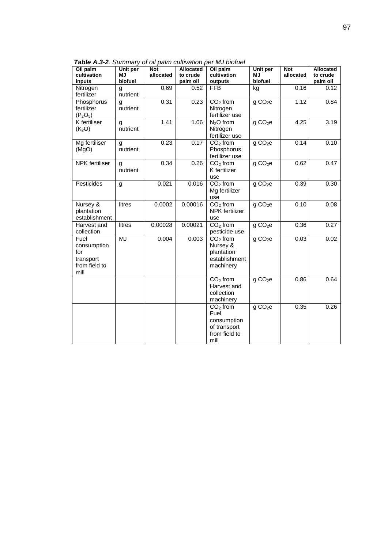| Oil palm<br>cultivation                                          | Unit per<br><b>MJ</b> | <b>Not</b><br>allocated | <b>Allocated</b><br>to crude | Oil palm<br>cultivation                                                    | Unit per<br><b>MJ</b> | <b>Not</b><br>allocated | <b>Allocated</b><br>to crude |
|------------------------------------------------------------------|-----------------------|-------------------------|------------------------------|----------------------------------------------------------------------------|-----------------------|-------------------------|------------------------------|
| inputs                                                           | biofuel               |                         | palm oil                     | outputs                                                                    | biofuel               |                         | palm oil                     |
| Nitrogen<br>fertilizer                                           | g<br>nutrient         | 0.69                    | 0.52                         | <b>FFB</b>                                                                 | kg                    | 0.16                    | 0.12                         |
| Phosphorus<br>fertilizer<br>$(P_2O_5)$                           | g<br>nutrient         | 0.31                    | 0.23                         | $CO2$ from<br>Nitrogen<br>fertilizer use                                   | gCO <sub>2</sub> e    | 1.12                    | 0.84                         |
| <b>K</b> fertiliser<br>(K <sub>2</sub> O)                        | g<br>nutrient         | 1.41                    | 1.06                         | $N2O$ from<br>Nitrogen<br>fertilizer use                                   | g CO <sub>2</sub> e   | 4.25                    | 3.19                         |
| Mg fertiliser<br>(MgO)                                           | g<br>nutrient         | 0.23                    | 0.17                         | $CO2$ from<br>Phosphorus<br>fertilizer use                                 | g CO <sub>2</sub> e   | 0.14                    | 0.10                         |
| <b>NPK</b> fertiliser                                            | g<br>nutrient         | 0.34                    | 0.26                         | $CO2$ from<br>K fertilizer<br>use                                          | g CO <sub>2</sub> e   | 0.62                    | 0.47                         |
| Pesticides                                                       | g                     | 0.021                   | 0.016                        | $CO2$ from<br>Mg fertilizer<br>use                                         | g CO <sub>2</sub> e   | 0.39                    | 0.30                         |
| Nursey &<br>plantation<br>establishment                          | litres                | 0.0002                  | 0.00016                      | $CO2$ from<br><b>NPK</b> fertilizer<br>use                                 | g CO <sub>2</sub> e   | 0.10                    | 0.08                         |
| Harvest and<br>collection                                        | litres                | 0.00028                 | 0.00021                      | $CO2$ from<br>pesticide use                                                | g CO <sub>2</sub> e   | 0.36                    | 0.27                         |
| Fuel<br>consumption<br>for<br>transport<br>from field to<br>mill | MJ                    | 0.004                   | 0.003                        | $CO2$ from<br>Nursey &<br>plantation<br>establishment<br>machinery         | g CO <sub>2</sub> e   | 0.03                    | 0.02                         |
|                                                                  |                       |                         |                              | $CO2$ from<br>Harvest and<br>collection<br>machinery                       | g CO <sub>2</sub> e   | 0.86                    | 0.64                         |
|                                                                  |                       |                         |                              | $CO2$ from<br>Fuel<br>consumption<br>of transport<br>from field to<br>mill | g CO <sub>2</sub> e   | 0.35                    | 0.26                         |

*Table A.3-2. Summary of oil palm cultivation per MJ biofuel*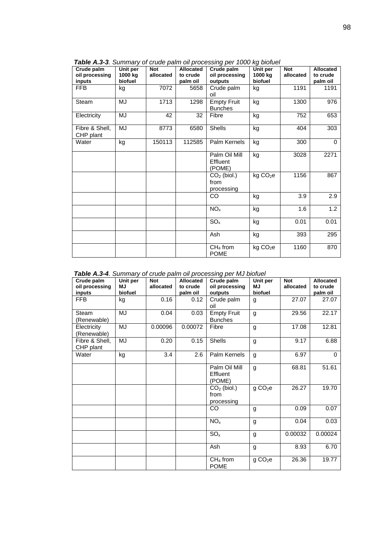| Crude palm<br>oil processing<br>inputs | Unit per<br>1000 kg<br>biofuel | Not<br>allocated | <b>Allocated</b><br>to crude<br>palm oil | . .<br>Crude palm<br>oil processing<br>outputs | Unit per<br>1000 kg<br>biofuel | <b>Not</b><br>allocated | <b>Allocated</b><br>to crude<br>palm oil |
|----------------------------------------|--------------------------------|------------------|------------------------------------------|------------------------------------------------|--------------------------------|-------------------------|------------------------------------------|
| <b>FFB</b>                             | kg                             | 7072             | 5658                                     | Crude palm<br>oil                              | kg                             | 1191                    | 1191                                     |
| Steam                                  | MJ                             | 1713             | 1298                                     | <b>Empty Fruit</b><br><b>Bunches</b>           | kg                             | 1300                    | 976                                      |
| Electricity                            | MJ                             | 42               | 32                                       | Fibre                                          | kg                             | 752                     | 653                                      |
| Fibre & Shell,<br>CHP plant            | MJ                             | 8773             | 6580                                     | Shells                                         | kg                             | 404                     | 303                                      |
| Water                                  | kg                             | 150113           | 112585                                   | Palm Kernels                                   | kg                             | 300                     | $\mathbf 0$                              |
|                                        |                                |                  |                                          | Palm Oil Mill<br>Effluent<br>(POME)            | kg                             | 3028                    | 2271                                     |
|                                        |                                |                  |                                          | $CO2$ (biol.)<br>from<br>processing            | kg CO <sub>2</sub> e           | 1156                    | 867                                      |
|                                        |                                |                  |                                          | CO                                             | kg                             | 3.9                     | 2.9                                      |
|                                        |                                |                  |                                          | NO <sub>x</sub>                                | kg                             | 1.6                     | 1.2                                      |
|                                        |                                |                  |                                          | SO <sub>x</sub>                                | kg                             | 0.01                    | 0.01                                     |
|                                        |                                |                  |                                          | Ash                                            | kg                             | 393                     | 295                                      |
|                                        |                                |                  |                                          | $CH4$ from<br><b>POME</b>                      | kg CO <sub>2</sub> e           | 1160                    | 870                                      |

*Table A.3-3. Summary of crude palm oil processing per 1000 kg biofuel* 

*Table A.3-4. Summary of crude palm oil processing per MJ biofuel* 

| Crude palm<br>oil processing<br>inputs | Unit per<br>MJ.<br>biofuel | <b>Not</b><br>allocated | <b>Allocated</b><br>to crude<br>palm oil | Crude palm<br>oil processing<br>outputs | Unit per<br>MJ.<br>biofuel | Not<br>allocated | Allocated<br>to crude<br>palm oil |
|----------------------------------------|----------------------------|-------------------------|------------------------------------------|-----------------------------------------|----------------------------|------------------|-----------------------------------|
| <b>FFB</b>                             | kg                         | 0.16                    | 0.12                                     | Crude palm<br>oil                       | g                          | 27.07            | 27.07                             |
| Steam<br>(Renewable)                   | MJ                         | 0.04                    | 0.03                                     | <b>Empty Fruit</b><br><b>Bunches</b>    | g                          | 29.56            | 22.17                             |
| Electricity<br>(Renewable)             | MJ                         | 0.00096                 | 0.00072                                  | Fibre                                   | g                          | 17.08            | 12.81                             |
| Fibre & Shell,<br>CHP plant            | MJ                         | 0.20                    | 0.15                                     | Shells                                  | g                          | 9.17             | 6.88                              |
| Water                                  | kg                         | 3.4                     | 2.6                                      | Palm Kernels                            | g                          | 6.97             | $\Omega$                          |
|                                        |                            |                         |                                          | Palm Oil Mill<br>Effluent<br>(POME)     | g                          | 68.81            | 51.61                             |
|                                        |                            |                         |                                          | $CO2$ (biol.)<br>from<br>processing     | g CO <sub>2</sub> e        | 26.27            | 19.70                             |
|                                        |                            |                         |                                          | CO                                      | g                          | 0.09             | 0.07                              |
|                                        |                            |                         |                                          | NO <sub>x</sub>                         | g                          | 0.04             | 0.03                              |
|                                        |                            |                         |                                          | SO <sub>x</sub>                         | g                          | 0.00032          | 0.00024                           |
|                                        |                            |                         |                                          | Ash                                     | g                          | 8.93             | 6.70                              |
|                                        |                            |                         |                                          | $CH4$ from<br><b>POME</b>               | g CO <sub>2</sub> e        | 26.36            | 19.77                             |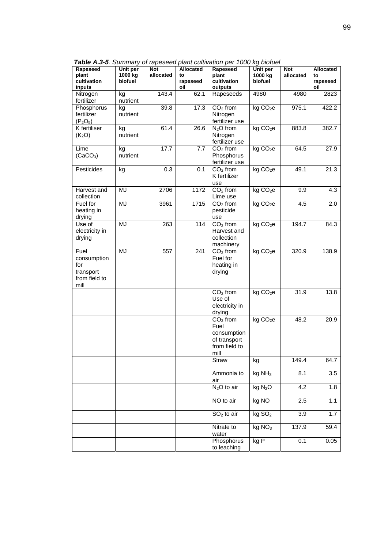| Rapeseed<br>plant<br>cultivation<br>inputs                       | Unit per<br>1000 kg<br>biofuel | <b>Not</b><br>allocated | Allocated<br>to<br>rapeseed<br>oil | Rapeseed<br>plant<br>cultivation<br>outputs                                | Unit per<br>1000 kg<br>biofuel         | <b>Not</b><br>allocated | Allocated<br>to<br>rapeseed<br>oil |
|------------------------------------------------------------------|--------------------------------|-------------------------|------------------------------------|----------------------------------------------------------------------------|----------------------------------------|-------------------------|------------------------------------|
| Nitrogen<br>fertilizer                                           | kg<br>nutrient                 | 143.4                   | 62.1                               | Rapeseeds                                                                  | 4980                                   | 4980                    | 2823                               |
| Phosphorus<br>fertilizer<br>$(P_2O_5)$                           | kg<br>nutrient                 | 39.8                    | 17.3                               | $CO2$ from<br>Nitrogen<br>fertilizer use                                   | kg CO <sub>2</sub> e                   | 975.1                   | 422.2                              |
| <b>K</b> fertiliser<br>(K <sub>2</sub> O)                        | kg<br>nutrient                 | 61.4                    | 26.6                               | $N2O$ from<br>Nitrogen<br>fertilizer use                                   | kg CO <sub>2</sub> e                   | 883.8                   | 382.7                              |
| Lime<br>(CaCO <sub>3</sub> )                                     | kg<br>nutrient                 | 17.7                    | 7.7                                | $CO2$ from<br>Phosphorus<br>fertilizer use                                 | kg CO <sub>2</sub> e                   | 64.5                    | 27.9                               |
| Pesticides                                                       | kg                             | 0.3                     | 0.1                                | $CO2$ from<br>K fertilizer<br>use                                          | kg CO <sub>2</sub> e                   | 49.1                    | 21.3                               |
| Harvest and<br>collection                                        | MJ                             | 2706                    | 1172                               | $CO2$ from<br>Lime use                                                     | kg CO <sub>2</sub> e                   | 9.9                     | 4.3                                |
| Fuel for<br>heating in<br>drying                                 | MJ                             | 3961                    | 1715                               | $CO2$ from<br>pesticide<br>use                                             | kg CO <sub>2</sub> e                   | 4.5                     | 2.0                                |
| Use of<br>electricity in<br>drying                               | MJ                             | 263                     | 114                                | $CO2$ from<br>Harvest and<br>collection<br>machinery                       | kg CO <sub>2</sub> e                   | 194.7                   | 84.3                               |
| Fuel<br>consumption<br>for<br>transport<br>from field to<br>mill | MJ                             | 557                     | 241                                | $CO2$ from<br>Fuel for<br>heating in<br>drying                             | kg CO <sub>2</sub> e                   | 320.9                   | 138.9                              |
|                                                                  |                                |                         |                                    | $CO2$ from<br>Use of<br>electricity in<br>drying                           | kg CO <sub>2</sub> e                   | 31.9                    | 13.8                               |
|                                                                  |                                |                         |                                    | $CO2$ from<br>Fuel<br>consumption<br>of transport<br>from field to<br>mill | kg CO <sub>2</sub> e                   | 48.2                    | 20.9                               |
|                                                                  |                                |                         |                                    | Straw                                                                      | kg                                     | 149.4                   | 64.7                               |
|                                                                  |                                |                         |                                    | Ammonia to<br>air                                                          | kg NH <sub>3</sub>                     | 8.1                     | 3.5                                |
|                                                                  |                                |                         |                                    | $N2O$ to air                                                               | kg N <sub>2</sub> O                    | 4.2                     | 1.8                                |
|                                                                  |                                |                         |                                    | NO to air                                                                  | kg NO                                  | 2.5                     | 1.1                                |
|                                                                  |                                |                         |                                    | $SO2$ to air                                                               | $\overline{\text{kg}}$ SO <sub>2</sub> | 3.9                     | 1.7                                |
|                                                                  |                                |                         |                                    | Nitrate to<br>water                                                        | kg NO <sub>3</sub>                     | 137.9                   | 59.4                               |
|                                                                  |                                |                         |                                    | Phosphorus<br>to leaching                                                  | kgP                                    | 0.1                     | 0.05                               |

*Table A.3-5. Summary of rapeseed plant cultivation per 1000 kg biofuel*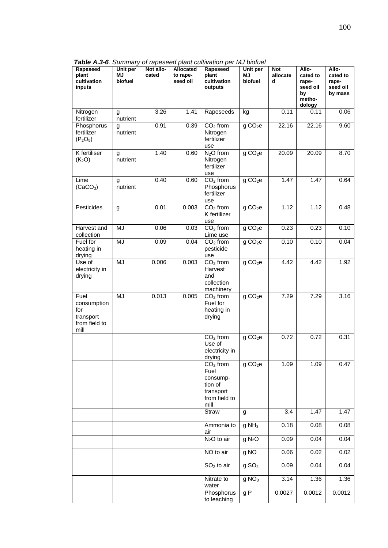*Table A.3-6. Summary of rapeseed plant cultivation per MJ biofuel* 

| Rapeseed<br>plant<br>cultivation<br>inputs                       | Unit per<br>MJ<br>biofuel | Not allo-<br>cated | Allocated<br>to rape-<br>seed oil | Rapeseed<br>plant<br>cultivation<br>outputs                                     | Unit per<br><b>MJ</b><br>biofuel | <b>Not</b><br>allocate<br>d | Allo-<br>cated to<br>rape-<br>seed oil<br>by<br>metho-<br>dology | Allo-<br>cated to<br>rape-<br>seed oil<br>by mass |
|------------------------------------------------------------------|---------------------------|--------------------|-----------------------------------|---------------------------------------------------------------------------------|----------------------------------|-----------------------------|------------------------------------------------------------------|---------------------------------------------------|
| Nitrogen<br>fertilizer                                           | g<br>nutrient             | 3.26               | 1.41                              | Rapeseeds                                                                       | kg                               | 0.11                        | 0.11                                                             | 0.06                                              |
| Phosphorus<br>fertilizer<br>$(P_2O_5)$                           | g<br>nutrient             | 0.91               | 0.39                              | $CO2$ from<br>Nitrogen<br>fertilizer<br>use                                     | g CO <sub>2</sub> e              | 22.16                       | 22.16                                                            | 9.60                                              |
| <b>K</b> fertiliser<br>(K <sub>2</sub> O)                        | g<br>nutrient             | 1.40               | 0.60                              | $N2O$ from<br>Nitrogen<br>fertilizer<br>use                                     | g CO <sub>2</sub> e              | 20.09                       | 20.09                                                            | 8.70                                              |
| Lime<br>(CaCO <sub>3</sub> )                                     | g<br>nutrient             | 0.40               | 0.60                              | $CO2$ from<br>Phosphorus<br>fertilizer<br>use                                   | g CO <sub>2</sub> e              | 1.47                        | 1.47                                                             | 0.64                                              |
| Pesticides                                                       | g                         | 0.01               | 0.003                             | $CO2$ from<br>K fertilizer<br>use                                               | g CO <sub>2</sub> e              | 1.12                        | 1.12                                                             | 0.48                                              |
| Harvest and<br>collection                                        | MJ                        | 0.06               | 0.03                              | $CO2$ from<br>Lime use                                                          | g CO <sub>2</sub> e              | 0.23                        | 0.23                                                             | 0.10                                              |
| Fuel for<br>heating in<br>drying                                 | MJ                        | 0.09               | 0.04                              | $CO2$ from<br>pesticide<br>use                                                  | g CO <sub>2</sub> e              | 0.10                        | 0.10                                                             | 0.04                                              |
| Use of<br>electricity in<br>drying                               | MJ                        | 0.006              | 0.003                             | $CO2$ from<br>Harvest<br>and<br>collection<br>machinery                         | g CO <sub>2</sub> e              | 4.42                        | 4.42                                                             | 1.92                                              |
| Fuel<br>consumption<br>for<br>transport<br>from field to<br>mill | MJ                        | 0.013              | 0.005                             | $CO2$ from<br>Fuel for<br>heating in<br>drying                                  | g CO <sub>2</sub> e              | 7.29                        | 7.29                                                             | 3.16                                              |
|                                                                  |                           |                    |                                   | $CO2$ from<br>Use of<br>electricity in<br>drying                                | g CO <sub>2</sub> e              | 0.72                        | 0.72                                                             | 0.31                                              |
|                                                                  |                           |                    |                                   | $CO2$ from<br>Fuel<br>consump-<br>tion of<br>transport<br>from field to<br>mill | g CO <sub>2</sub> e              | 1.09                        | 1.09                                                             | 0.47                                              |
|                                                                  |                           |                    |                                   | Straw                                                                           | g                                | 3.4                         | 1.47                                                             | 1.47                                              |
|                                                                  |                           |                    |                                   | Ammonia to<br>air                                                               | $g$ NH <sub>3</sub>              | 0.18                        | 0.08                                                             | 0.08                                              |
|                                                                  |                           |                    |                                   | $N2O$ to air                                                                    | g N <sub>2</sub> O               | 0.09                        | 0.04                                                             | 0.04                                              |
|                                                                  |                           |                    |                                   | NO to air                                                                       | g NO                             | 0.06                        | 0.02                                                             | 0.02                                              |
|                                                                  |                           |                    |                                   | $SO2$ to air                                                                    | g SO <sub>2</sub>                | 0.09                        | 0.04                                                             | 0.04                                              |
|                                                                  |                           |                    |                                   | Nitrate to<br>water                                                             | g NO <sub>3</sub>                | 3.14                        | 1.36                                                             | 1.36                                              |
|                                                                  |                           |                    |                                   | Phosphorus<br>to leaching                                                       | g P                              | 0.0027                      | 0.0012                                                           | 0.0012                                            |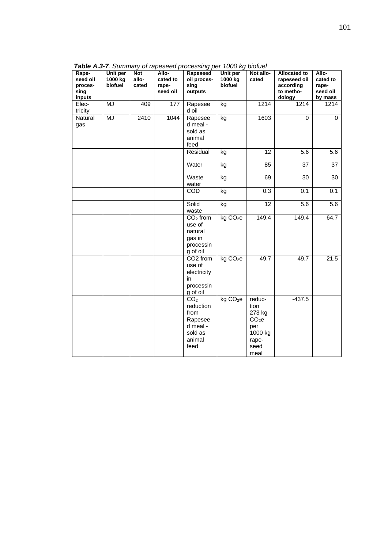**Rapeseed oil processing inputs Unit per 1000 kg biofuel Not allocated Allocated to rapeseed oil Rapeseed oil processing outputs Unit per 1000 kg biofuel Not allocated Allocated to rapeseed oil according to methodology Allocated to rapeseed oil by mass**  Electricity MJ 409 177 Rapesee d oil kg 1214 1214 1214 **Natural** gas MJ 2410 1044 Rapesee d meal sold as animal feed kg 1603 0 0 8.6 | الـ | Residual kg | 12 | 12 | 5.6 | 5.6 | 5.6 | 5.6 | 5.6 | 5.6 | 5.6 | 5.6 | | | | Water | kg | 85 | 37 | 37 **Waste** water kg | 69 | 30 | 30 COD kg 0.3 0.1 0.1 **Solid** waste kg | 12 | 5.6 5.6  $CO<sub>2</sub>$  from use of natural gas in processin g of oil  $kg CO<sub>2</sub>e$  149.4 149.4 64.7 CO2 from use of electricity in processin g of oil  $kg CO<sub>2</sub>e$  49.7 49.7 21.5  $CO<sub>2</sub>$ reduction from Rapesee d meal sold as animal feed  $kg CO<sub>2</sub>e$  reduction 273 kg  $CO<sub>2</sub>$ e per 1000 kg rapeseed meal -437.5

*Table A.3-7. Summary of rapeseed processing per 1000 kg biofuel*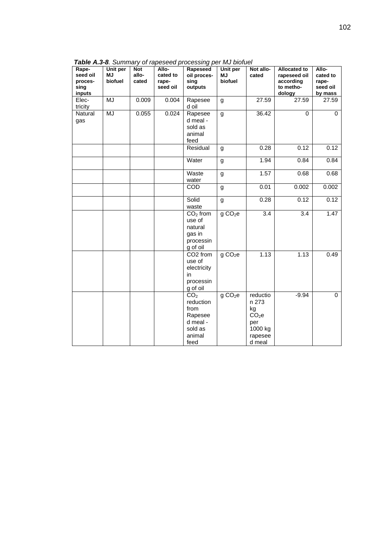| Rape-<br>seed oil<br>proces-<br>sing<br>inputs | Unit per<br><b>MJ</b><br>biofuel | <b>Not</b><br>allo-<br>cated | Allo-<br>cated to<br>rape-<br>seed oil | Rapeseed<br>oil proces-<br>sing<br>outputs                                               | Unit per<br><b>MJ</b><br>biofuel | Not allo-<br>cated                                                                  | <b>Allocated to</b><br>rapeseed oil<br>according<br>to metho-<br>dology | Allo-<br>cated to<br>rape-<br>seed oil<br>by mass |
|------------------------------------------------|----------------------------------|------------------------------|----------------------------------------|------------------------------------------------------------------------------------------|----------------------------------|-------------------------------------------------------------------------------------|-------------------------------------------------------------------------|---------------------------------------------------|
| Elec-<br>tricity                               | MJ                               | 0.009                        | 0.004                                  | Rapesee<br>d oil                                                                         | g                                | 27.59                                                                               | 27.59                                                                   | 27.59                                             |
| Natural<br>gas                                 | <b>MJ</b>                        | 0.055                        | 0.024                                  | Rapesee<br>d meal -<br>sold as<br>animal<br>feed                                         | g                                | 36.42                                                                               | $\Omega$                                                                | 0                                                 |
|                                                |                                  |                              |                                        | Residual                                                                                 | g                                | 0.28                                                                                | 0.12                                                                    | 0.12                                              |
|                                                |                                  |                              |                                        | Water                                                                                    | g                                | 1.94                                                                                | 0.84                                                                    | 0.84                                              |
|                                                |                                  |                              |                                        | Waste<br>water                                                                           | g                                | 1.57                                                                                | 0.68                                                                    | 0.68                                              |
|                                                |                                  |                              |                                        | <b>COD</b>                                                                               | g                                | 0.01                                                                                | 0.002                                                                   | 0.002                                             |
|                                                |                                  |                              |                                        | Solid<br>waste                                                                           | g                                | 0.28                                                                                | 0.12                                                                    | 0.12                                              |
|                                                |                                  |                              |                                        | $\overline{CO}_2$ from<br>use of<br>natural<br>gas in<br>processin<br>g of oil           | g CO <sub>2</sub> e              | $\overline{3.4}$                                                                    | $\overline{3.4}$                                                        | 1.47                                              |
|                                                |                                  |                              |                                        | CO <sub>2</sub> from<br>use of<br>electricity<br>in<br>processin<br>g of oil             | g CO <sub>2</sub> e              | 1.13                                                                                | 1.13                                                                    | 0.49                                              |
|                                                |                                  |                              |                                        | CO <sub>2</sub><br>reduction<br>from<br>Rapesee<br>d meal -<br>sold as<br>animal<br>feed | g CO <sub>2</sub> e              | reductio<br>n 273<br>kg<br>CO <sub>2</sub> e<br>per<br>1000 kg<br>rapesee<br>d meal | $-9.94$                                                                 | $\pmb{0}$                                         |

*Table A.3-8. Summary of rapeseed processing per MJ biofuel*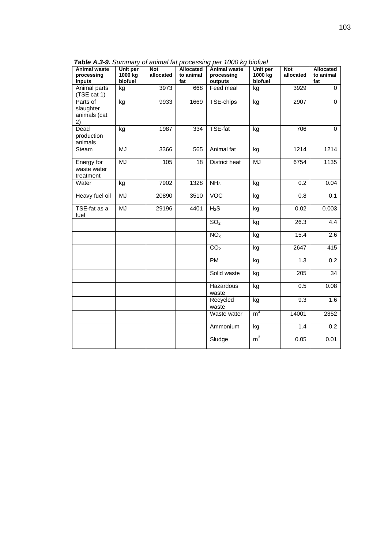| Animal waste<br>processing<br>inputs        | ,,,,,,,,,,<br>Unit per<br>1000 kg<br>biofuel | <u>anninan ias</u><br>Not<br>allocated | Allocated<br>to animal<br>fat | $\mathcal{L}$ is a contract in the contract of $\mathcal{L}$<br><b>Animal waste</b><br>processing<br>outputs | Unit per<br>1000 kg<br>biofuel | Not<br>allocated | Allocated<br>to animal<br>fat |
|---------------------------------------------|----------------------------------------------|----------------------------------------|-------------------------------|--------------------------------------------------------------------------------------------------------------|--------------------------------|------------------|-------------------------------|
| Animal parts<br>(TSE cat 1)                 | kg                                           | 3973                                   | 668                           | Feed meal                                                                                                    | kg                             | 3929             | $\mathbf 0$                   |
| Parts of<br>slaughter<br>animals (cat<br>2) | kg                                           | 9933                                   | 1669                          | TSE-chips                                                                                                    | kg                             | 2907             | $\Omega$                      |
| Dead<br>production<br>animals               | kg                                           | 1987                                   | 334                           | <b>TSE-fat</b>                                                                                               | kg                             | 706              | $\Omega$                      |
| Steam                                       | MJ                                           | 3366                                   | 565                           | Animal fat                                                                                                   | kg                             | 1214             | 1214                          |
| Energy for<br>waste water<br>treatment      | <b>MJ</b>                                    | 105                                    | 18                            | District heat                                                                                                | MJ                             | 6754             | 1135                          |
| Water                                       | kg                                           | 7902                                   | 1328                          | NH <sub>3</sub>                                                                                              | kg                             | 0.2              | 0.04                          |
| Heavy fuel oil                              | <b>MJ</b>                                    | 20890                                  | 3510                          | VOC                                                                                                          | kg                             | 0.8              | 0.1                           |
| TSE-fat as a<br>fuel                        | MJ                                           | 29196                                  | 4401                          | $H_2S$                                                                                                       | kg                             | 0.02             | 0.003                         |
|                                             |                                              |                                        |                               | SO <sub>2</sub>                                                                                              | kg                             | 26.3             | 4.4                           |
|                                             |                                              |                                        |                               | NO <sub>x</sub>                                                                                              | kg                             | 15.4             | 2.6                           |
|                                             |                                              |                                        |                               | CO <sub>2</sub>                                                                                              | kg                             | 2647             | 415                           |
|                                             |                                              |                                        |                               | <b>PM</b>                                                                                                    | kg                             | 1.3              | 0.2                           |
|                                             |                                              |                                        |                               | Solid waste                                                                                                  | kg                             | 205              | $\overline{34}$               |
|                                             |                                              |                                        |                               | Hazardous<br>waste                                                                                           | kg                             | 0.5              | 0.08                          |
|                                             |                                              |                                        |                               | Recycled<br>waste                                                                                            | kg                             | $\overline{9.3}$ | 1.6                           |
|                                             |                                              |                                        |                               | Waste water                                                                                                  | m <sup>3</sup>                 | 14001            | 2352                          |
|                                             |                                              |                                        |                               | Ammonium                                                                                                     | kg                             | 1.4              | $\overline{0.2}$              |
|                                             |                                              |                                        |                               | Sludge                                                                                                       | m <sup>3</sup>                 | 0.05             | 0.01                          |

*Table A.3-9. Summary of animal fat processing per 1000 kg biofuel*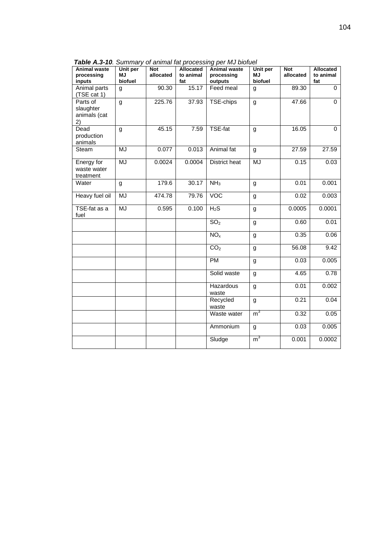| Animal waste<br>processing<br>inputs        | Unit per<br><b>MJ</b><br>biofuel | Not<br>allocated | Allocated<br>to animal<br>fat | able rue to: Califfically of allittial factorocooling por two biolaot<br><b>Animal waste</b><br>processing<br>outputs | Unit per<br><b>MJ</b><br>biofuel | <b>Not</b><br>allocated | Allocated<br>to animal<br>fat |
|---------------------------------------------|----------------------------------|------------------|-------------------------------|-----------------------------------------------------------------------------------------------------------------------|----------------------------------|-------------------------|-------------------------------|
| Animal parts<br>(TSE cat 1)                 | g                                | 90.30            | 15.17                         | Feed meal                                                                                                             | g                                | 89.30                   | $\Omega$                      |
| Parts of<br>slaughter<br>animals (cat<br>2) | g                                | 225.76           | 37.93                         | TSE-chips                                                                                                             | g                                | 47.66                   | $\overline{0}$                |
| Dead<br>production<br>animals               | g                                | 45.15            | 7.59                          | TSE-fat                                                                                                               | g                                | 16.05                   | $\Omega$                      |
| Steam                                       | MJ                               | 0.077            | 0.013                         | Animal fat                                                                                                            | g                                | 27.59                   | 27.59                         |
| Energy for<br>waste water<br>treatment      | MJ                               | 0.0024           | 0.0004                        | District heat                                                                                                         | MJ                               | 0.15                    | 0.03                          |
| Water                                       | g                                | 179.6            | 30.17                         | NH <sub>3</sub>                                                                                                       | g                                | 0.01                    | 0.001                         |
| Heavy fuel oil                              | MJ                               | 474.78           | 79.76                         | <b>VOC</b>                                                                                                            | g                                | 0.02                    | 0.003                         |
| TSE-fat as a<br>fuel                        | MJ                               | 0.595            | 0.100                         | $H_2S$                                                                                                                | g                                | 0.0005                  | 0.0001                        |
|                                             |                                  |                  |                               | SO <sub>2</sub>                                                                                                       | g                                | 0.60                    | 0.01                          |
|                                             |                                  |                  |                               | NO <sub>x</sub>                                                                                                       | g                                | 0.35                    | 0.06                          |
|                                             |                                  |                  |                               | CO <sub>2</sub>                                                                                                       | g                                | 56.08                   | 9.42                          |
|                                             |                                  |                  |                               | <b>PM</b>                                                                                                             | g                                | 0.03                    | 0.005                         |
|                                             |                                  |                  |                               | Solid waste                                                                                                           | g                                | 4.65                    | 0.78                          |
|                                             |                                  |                  |                               | Hazardous<br>waste                                                                                                    | g                                | 0.01                    | 0.002                         |
|                                             |                                  |                  |                               | Recycled<br>waste                                                                                                     | g                                | 0.21                    | 0.04                          |
|                                             |                                  |                  |                               | Waste water                                                                                                           | m <sup>3</sup>                   | 0.32                    | 0.05                          |
|                                             |                                  |                  |                               | Ammonium                                                                                                              | g                                | 0.03                    | 0.005                         |
|                                             |                                  |                  |                               | Sludge                                                                                                                | m <sup>3</sup>                   | 0.001                   | 0.0002                        |

*Table A.3-10. Summary of animal fat processing per MJ biofuel*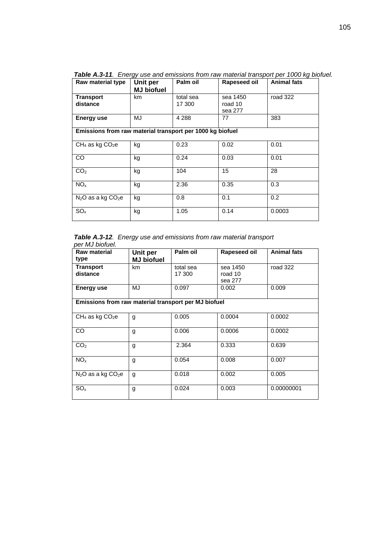| Raw material type                                         | Unit per<br><b>MJ</b> biofuel | Palm oil            | Rapeseed oil                   | <b>Animal fats</b> |  |  |  |  |
|-----------------------------------------------------------|-------------------------------|---------------------|--------------------------------|--------------------|--|--|--|--|
| <b>Transport</b><br>distance                              | km                            | total sea<br>17 300 | sea 1450<br>road 10<br>sea 277 | road 322           |  |  |  |  |
| Energy use                                                | MJ                            | 4 2 8 8             | 77                             | 383                |  |  |  |  |
| Emissions from raw material transport per 1000 kg biofuel |                               |                     |                                |                    |  |  |  |  |
| $CH_4$ as kg $CO_2e$                                      | kg                            | 0.23                | 0.02                           | 0.01               |  |  |  |  |
| <b>CO</b>                                                 | kg                            | 0.24                | 0.03                           | 0.01               |  |  |  |  |
| CO <sub>2</sub>                                           | kg                            | 104                 | 15                             | 28                 |  |  |  |  |
| NO <sub>x</sub>                                           | kg                            | 2.36                | 0.35                           | 0.3                |  |  |  |  |
| $N_2O$ as a kg $CO_2e$                                    | kg                            | 0.8                 | 0.1                            | 0.2                |  |  |  |  |
| SO <sub>x</sub>                                           | kg                            | 1.05                | 0.14                           | 0.0003             |  |  |  |  |

*Table A.3-11. Energy use and emissions from raw material transport per 1000 kg biofuel.* 

*Table A.3-12. Energy use and emissions from raw material transport per MJ biofuel.* 

| <b>Raw material</b><br>type                          | Unit per<br><b>MJ</b> biofuel | Palm oil            | Rapeseed oil                   | <b>Animal fats</b> |
|------------------------------------------------------|-------------------------------|---------------------|--------------------------------|--------------------|
| <b>Transport</b><br>distance                         | km                            | total sea<br>17 300 | sea 1450<br>road 10<br>sea 277 | road 322           |
| Energy use                                           | MJ                            | 0.097               | 0.002                          | 0.009              |
| Emissions from raw material transport per MJ biofuel |                               |                     |                                |                    |
| $CH_4$ as kg $CO_2$ e                                | g                             | 0.005               | 0.0004                         | 0.0002             |
| CO                                                   | g                             | 0.006               | 0.0006                         | 0.0002             |
| CO <sub>2</sub>                                      | g                             | 2.364               | 0.333                          | 0.639              |
| NO <sub>x</sub>                                      | g                             | 0.054               | 0.008                          | 0.007              |
| $N_2O$ as a kg $CO_2e$                               | g                             | 0.018               | 0.002                          | 0.005              |
| $SO_{x}$                                             | g                             | 0.024               | 0.003                          | 0.00000001         |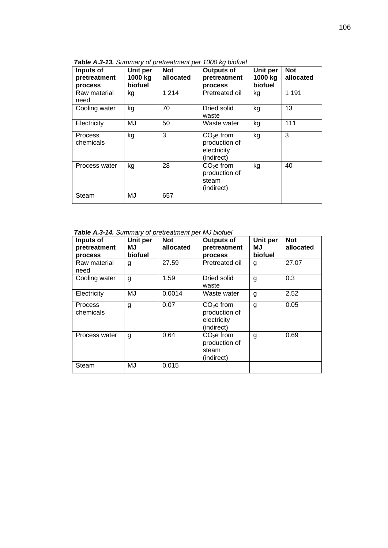| Inputs of<br>pretreatment<br><b>process</b> | Unit per<br>1000 kg<br>biofuel | <b>Not</b><br>allocated | <b>Outputs of</b><br>pretreatment<br><b>process</b>                  | Unit per<br>1000 kg<br>biofuel | <b>Not</b><br>allocated |
|---------------------------------------------|--------------------------------|-------------------------|----------------------------------------------------------------------|--------------------------------|-------------------------|
| Raw material<br>need                        | kg                             | 1 2 1 4                 | Pretreated oil                                                       | kg                             | 1 1 9 1                 |
| Cooling water                               | kg                             | 70                      | Dried solid<br>waste                                                 | kg                             | 13                      |
| Electricity                                 | MJ                             | 50                      | Waste water                                                          | kg                             | 111                     |
| <b>Process</b><br>chemicals                 | kg                             | 3                       | CO <sub>2</sub> e from<br>production of<br>electricity<br>(indirect) | kg                             | 3                       |
| Process water                               | kg                             | 28                      | CO <sub>2</sub> e from<br>production of<br>steam<br>(indirect)       | kg                             | 40                      |
| Steam                                       | MJ                             | 657                     |                                                                      |                                |                         |

*Table A.3-13. Summary of pretreatment per 1000 kg biofuel* 

*Table A.3-14. Summary of pretreatment per MJ biofuel* 

| Inputs of<br>pretreatment<br>process | Unit per<br>ΜJ<br>biofuel | <b>Not</b><br>allocated | <b>Outputs of</b><br>pretreatment<br>process                         | Unit per<br>ΜJ<br>biofuel | <b>Not</b><br>allocated |
|--------------------------------------|---------------------------|-------------------------|----------------------------------------------------------------------|---------------------------|-------------------------|
| Raw material<br>need                 | g                         | 27.59                   | Pretreated oil                                                       | g                         | 27.07                   |
| Cooling water                        | g                         | 1.59                    | Dried solid<br>waste                                                 | g                         | 0.3                     |
| Electricity                          | MJ                        | 0.0014                  | Waste water                                                          | g                         | 2.52                    |
| <b>Process</b><br>chemicals          | g                         | 0.07                    | CO <sub>2</sub> e from<br>production of<br>electricity<br>(indirect) | g                         | 0.05                    |
| Process water                        | g                         | 0.64                    | CO <sub>2</sub> e from<br>production of<br>steam<br>(indirect)       | g                         | 0.69                    |
| Steam                                | MJ                        | 0.015                   |                                                                      |                           |                         |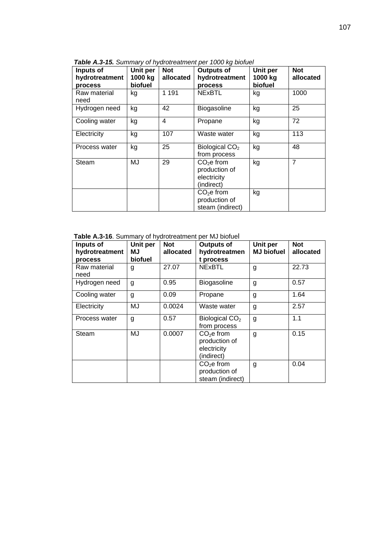| Inputs of<br>hydrotreatment<br><b>process</b> | Unit per<br>1000 kg<br>biofuel | <b>Not</b><br>allocated | <b>Outputs of</b><br>hydrotreatment<br>process                       | Unit per<br>1000 kg<br>biofuel | <b>Not</b><br>allocated |
|-----------------------------------------------|--------------------------------|-------------------------|----------------------------------------------------------------------|--------------------------------|-------------------------|
| Raw material<br>need                          | kg                             | 1 1 9 1                 | <b>NExBTL</b>                                                        | kg                             | 1000                    |
| Hydrogen need                                 | kg                             | 42                      | Biogasoline                                                          | kg                             | 25                      |
| Cooling water                                 | kg                             | 4                       | Propane                                                              | kg                             | 72                      |
| Electricity                                   | kg                             | 107                     | Waste water                                                          | kg                             | 113                     |
| Process water                                 | kg                             | 25                      | Biological $CO2$<br>from process                                     | kg                             | 48                      |
| Steam                                         | MJ                             | 29                      | CO <sub>2</sub> e from<br>production of<br>electricity<br>(indirect) | kg                             | $\overline{7}$          |
|                                               |                                |                         | CO <sub>2</sub> e from<br>production of<br>steam (indirect)          | kg                             |                         |

*Table A.3-15. Summary of hydrotreatment per 1000 kg biofuel* 

**Table A.3-16**. Summary of hydrotreatment per MJ biofuel

| Inputs of<br>hydrotreatment<br>process | Unit per<br>ΜJ<br>biofuel | <b>Not</b><br>allocated | Outputs of<br>hydrotreatmen<br>t process                             | Unit per<br><b>MJ biofuel</b> | <b>Not</b><br>allocated |
|----------------------------------------|---------------------------|-------------------------|----------------------------------------------------------------------|-------------------------------|-------------------------|
| Raw material<br>need                   | g                         | 27.07                   | <b>NExBTL</b>                                                        | g                             | 22.73                   |
| Hydrogen need                          | g                         | 0.95                    | Biogasoline                                                          | g                             | 0.57                    |
| Cooling water                          | g                         | 0.09                    | Propane                                                              | g                             | 1.64                    |
| Electricity                            | MJ                        | 0.0024                  | Waste water                                                          | g                             | 2.57                    |
| Process water                          | g                         | 0.57                    | Biological $CO2$<br>from process                                     | g                             | 1.1                     |
| Steam                                  | MJ                        | 0.0007                  | CO <sub>2</sub> e from<br>production of<br>electricity<br>(indirect) | g                             | 0.15                    |
|                                        |                           |                         | CO <sub>2</sub> e from<br>production of<br>steam (indirect)          | g                             | 0.04                    |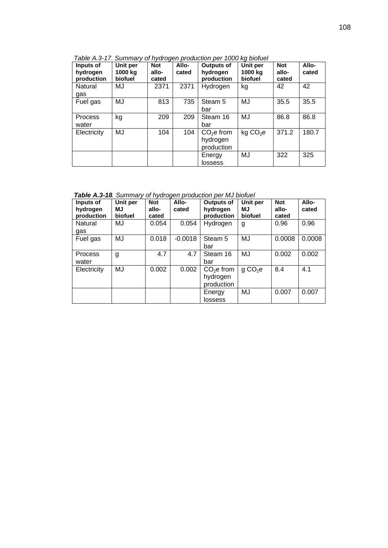| Inputs of<br>hydrogen<br>production | Unit per<br>1000 kg<br>biofuel | <b>Not</b><br>allo-<br>cated | Allo-<br>cated | <b>Outputs of</b><br>hydrogen<br>production      | Unit per<br>1000 ka<br>biofuel | <b>Not</b><br>allo-<br>cated | Allo-<br>cated |
|-------------------------------------|--------------------------------|------------------------------|----------------|--------------------------------------------------|--------------------------------|------------------------------|----------------|
| Natural<br>gas                      | MJ                             | 2371                         | 2371           | Hydrogen                                         | kg                             | 42                           | 42             |
| Fuel gas                            | MJ                             | 813                          | 735            | Steam 5<br>bar                                   | MJ                             | 35.5                         | 35.5           |
| Process<br>water                    | kg                             | 209                          | 209            | Steam 16<br>bar                                  | MJ                             | 86.8                         | 86.8           |
| Electricity                         | MJ                             | 104                          | 104            | CO <sub>2</sub> e from<br>hydrogen<br>production | kg CO <sub>2</sub> e           | 371.2                        | 180.7          |
|                                     |                                |                              |                | Energy<br>lossess                                | MJ                             | 322                          | 325            |

*Table A.3-17. Summary of hydrogen production per 1000 kg biofuel* 

*Table A.3-18. Summary of hydrogen production per MJ biofuel* 

| Inputs of<br>hydrogen<br>production | Unit per<br>МJ<br>biofuel | <b>Not</b><br>allo-<br>cated | Allo-<br>cated | <b>Outputs of</b><br>hydrogen<br>production      | Unit per<br><b>MJ</b><br>biofuel | <b>Not</b><br>allo-<br>cated | Allo-<br>cated |
|-------------------------------------|---------------------------|------------------------------|----------------|--------------------------------------------------|----------------------------------|------------------------------|----------------|
| Natural<br>gas                      | MJ                        | 0.054                        | 0.054          | Hydrogen                                         | g                                | 0.96                         | 0.96           |
| Fuel gas                            | MJ                        | 0.018                        | $-0.0018$      | Steam 5<br>bar                                   | MJ                               | 0.0008                       | 0.0008         |
| Process<br>water                    | g                         | 4.7                          | 4.7            | Steam 16<br>bar                                  | MJ                               | 0.002                        | 0.002          |
| Electricity                         | MJ                        | 0.002                        | 0.002          | CO <sub>2</sub> e from<br>hydrogen<br>production | q CO <sub>2</sub> e              | 8.4                          | 4.1            |
|                                     |                           |                              |                | Energy<br>lossess                                | MJ                               | 0.007                        | 0.007          |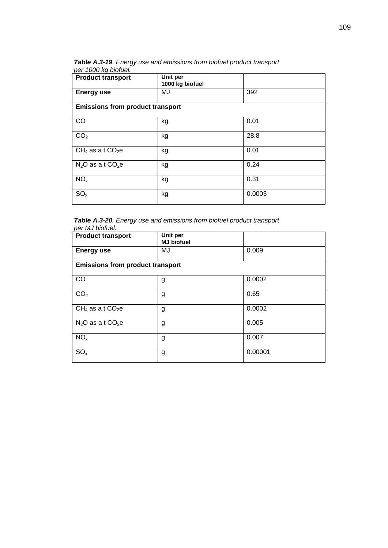*Table A.3-19. Energy use and emissions from biofuel product transport per 1000 kg biofuel.* 

| <b>Product transport</b>                | Unit per<br>1000 kg biofuel |        |  |
|-----------------------------------------|-----------------------------|--------|--|
| <b>Energy use</b>                       | MJ                          | 392    |  |
| <b>Emissions from product transport</b> |                             |        |  |
| CO                                      | kg                          | 0.01   |  |
| CO <sub>2</sub>                         | kg                          | 28.8   |  |
| $CH_4$ as a t $CO_2e$                   | kg                          | 0.01   |  |
| $N_2O$ as a t $CO_2e$                   | kg                          | 0.24   |  |
| NO <sub>x</sub>                         | kg                          | 0.31   |  |
| SO <sub>x</sub>                         | kg                          | 0.0003 |  |

*Table A.3-20. Energy use and emissions from biofuel product transport per MJ biofuel.* 

| <b>Product transport</b>                | Unit per<br><b>MJ</b> biofuel |         |  |
|-----------------------------------------|-------------------------------|---------|--|
| <b>Energy use</b>                       | MJ                            | 0.009   |  |
| <b>Emissions from product transport</b> |                               |         |  |
| CO                                      | g                             | 0.0002  |  |
| CO <sub>2</sub>                         | g                             | 0.65    |  |
| $CH_4$ as a t $CO_2e$                   | g                             | 0.0002  |  |
| $N_2O$ as a t $CO_2e$                   | g                             | 0.005   |  |
| NO <sub>x</sub>                         | g                             | 0.007   |  |
| SO <sub>x</sub>                         | g                             | 0.00001 |  |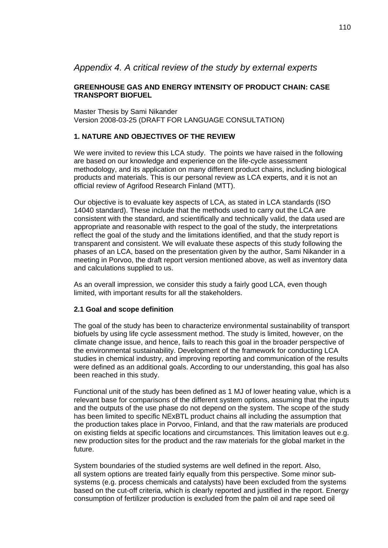# *Appendix 4. A critical review of the study by external experts*

## **GREENHOUSE GAS AND ENERGY INTENSITY OF PRODUCT CHAIN: CASE TRANSPORT BIOFUEL**

Master Thesis by Sami Nikander Version 2008-03-25 (DRAFT FOR LANGUAGE CONSULTATION)

# **1. NATURE AND OBJECTIVES OF THE REVIEW**

We were invited to review this LCA study. The points we have raised in the following are based on our knowledge and experience on the life-cycle assessment methodology, and its application on many different product chains, including biological products and materials. This is our personal review as LCA experts, and it is not an official review of Agrifood Research Finland (MTT).

Our objective is to evaluate key aspects of LCA, as stated in LCA standards (ISO 14040 standard). These include that the methods used to carry out the LCA are consistent with the standard, and scientifically and technically valid, the data used are appropriate and reasonable with respect to the goal of the study, the interpretations reflect the goal of the study and the limitations identified, and that the study report is transparent and consistent. We will evaluate these aspects of this study following the phases of an LCA, based on the presentation given by the author, Sami Nikander in a meeting in Porvoo, the draft report version mentioned above, as well as inventory data and calculations supplied to us.

As an overall impression, we consider this study a fairly good LCA, even though limited, with important results for all the stakeholders.

## **2.1 Goal and scope definition**

The goal of the study has been to characterize environmental sustainability of transport biofuels by using life cycle assessment method. The study is limited, however, on the climate change issue, and hence, fails to reach this goal in the broader perspective of the environmental sustainability. Development of the framework for conducting LCA studies in chemical industry, and improving reporting and communication of the results were defined as an additional goals. According to our understanding, this goal has also been reached in this study.

Functional unit of the study has been defined as 1 MJ of lower heating value, which is a relevant base for comparisons of the different system options, assuming that the inputs and the outputs of the use phase do not depend on the system. The scope of the study has been limited to specific NExBTL product chains all including the assumption that the production takes place in Porvoo, Finland, and that the raw materials are produced on existing fields at specific locations and circumstances. This limitation leaves out e.g. new production sites for the product and the raw materials for the global market in the future.

System boundaries of the studied systems are well defined in the report. Also, all system options are treated fairly equally from this perspective. Some minor subsystems (e.g. process chemicals and catalysts) have been excluded from the systems based on the cut-off criteria, which is clearly reported and justified in the report. Energy consumption of fertilizer production is excluded from the palm oil and rape seed oil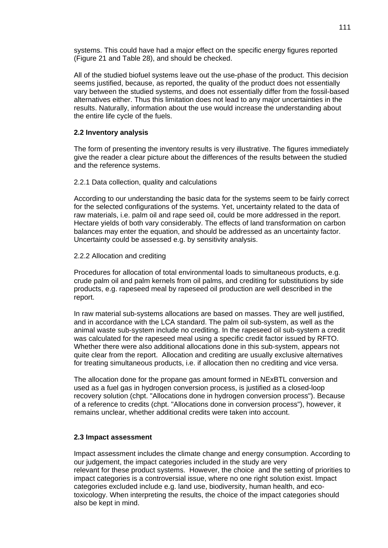systems. This could have had a major effect on the specific energy figures reported (Figure 21 and Table 28), and should be checked.

All of the studied biofuel systems leave out the use-phase of the product. This decision seems justified, because, as reported, the quality of the product does not essentially vary between the studied systems, and does not essentially differ from the fossil-based alternatives either. Thus this limitation does not lead to any major uncertainties in the results. Naturally, information about the use would increase the understanding about the entire life cycle of the fuels.

## **2.2 Inventory analysis**

The form of presenting the inventory results is very illustrative. The figures immediately give the reader a clear picture about the differences of the results between the studied and the reference systems.

#### 2.2.1 Data collection, quality and calculations

According to our understanding the basic data for the systems seem to be fairly correct for the selected configurations of the systems. Yet, uncertainty related to the data of raw materials, i.e. palm oil and rape seed oil, could be more addressed in the report. Hectare yields of both vary considerably. The effects of land transformation on carbon balances may enter the equation, and should be addressed as an uncertainty factor. Uncertainty could be assessed e.g. by sensitivity analysis.

### 2.2.2 Allocation and crediting

Procedures for allocation of total environmental loads to simultaneous products, e.g. crude palm oil and palm kernels from oil palms, and crediting for substitutions by side products, e.g. rapeseed meal by rapeseed oil production are well described in the report.

In raw material sub-systems allocations are based on masses. They are well justified, and in accordance with the LCA standard. The palm oil sub-system, as well as the animal waste sub-system include no crediting. In the rapeseed oil sub-system a credit was calculated for the rapeseed meal using a specific credit factor issued by RFTO. Whether there were also additional allocations done in this sub-system, appears not quite clear from the report. Allocation and crediting are usually exclusive alternatives for treating simultaneous products, i.e. if allocation then no crediting and vice versa.

The allocation done for the propane gas amount formed in NExBTL conversion and used as a fuel gas in hydrogen conversion process, is justified as a closed-loop recovery solution (chpt. "Allocations done in hydrogen conversion process"). Because of a reference to credits (chpt. "Allocations done in conversion process"), however, it remains unclear, whether additional credits were taken into account.

#### **2.3 Impact assessment**

Impact assessment includes the climate change and energy consumption. According to our judgement, the impact categories included in the study are very relevant for these product systems. However, the choice and the setting of priorities to impact categories is a controversial issue, where no one right solution exist. Impact categories excluded include e.g. land use, biodiversity, human health, and ecotoxicology. When interpreting the results, the choice of the impact categories should also be kept in mind.